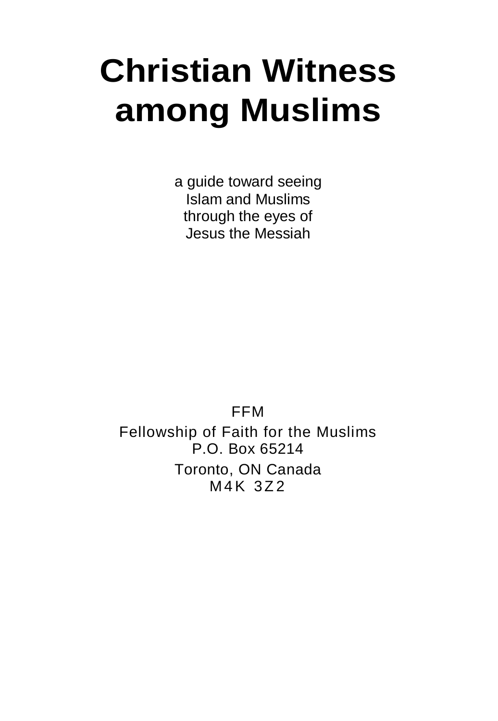# **Christian Witness among Muslims**

a guide toward seeing Islam and Muslims through the eyes of Jesus the Messiah

FFM Fellowship of Faith for the Muslims P.O. Box 65214 Toronto, ON Canada M4K 3Z2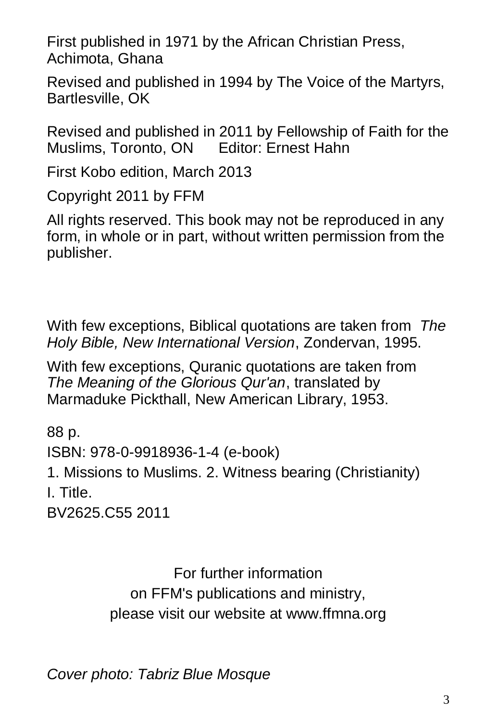First published in 1971 by the African Christian Press, Achimota, Ghana

Revised and published in 1994 by The Voice of the Martyrs, Bartlesville, OK

Revised and published in 2011 by Fellowship of Faith for the Muslims, Toronto, ON Editor: Ernest Hahn

First Kobo edition, March 2013

Copyright 2011 by FFM

All rights reserved. This book may not be reproduced in any form, in whole or in part, without written permission from the publisher.

With few exceptions, Biblical quotations are taken from *The Holy Bible, New International Version*, Zondervan, 1995.

With few exceptions, Quranic quotations are taken from *The Meaning of the Glorious Qur'an*, translated by Marmaduke Pickthall, New American Library, 1953.

88 p. ISBN: 978-0-9918936-1-4 (e-book) 1. Missions to Muslims. 2. Witness bearing (Christianity) I. Title. BV2625.C55 2011

> For further information on FFM's publications and ministry, please visit our website at www.ffmna.org

*Cover photo: Tabriz Blue Mosque*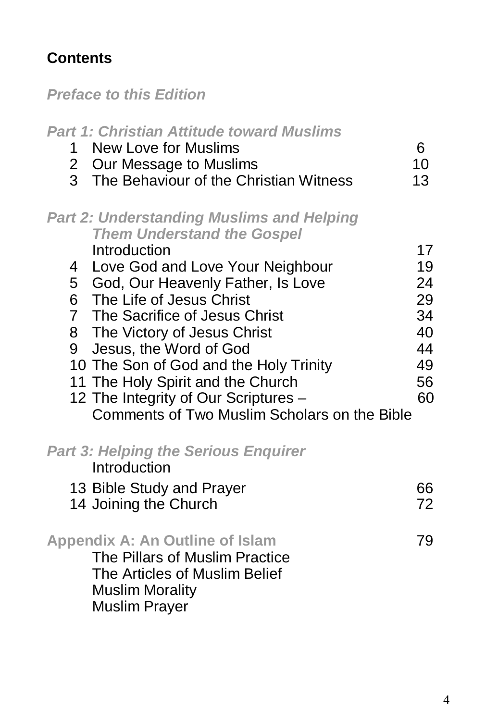# **Contents**

*Preface to this Edition*

| <b>Part 1: Christian Attitude toward Muslims</b><br>New Love for Muslims<br>1<br>$\mathbf{2}$<br>Our Message to Muslims<br>3 The Behaviour of the Christian Witness                                                                                                                                                                                                                                                                                                                     | 6<br>10<br>13                                            |
|-----------------------------------------------------------------------------------------------------------------------------------------------------------------------------------------------------------------------------------------------------------------------------------------------------------------------------------------------------------------------------------------------------------------------------------------------------------------------------------------|----------------------------------------------------------|
| <b>Part 2: Understanding Muslims and Helping</b><br><b>Them Understand the Gospel</b><br>Introduction<br>4 Love God and Love Your Neighbour<br>5 God, Our Heavenly Father, Is Love<br>6 The Life of Jesus Christ<br>7 The Sacrifice of Jesus Christ<br>8 The Victory of Jesus Christ<br>9 Jesus, the Word of God<br>10 The Son of God and the Holy Trinity<br>11 The Holy Spirit and the Church<br>12 The Integrity of Our Scriptures -<br>Comments of Two Muslim Scholars on the Bible | 17<br>19<br>24<br>29<br>34<br>40<br>44<br>49<br>56<br>60 |
| <b>Part 3: Helping the Serious Enquirer</b><br>Introduction<br>13 Bible Study and Prayer<br>14 Joining the Church                                                                                                                                                                                                                                                                                                                                                                       | 66<br>72                                                 |
| <b>Appendix A: An Outline of Islam</b><br>The Pillars of Muslim Practice<br>The Articles of Muslim Belief<br><b>Muslim Morality</b><br><b>Muslim Prayer</b>                                                                                                                                                                                                                                                                                                                             | 79                                                       |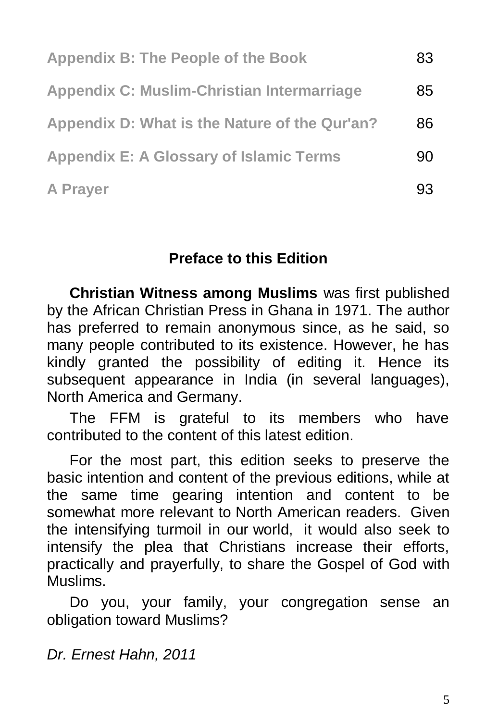| <b>Appendix B: The People of the Book</b>      | 83 |
|------------------------------------------------|----|
| Appendix C: Muslim-Christian Intermarriage     | 85 |
| Appendix D: What is the Nature of the Qur'an?  | 86 |
| <b>Appendix E: A Glossary of Islamic Terms</b> | 90 |
| A Prayer                                       | 93 |

## **Preface to this Edition**

**Christian Witness among Muslims** was first published by the African Christian Press in Ghana in 1971. The author has preferred to remain anonymous since, as he said, so many people contributed to its existence. However, he has kindly granted the possibility of editing it. Hence its subsequent appearance in India (in several languages), North America and Germany.

The FFM is grateful to its members who have contributed to the content of this latest edition.

For the most part, this edition seeks to preserve the basic intention and content of the previous editions, while at the same time gearing intention and content to be somewhat more relevant to North American readers. Given the intensifying turmoil in our world, it would also seek to intensify the plea that Christians increase their efforts, practically and prayerfully, to share the Gospel of God with Muslims.

Do you, your family, your congregation sense an obligation toward Muslims?

*Dr. Ernest Hahn, 2011*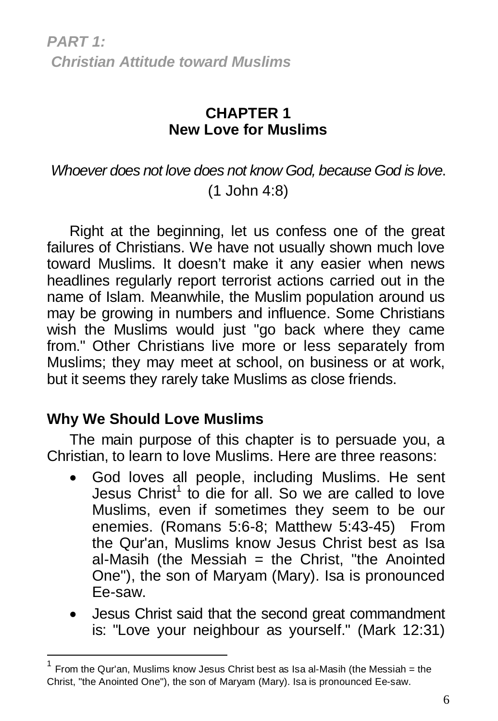*PART 1: Christian Attitude toward Muslims*

## **CHAPTER 1 New Love for Muslims**

# *Whoever does not love does not know God, because God is love*. (1 John 4:8)

Right at the beginning, let us confess one of the great failures of Christians. We have not usually shown much love toward Muslims. It doesn't make it any easier when news headlines regularly report terrorist actions carried out in the name of Islam. Meanwhile, the Muslim population around us may be growing in numbers and influence. Some Christians wish the Muslims would just "go back where they came from." Other Christians live more or less separately from Muslims; they may meet at school, on business or at work, but it seems they rarely take Muslims as close friends.

## **Why We Should Love Muslims**

 $\overline{a}$ 

The main purpose of this chapter is to persuade you, a Christian, to learn to love Muslims. Here are three reasons:

- God loves all people, including Muslims. He sent Jesus Christ<sup>1</sup> to die for all. So we are called to love Muslims, even if sometimes they seem to be our enemies. (Romans 5:6-8; Matthew 5:43-45) From the Qur'an, Muslims know Jesus Christ best as Isa al-Masih (the Messiah  $=$  the Christ, "the Anointed One"), the son of Maryam (Mary). Isa is pronounced Ee-saw.
- Jesus Christ said that the second great commandment is: "Love your neighbour as yourself." (Mark 12:31)

<sup>1</sup> From the Qur'an, Muslims know Jesus Christ best as Isa al-Masih (the Messiah = the Christ, "the Anointed One"), the son of Maryam (Mary). Isa is pronounced Ee-saw.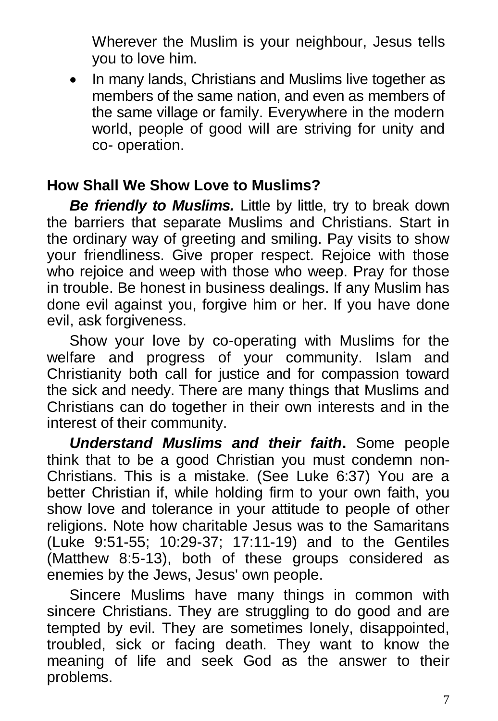Wherever the Muslim is your neighbour, Jesus tells you to love him.

 In many lands, Christians and Muslims live together as members of the same nation, and even as members of the same village or family. Everywhere in the modern world, people of good will are striving for unity and co- operation.

## **How Shall We Show Love to Muslims?**

*Be friendly to Muslims.* Little by little, try to break down the barriers that separate Muslims and Christians. Start in the ordinary way of greeting and smiling. Pay visits to show your friendliness. Give proper respect. Rejoice with those who rejoice and weep with those who weep. Pray for those in trouble. Be honest in business dealings. If any Muslim has done evil against you, forgive him or her. If you have done evil, ask forgiveness.

Show your love by co-operating with Muslims for the welfare and progress of your community. Islam and Christianity both call for justice and for compassion toward the sick and needy. There are many things that Muslims and Christians can do together in their own interests and in the interest of their community.

*Understand Muslims and their faith***.** Some people think that to be a good Christian you must condemn non-Christians. This is a mistake. (See Luke 6:37) You are a better Christian if, while holding firm to your own faith, you show love and tolerance in your attitude to people of other religions. Note how charitable Jesus was to the Samaritans (Luke 9:51-55; 10:29-37; 17:11-19) and to the Gentiles (Matthew 8:5-13), both of these groups considered as enemies by the Jews, Jesus' own people.

Sincere Muslims have many things in common with sincere Christians. They are struggling to do good and are tempted by evil. They are sometimes lonely, disappointed, troubled, sick or facing death. They want to know the meaning of life and seek God as the answer to their problems.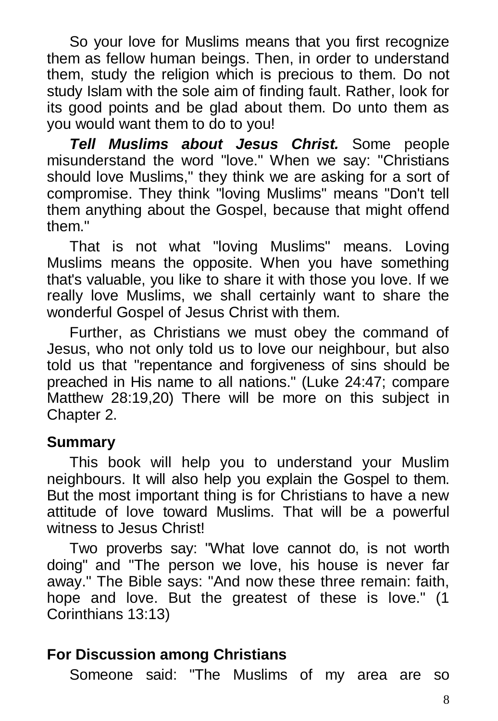So your love for Muslims means that you first recognize them as fellow human beings. Then, in order to understand them, study the religion which is precious to them. Do not study Islam with the sole aim of finding fault. Rather, look for its good points and be glad about them. Do unto them as you would want them to do to you!

*Tell Muslims about Jesus Christ.* Some people misunderstand the word "love." When we say: "Christians should love Muslims," they think we are asking for a sort of compromise. They think "loving Muslims" means "Don't tell them anything about the Gospel, because that might offend them."

That is not what "loving Muslims" means. Loving Muslims means the opposite. When you have something that's valuable, you like to share it with those you love. If we really love Muslims, we shall certainly want to share the wonderful Gospel of Jesus Christ with them.

Further, as Christians we must obey the command of Jesus, who not only told us to love our neighbour, but also told us that "repentance and forgiveness of sins should be preached in His name to all nations." (Luke 24:47; compare Matthew 28:19,20) There will be more on this subject in Chapter 2.

#### **Summary**

This book will help you to understand your Muslim neighbours. It will also help you explain the Gospel to them. But the most important thing is for Christians to have a new attitude of love toward Muslims. That will be a powerful witness to Jesus Christ!

Two proverbs say: "What love cannot do, is not worth doing" and "The person we love, his house is never far away." The Bible says: "And now these three remain: faith, hope and love. But the greatest of these is love." (1 Corinthians 13:13)

## **For Discussion among Christians**

Someone said: "The Muslims of my area are so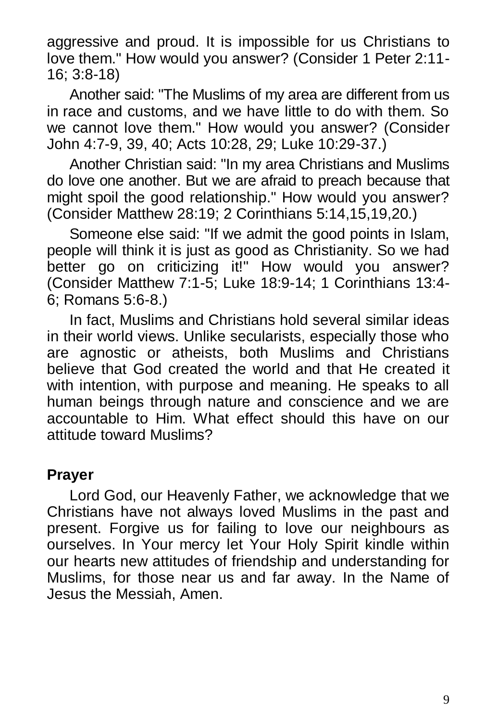aggressive and proud. It is impossible for us Christians to love them." How would you answer? (Consider 1 Peter 2:11- 16; 3:8-18)

Another said: "The Muslims of my area are different from us in race and customs, and we have little to do with them. So we cannot love them." How would you answer? (Consider John 4:7-9, 39, 40; Acts 10:28, 29; Luke 10:29-37.)

Another Christian said: "In my area Christians and Muslims do love one another. But we are afraid to preach because that might spoil the good relationship." How would you answer? (Consider Matthew 28:19; 2 Corinthians 5:14,15,19,20.)

Someone else said: "If we admit the good points in Islam, people will think it is just as good as Christianity. So we had better go on criticizing it!" How would you answer? (Consider Matthew 7:1-5; Luke 18:9-14; 1 Corinthians 13:4- 6; Romans 5:6-8.)

In fact, Muslims and Christians hold several similar ideas in their world views. Unlike secularists, especially those who are agnostic or atheists, both Muslims and Christians believe that God created the world and that He created it with intention, with purpose and meaning. He speaks to all human beings through nature and conscience and we are accountable to Him. What effect should this have on our attitude toward Muslims?

## **Prayer**

Lord God, our Heavenly Father, we acknowledge that we Christians have not always loved Muslims in the past and present. Forgive us for failing to love our neighbours as ourselves. In Your mercy let Your Holy Spirit kindle within our hearts new attitudes of friendship and understanding for Muslims, for those near us and far away. In the Name of Jesus the Messiah, Amen.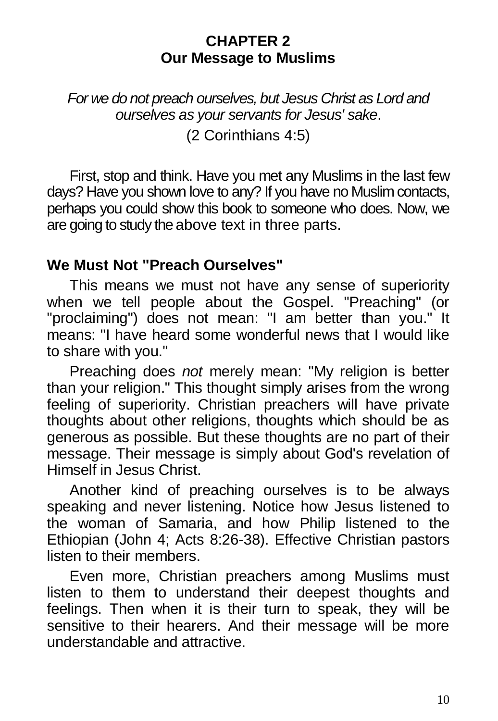#### **CHAPTER 2 Our Message to Muslims**

*For we do not preach ourselves, but Jesus Christ as Lord and ourselves as your servants for Jesus' sake*. (2 Corinthians 4:5)

First, stop and think. Have you met any Muslims in the last few days? Have you shown love to any? If you have no Muslim contacts, perhaps you could show this book to someone who does. Now, we are going to study the above text in three parts.

## **We Must Not "Preach Ourselves"**

This means we must not have any sense of superiority when we tell people about the Gospel. "Preaching" (or "proclaiming") does not mean: "I am better than you." It means: "I have heard some wonderful news that I would like to share with you."

Preaching does *not* merely mean: "My religion is better than your religion." This thought simply arises from the wrong feeling of superiority. Christian preachers will have private thoughts about other religions, thoughts which should be as generous as possible. But these thoughts are no part of their message. Their message is simply about God's revelation of Himself in Jesus Christ.

Another kind of preaching ourselves is to be always speaking and never listening. Notice how Jesus listened to the woman of Samaria, and how Philip listened to the Ethiopian (John 4; Acts 8:26-38). Effective Christian pastors listen to their members.

Even more, Christian preachers among Muslims must listen to them to understand their deepest thoughts and feelings. Then when it is their turn to speak, they will be sensitive to their hearers. And their message will be more understandable and attractive.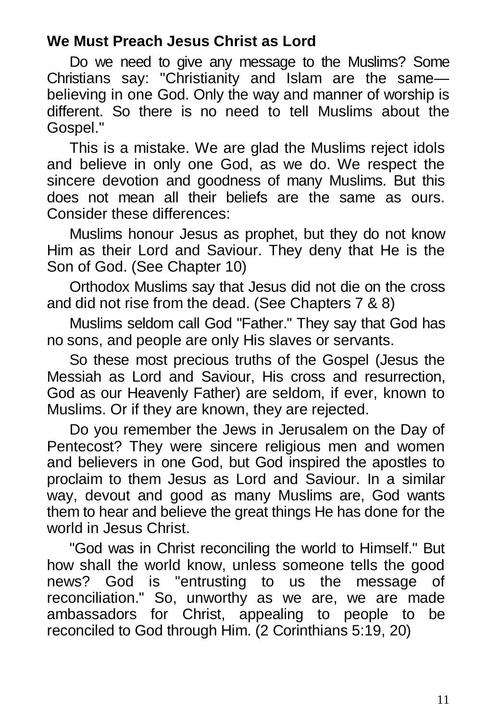## **We Must Preach Jesus Christ as Lord**

Do we need to give any message to the Muslims? Some Christians say: "Christianity and Islam are the same believing in one God. Only the way and manner of worship is different. So there is no need to tell Muslims about the Gospel."

This is a mistake. We are glad the Muslims reject idols and believe in only one God, as we do. We respect the sincere devotion and goodness of many Muslims. But this does not mean all their beliefs are the same as ours. Consider these differences:

Muslims honour Jesus as prophet, but they do not know Him as their Lord and Saviour. They deny that He is the Son of God. (See Chapter 10)

Orthodox Muslims say that Jesus did not die on the cross and did not rise from the dead. (See Chapters 7 & 8)

Muslims seldom call God "Father." They say that God has no sons, and people are only His slaves or servants.

So these most precious truths of the Gospel (Jesus the Messiah as Lord and Saviour, His cross and resurrection, God as our Heavenly Father) are seldom, if ever, known to Muslims. Or if they are known, they are rejected.

Do you remember the Jews in Jerusalem on the Day of Pentecost? They were sincere religious men and women and believers in one God, but God inspired the apostles to proclaim to them Jesus as Lord and Saviour. In a similar way, devout and good as many Muslims are, God wants them to hear and believe the great things He has done for the world in Jesus Christ.

"God was in Christ reconciling the world to Himself." But how shall the world know, unless someone tells the good news? God is "entrusting to us the message of reconciliation." So, unworthy as we are, we are made ambassadors for Christ, appealing to people to be reconciled to God through Him. (2 Corinthians 5:19, 20)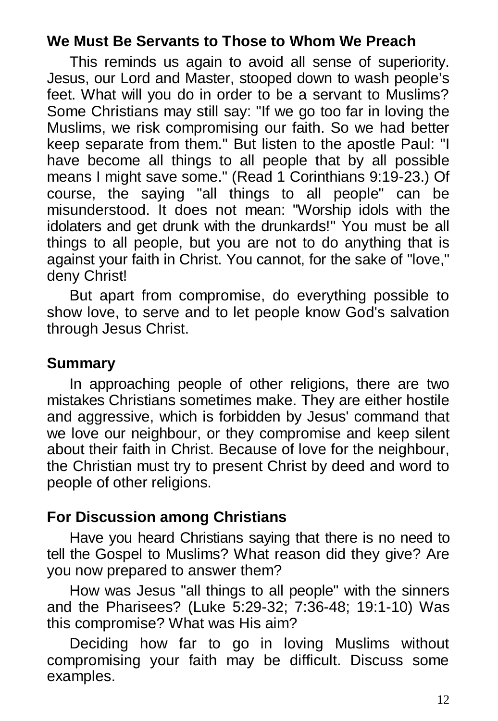## **We Must Be Servants to Those to Whom We Preach**

This reminds us again to avoid all sense of superiority. Jesus, our Lord and Master, stooped down to wash people's feet. What will you do in order to be a servant to Muslims? Some Christians may still say: "If we go too far in loving the Muslims, we risk compromising our faith. So we had better keep separate from them." But listen to the apostle Paul: "I have become all things to all people that by all possible means I might save some." (Read 1 Corinthians 9:19-23.) Of course, the saying "all things to all people" can be misunderstood. It does not mean: "Worship idols with the idolaters and get drunk with the drunkards!" You must be all things to all people, but you are not to do anything that is against your faith in Christ. You cannot, for the sake of "love," deny Christ!

But apart from compromise, do everything possible to show love, to serve and to let people know God's salvation through Jesus Christ.

## **Summary**

In approaching people of other religions, there are two mistakes Christians sometimes make. They are either hostile and aggressive, which is forbidden by Jesus' command that we love our neighbour, or they compromise and keep silent about their faith in Christ. Because of love for the neighbour, the Christian must try to present Christ by deed and word to people of other religions.

## **For Discussion among Christians**

Have you heard Christians saying that there is no need to tell the Gospel to Muslims? What reason did they give? Are you now prepared to answer them?

How was Jesus "all things to all people" with the sinners and the Pharisees? (Luke 5:29-32; 7:36-48; 19:1-10) Was this compromise? What was His aim?

Deciding how far to go in loving Muslims without compromising your faith may be difficult. Discuss some examples.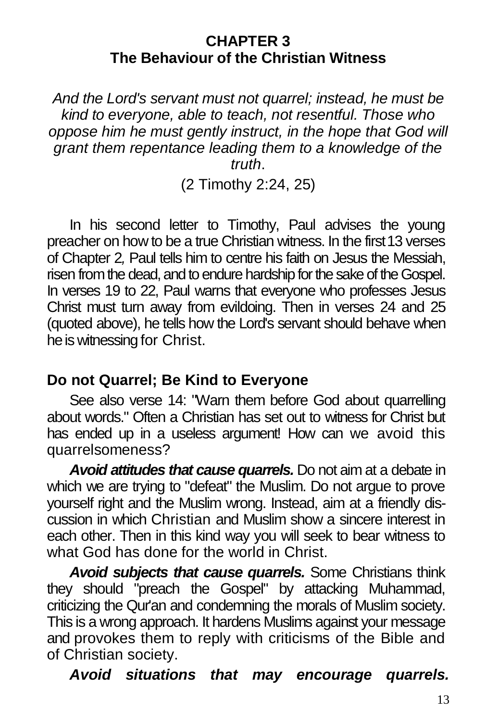#### **CHAPTER 3 The Behaviour of the Christian Witness**

*And the Lord's servant must not quarrel; instead, he must be kind to everyone, able to teach, not resentful. Those who oppose him he must gently instruct, in the hope that God will grant them repentance leading them to a knowledge of the truth*.

(2 Timothy 2:24, 25)

In his second letter to Timothy, Paul advises the young preacher on how to be a true Christian witness. In the first13 verses of Chapter 2*,* Paul tells him to centre his faith on Jesus the Messiah, risen from the dead, and to endure hardship for the sake of the Gospel. In verses 19 to 22, Paul warns that everyone who professes Jesus Christ must turn away from evildoing. Then in verses 24 and 25 (quoted above), he tells how the Lord's servant should behave when he is witnessing for Christ.

## **Do not Quarrel; Be Kind to Everyone**

See also verse 14: "Warn them before God about quarrelling about words." Often a Christian has set out to witness for Christ but has ended up in a useless argument! How can we avoid this quarrelsomeness?

*Avoid attitudes that cause quarrels.* Do not aim at a debate in which we are trying to "defeat" the Muslim. Do not argue to prove yourself right and the Muslim wrong. Instead, aim at a friendly discussion in which Christian and Muslim show a sincere interest in each other. Then in this kind way you will seek to bear witness to what God has done for the world in Christ.

*Avoid subjects that cause quarrels.* Some Christians think they should "preach the Gospel" by attacking Muhammad, criticizing the Qur'an and condemning the morals of Muslim society. This is a wrong approach. It hardens Muslims against your message and provokes them to reply with criticisms of the Bible and of Christian society.

*Avoid situations that may encourage quarrels.*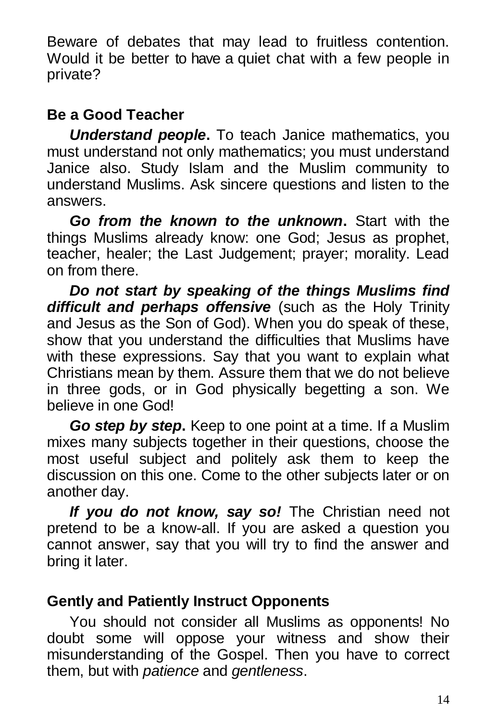Beware of debates that may lead to fruitless contention. Would it be better to have a quiet chat with a few people in private?

# **Be a Good Teacher**

*Understand people***.** To teach Janice mathematics, you must understand not only mathematics; you must understand Janice also. Study Islam and the Muslim community to understand Muslims. Ask sincere questions and listen to the answers.

*Go from the known to the unknown***.** Start with the things Muslims already know: one God; Jesus as prophet, teacher, healer; the Last Judgement; prayer; morality. Lead on from there.

*Do not start by speaking of the things Muslims find difficult and perhaps offensive* (such as the Holy Trinity and Jesus as the Son of God). When you do speak of these, show that you understand the difficulties that Muslims have with these expressions. Say that you want to explain what Christians mean by them. Assure them that we do not believe in three gods, or in God physically begetting a son. We believe in one God!

*Go step by step***.** Keep to one point at a time. If a Muslim mixes many subjects together in their questions, choose the most useful subject and politely ask them to keep the discussion on this one. Come to the other subjects later or on another day.

*If you do not know, say so!* The Christian need not pretend to be a know-all. If you are asked a question you cannot answer, say that you will try to find the answer and bring it later.

# **Gently and Patiently Instruct Opponents**

You should not consider all Muslims as opponents! No doubt some will oppose your witness and show their misunderstanding of the Gospel. Then you have to correct them, but with *patience* and *gentleness*.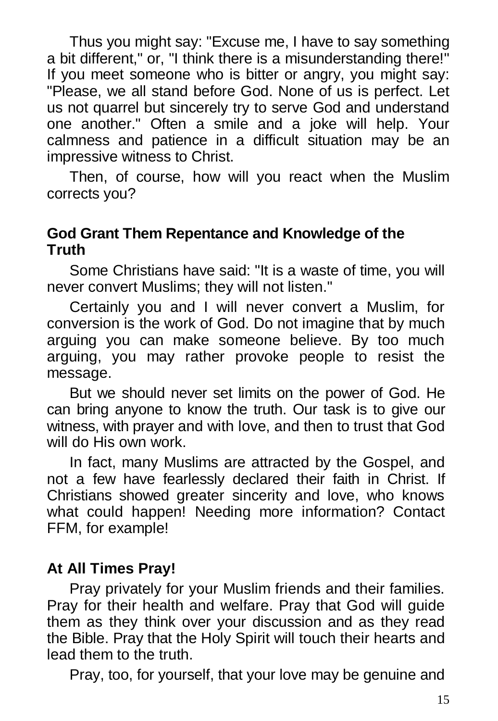Thus you might say: "Excuse me, I have to say something a bit different," or, "I think there is a misunderstanding there!" If you meet someone who is bitter or angry, you might say: "Please, we all stand before God. None of us is perfect. Let us not quarrel but sincerely try to serve God and understand one another." Often a smile and a joke will help. Your calmness and patience in a difficult situation may be an impressive witness to Christ.

Then, of course, how will you react when the Muslim corrects you?

#### **God Grant Them Repentance and Knowledge of the Truth**

Some Christians have said: "It is a waste of time, you will never convert Muslims; they will not listen."

Certainly you and I will never convert a Muslim, for conversion is the work of God. Do not imagine that by much arguing you can make someone believe. By too much arguing, you may rather provoke people to resist the message.

But we should never set limits on the power of God. He can bring anyone to know the truth. Our task is to give our witness, with prayer and with love, and then to trust that God will do His own work.

In fact, many Muslims are attracted by the Gospel, and not a few have fearlessly declared their faith in Christ. If Christians showed greater sincerity and love, who knows what could happen! Needing more information? Contact FFM, for example!

## **At All Times Pray!**

Pray privately for your Muslim friends and their families. Pray for their health and welfare. Pray that God will guide them as they think over your discussion and as they read the Bible. Pray that the Holy Spirit will touch their hearts and lead them to the truth.

Pray, too, for yourself, that your love may be genuine and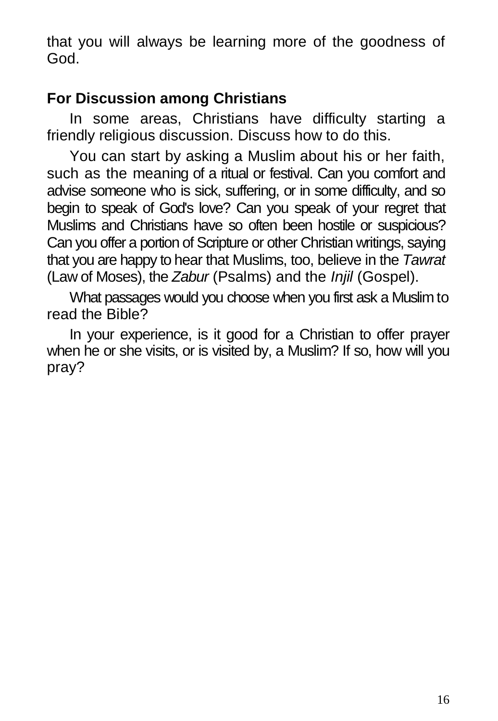that you will always be learning more of the goodness of God.

# **For Discussion among Christians**

In some areas, Christians have difficulty starting a friendly religious discussion. Discuss how to do this.

You can start by asking a Muslim about his or her faith, such as the meaning of a ritual or festival. Can you comfort and advise someone who is sick, suffering, or in some difficulty, and so begin to speak of God's love? Can you speak of your regret that Muslims and Christians have so often been hostile or suspicious? Can you offer a portion of Scripture or other Christian writings, saying that you are happy to hear that Muslims, too, believe in the *Tawrat*  (Law of Moses), the *Zabur* (Psalms) and the *Injil* (Gospel).

What passages would you choose when you first ask a Muslim to read the Bible?

In your experience, is it good for a Christian to offer prayer when he or she visits, or is visited by, a Muslim? If so, how will you pray?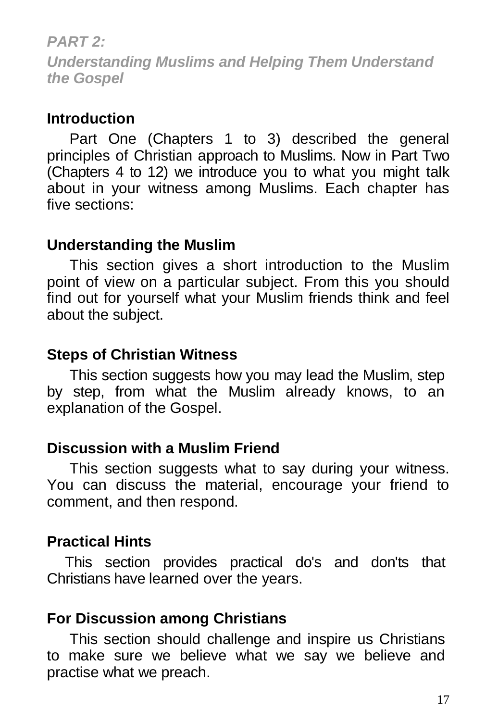#### *PART 2:*

*Understanding Muslims and Helping Them Understand the Gospel*

#### **Introduction**

Part One (Chapters 1 to 3) described the general principles of Christian approach to Muslims. Now in Part Two (Chapters 4 to 12) we introduce you to what you might talk about in your witness among Muslims. Each chapter has five sections:

## **Understanding the Muslim**

This section gives a short introduction to the Muslim point of view on a particular subject. From this you should find out for yourself what your Muslim friends think and feel about the subject.

## **Steps of Christian Witness**

This section suggests how you may lead the Muslim, step by step, from what the Muslim already knows, to an explanation of the Gospel.

## **Discussion with a Muslim Friend**

This section suggests what to say during your witness. You can discuss the material, encourage your friend to comment, and then respond.

## **Practical Hints**

This section provides practical do's and don'ts that Christians have learned over the years.

## **For Discussion among Christians**

This section should challenge and inspire us Christians to make sure we believe what we say we believe and practise what we preach.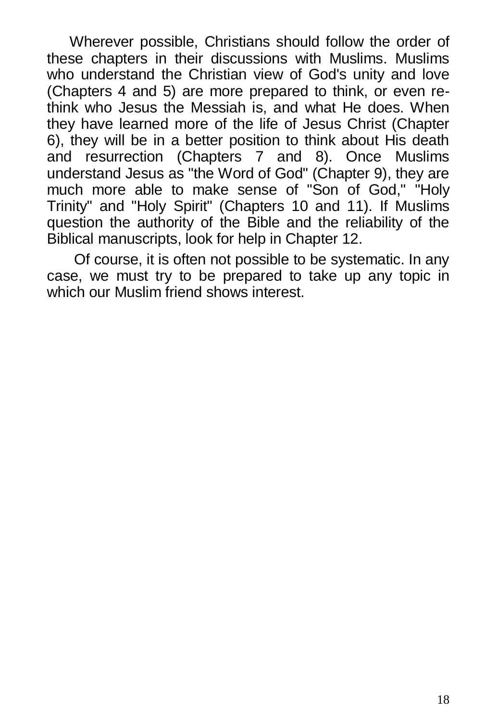Wherever possible, Christians should follow the order of these chapters in their discussions with Muslims. Muslims who understand the Christian view of God's unity and love (Chapters 4 and 5) are more prepared to think, or even rethink who Jesus the Messiah is, and what He does. When they have learned more of the life of Jesus Christ (Chapter 6), they will be in a better position to think about His death and resurrection (Chapters 7 and 8). Once Muslims understand Jesus as "the Word of God" (Chapter 9), they are much more able to make sense of "Son of God," "Holy Trinity" and "Holy Spirit" (Chapters 10 and 11). If Muslims question the authority of the Bible and the reliability of the Biblical manuscripts, look for help in Chapter 12.

Of course, it is often not possible to be systematic. In any case, we must try to be prepared to take up any topic in which our Muslim friend shows interest.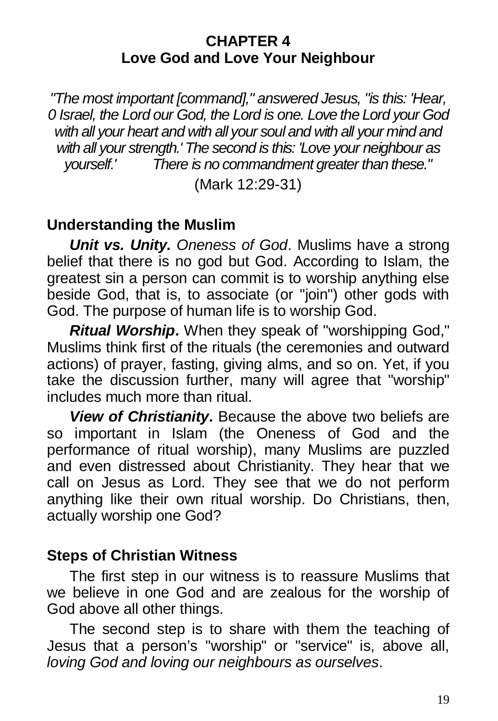#### **CHAPTER 4 Love God and Love Your Neighbour**

*"The most important [command]," answered Jesus, "is this: 'Hear, 0 Israel, the Lord our God, the Lord is one. Love the Lord your God with all your heart and with all your soul and with all your mind and with all your strength.' The second is this: 'Love your neighbour as yourself.' There is no commandment greater than these."* 

(Mark 12:29-31)

## **Understanding the Muslim**

*Unit vs. Unity. Oneness of God*. Muslims have a strong belief that there is no god but God. According to Islam, the greatest sin a person can commit is to worship anything else beside God, that is, to associate (or "join") other gods with God. The purpose of human life is to worship God.

*Ritual Worship***.** When they speak of "worshipping God," Muslims think first of the rituals (the ceremonies and outward actions) of prayer, fasting, giving alms, and so on. Yet, if you take the discussion further, many will agree that "worship" includes much more than ritual.

*View of Christianity***.** Because the above two beliefs are so important in Islam (the Oneness of God and the performance of ritual worship), many Muslims are puzzled and even distressed about Christianity. They hear that we call on Jesus as Lord. They see that we do not perform anything like their own ritual worship. Do Christians, then, actually worship one God?

## **Steps of Christian Witness**

The first step in our witness is to reassure Muslims that we believe in one God and are zealous for the worship of God above all other things.

The second step is to share with them the teaching of Jesus that a person's "worship" or "service" is, above all, *loving God and loving our neighbours as ourselves*.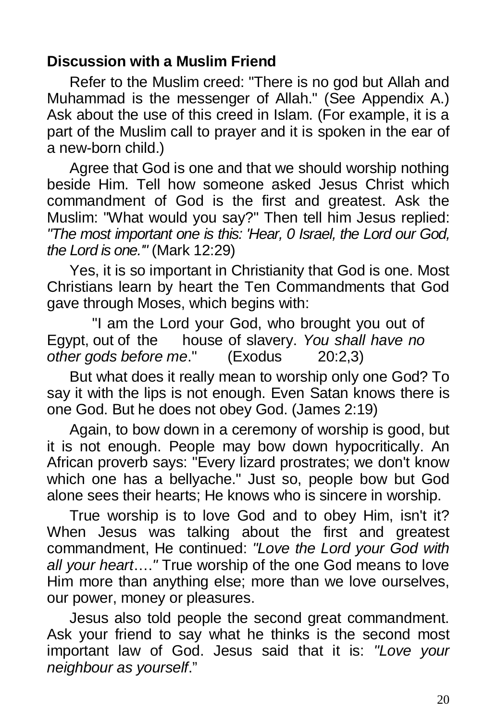## **Discussion with a Muslim Friend**

Refer to the Muslim creed: "There is no god but Allah and Muhammad is the messenger of Allah." (See Appendix A.) Ask about the use of this creed in Islam. (For example, it is a part of the Muslim call to prayer and it is spoken in the ear of a new-born child.)

Agree that God is one and that we should worship nothing beside Him. Tell how someone asked Jesus Christ which commandment of God is the first and greatest. Ask the Muslim: "What would you say?" Then tell him Jesus replied: *"The most important one is this: 'Hear, 0 Israel, the Lord our God, the Lord is one.'"* (Mark 12:29)

Yes, it is so important in Christianity that God is one. Most Christians learn by heart the Ten Commandments that God gave through Moses, which begins with:

"I am the Lord your God, who brought you out of Egypt, out of the house of slavery. *You shall have no other gods before me*." (Exodus 20:2,3)

But what does it really mean to worship only one God? To say it with the lips is not enough. Even Satan knows there is one God. But he does not obey God. (James 2:19)

Again, to bow down in a ceremony of worship is good, but it is not enough. People may bow down hypocritically. An African proverb says: "Every lizard prostrates; we don't know which one has a bellyache." Just so, people bow but God alone sees their hearts; He knows who is sincere in worship.

True worship is to love God and to obey Him, isn't it? When Jesus was talking about the first and greatest commandment, He continued: *"Love the Lord your God with all your heart*….*"* True worship of the one God means to love Him more than anything else; more than we love ourselves, our power, money or pleasures.

Jesus also told people the second great commandment. Ask your friend to say what he thinks is the second most important law of God. Jesus said that it is: *"Love your neighbour as yourself*."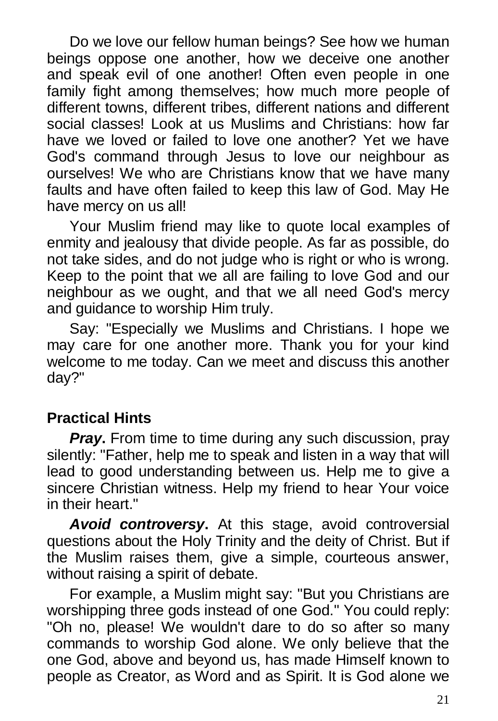Do we love our fellow human beings? See how we human beings oppose one another, how we deceive one another and speak evil of one another! Often even people in one family fight among themselves; how much more people of different towns, different tribes, different nations and different social classes! Look at us Muslims and Christians: how far have we loved or failed to love one another? Yet we have God's command through Jesus to love our neighbour as ourselves! We who are Christians know that we have many faults and have often failed to keep this law of God. May He have mercy on us all!

Your Muslim friend may like to quote local examples of enmity and jealousy that divide people. As far as possible, do not take sides, and do not judge who is right or who is wrong. Keep to the point that we all are failing to love God and our neighbour as we ought, and that we all need God's mercy and guidance to worship Him truly.

Say: "Especially we Muslims and Christians. I hope we may care for one another more. Thank you for your kind welcome to me today. Can we meet and discuss this another day?"

# **Practical Hints**

*Pray***.** From time to time during any such discussion, pray silently: "Father, help me to speak and listen in a way that will lead to good understanding between us. Help me to give a sincere Christian witness. Help my friend to hear Your voice in their heart."

*Avoid controversy***.** At this stage, avoid controversial questions about the Holy Trinity and the deity of Christ. But if the Muslim raises them, give a simple, courteous answer, without raising a spirit of debate.

For example, a Muslim might say: "But you Christians are worshipping three gods instead of one God." You could reply: "Oh no, please! We wouldn't dare to do so after so many commands to worship God alone. We only believe that the one God, above and beyond us, has made Himself known to people as Creator, as Word and as Spirit. It is God alone we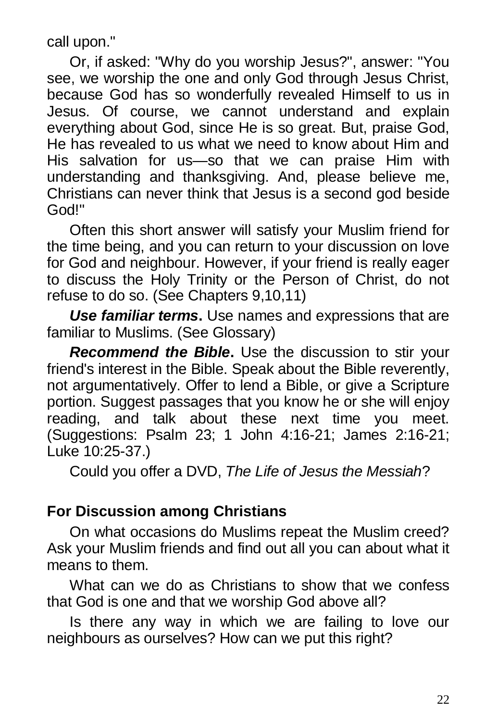call upon."

Or, if asked: "Why do you worship Jesus?", answer: "You see, we worship the one and only God through Jesus Christ, because God has so wonderfully revealed Himself to us in Jesus. Of course, we cannot understand and explain everything about God, since He is so great. But, praise God, He has revealed to us what we need to know about Him and His salvation for us—so that we can praise Him with understanding and thanksgiving. And, please believe me, Christians can never think that Jesus is a second god beside God!"

Often this short answer will satisfy your Muslim friend for the time being, and you can return to your discussion on love for God and neighbour. However, if your friend is really eager to discuss the Holy Trinity or the Person of Christ, do not refuse to do so. (See Chapters 9,10,11)

*Use familiar terms***.** Use names and expressions that are familiar to Muslims. (See Glossary)

*Recommend the Bible***.** Use the discussion to stir your friend's interest in the Bible. Speak about the Bible reverently, not argumentatively. Offer to lend a Bible, or give a Scripture portion. Suggest passages that you know he or she will enjoy reading, and talk about these next time you meet. (Suggestions: Psalm 23; 1 John 4:16-21; James 2:16-21; Luke 10:25-37.)

Could you offer a DVD, *The Life of Jesus the Messiah*?

## **For Discussion among Christians**

On what occasions do Muslims repeat the Muslim creed? Ask your Muslim friends and find out all you can about what it means to them.

What can we do as Christians to show that we confess that God is one and that we worship God above all?

Is there any way in which we are failing to love our neighbours as ourselves? How can we put this right?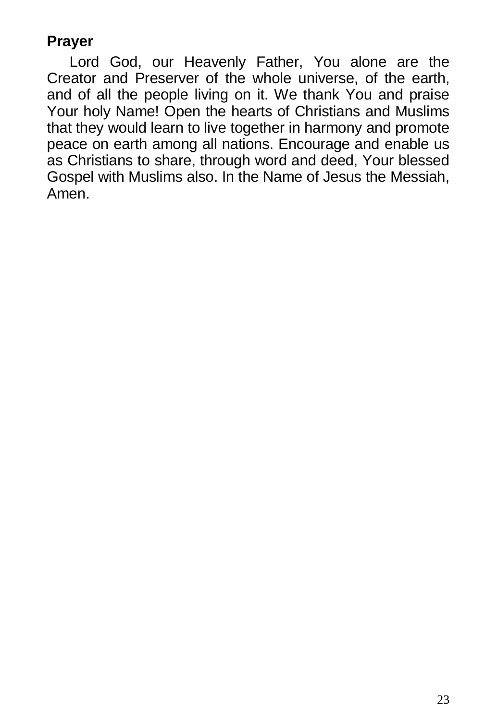## **Prayer**

Lord God, our Heavenly Father, You alone are the Creator and Preserver of the whole universe, of the earth, and of all the people living on it. We thank You and praise Your holy Name! Open the hearts of Christians and Muslims that they would learn to live together in harmony and promote peace on earth among all nations. Encourage and enable us as Christians to share, through word and deed, Your blessed Gospel with Muslims also. In the Name of Jesus the Messiah, Amen.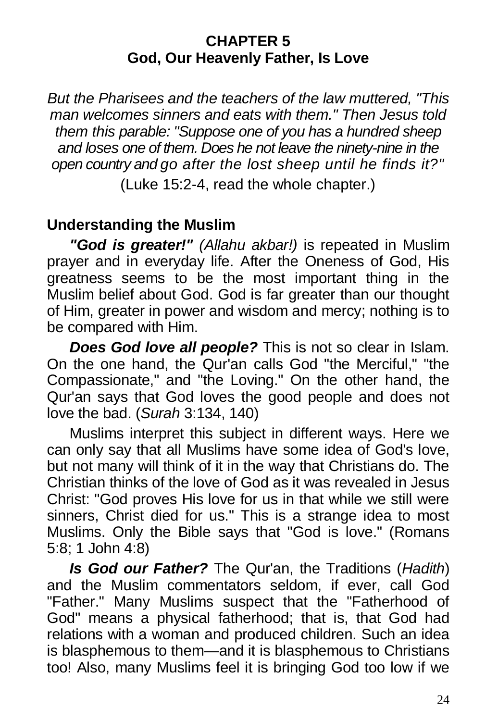#### **CHAPTER 5 God, Our Heavenly Father, Is Love**

*But the Pharisees and the teachers of the law muttered, "This man welcomes sinners and eats with them." Then Jesus told them this parable: "Suppose one of you has a hundred sheep and loses one of them. Does he not leave the ninety-nine in the open country and go after the lost sheep until he finds it?"*

(Luke 15:2-4, read the whole chapter.)

## **Understanding the Muslim**

*"God is greater!" (Allahu akbar!)* is repeated in Muslim prayer and in everyday life. After the Oneness of God, His greatness seems to be the most important thing in the Muslim belief about God. God is far greater than our thought of Him, greater in power and wisdom and mercy; nothing is to be compared with Him.

*Does God love all people?* This is not so clear in Islam. On the one hand, the Qur'an calls God "the Merciful," "the Compassionate," and "the Loving." On the other hand, the Qur'an says that God loves the good people and does not love the bad. (*Surah* 3:134, 140)

Muslims interpret this subject in different ways. Here we can only say that all Muslims have some idea of God's love, but not many will think of it in the way that Christians do. The Christian thinks of the love of God as it was revealed in Jesus Christ: "God proves His love for us in that while we still were sinners, Christ died for us." This is a strange idea to most Muslims. Only the Bible says that "God is love." (Romans 5:8; 1 John 4:8)

*Is God our Father?* The Qur'an, the Traditions (*Hadith*) and the Muslim commentators seldom, if ever, call God "Father." Many Muslims suspect that the "Fatherhood of God" means a physical fatherhood; that is, that God had relations with a woman and produced children. Such an idea is blasphemous to them—and it is blasphemous to Christians too! Also, many Muslims feel it is bringing God too low if we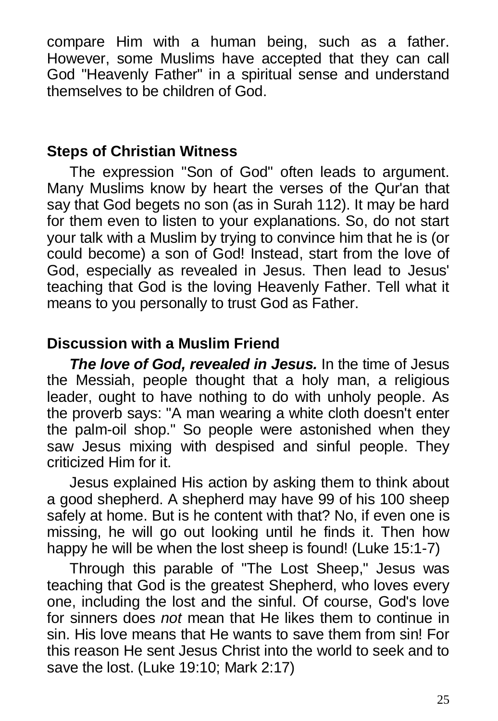compare Him with a human being, such as a father. However, some Muslims have accepted that they can call God "Heavenly Father" in a spiritual sense and understand themselves to be children of God.

## **Steps of Christian Witness**

The expression "Son of God" often leads to argument. Many Muslims know by heart the verses of the Qur'an that say that God begets no son (as in Surah 112). It may be hard for them even to listen to your explanations. So, do not start your talk with a Muslim by trying to convince him that he is (or could become) a son of God! Instead, start from the love of God, especially as revealed in Jesus. Then lead to Jesus' teaching that God is the loving Heavenly Father. Tell what it means to you personally to trust God as Father.

## **Discussion with a Muslim Friend**

*The love of God, revealed in Jesus.* In the time of Jesus the Messiah, people thought that a holy man, a religious leader, ought to have nothing to do with unholy people. As the proverb says: "A man wearing a white cloth doesn't enter the palm-oil shop." So people were astonished when they saw Jesus mixing with despised and sinful people. They criticized Him for it.

Jesus explained His action by asking them to think about a good shepherd. A shepherd may have 99 of his 100 sheep safely at home. But is he content with that? No, if even one is missing, he will go out looking until he finds it. Then how happy he will be when the lost sheep is found! (Luke 15:1-7)

Through this parable of "The Lost Sheep," Jesus was teaching that God is the greatest Shepherd, who loves every one, including the lost and the sinful. Of course, God's love for sinners does *not* mean that He likes them to continue in sin. His love means that He wants to save them from sin! For this reason He sent Jesus Christ into the world to seek and to save the lost. (Luke 19:10; Mark 2:17)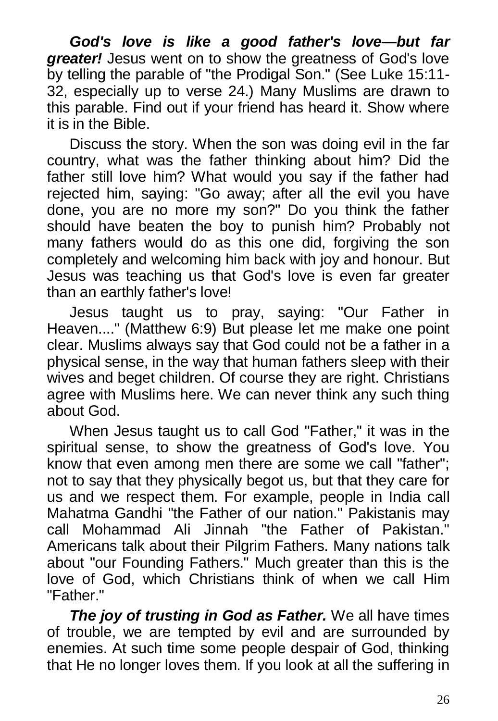*God's love is like a good father's love—but far greater!* Jesus went on to show the greatness of God's love by telling the parable of "the Prodigal Son." (See Luke 15:11- 32, especially up to verse 24.) Many Muslims are drawn to this parable. Find out if your friend has heard it. Show where it is in the Bible.

Discuss the story. When the son was doing evil in the far country, what was the father thinking about him? Did the father still love him? What would you say if the father had rejected him, saying: "Go away; after all the evil you have done, you are no more my son?" Do you think the father should have beaten the boy to punish him? Probably not many fathers would do as this one did, forgiving the son completely and welcoming him back with joy and honour. But Jesus was teaching us that God's love is even far greater than an earthly father's love!

Jesus taught us to pray, saying: "Our Father in Heaven...." (Matthew 6:9) But please let me make one point clear. Muslims always say that God could not be a father in a physical sense, in the way that human fathers sleep with their wives and beget children. Of course they are right. Christians agree with Muslims here. We can never think any such thing about God.

When Jesus taught us to call God "Father," it was in the spiritual sense, to show the greatness of God's love. You know that even among men there are some we call "father"; not to say that they physically begot us, but that they care for us and we respect them. For example, people in India call Mahatma Gandhi "the Father of our nation." Pakistanis may call Mohammad Ali Jinnah "the Father of Pakistan." Americans talk about their Pilgrim Fathers. Many nations talk about "our Founding Fathers." Much greater than this is the love of God, which Christians think of when we call Him "Father."

*The joy of trusting in God as Father.* We all have times of trouble, we are tempted by evil and are surrounded by enemies. At such time some people despair of God, thinking that He no longer loves them. If you look at all the suffering in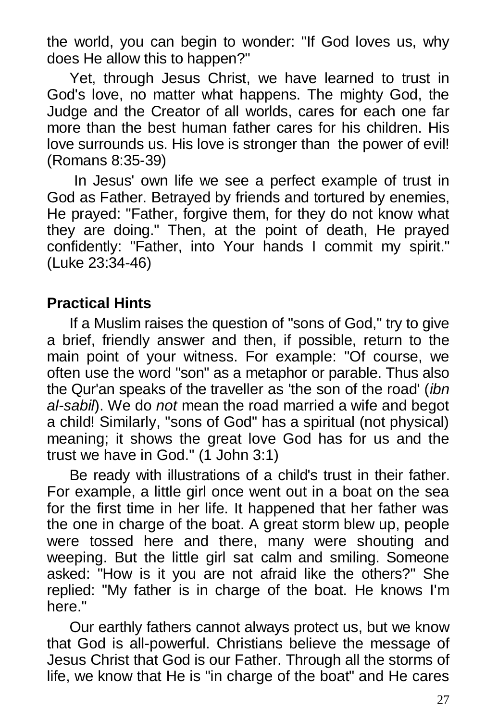the world, you can begin to wonder: "If God loves us, why does He allow this to happen?"

Yet, through Jesus Christ, we have learned to trust in God's love, no matter what happens. The mighty God, the Judge and the Creator of all worlds, cares for each one far more than the best human father cares for his children. His love surrounds us. His love is stronger than the power of evil! (Romans 8:35-39)

In Jesus' own life we see a perfect example of trust in God as Father. Betrayed by friends and tortured by enemies, He prayed: "Father, forgive them, for they do not know what they are doing." Then, at the point of death, He prayed confidently: "Father, into Your hands I commit my spirit." (Luke 23:34-46)

## **Practical Hints**

If a Muslim raises the question of "sons of God," try to give a brief, friendly answer and then, if possible, return to the main point of your witness. For example: "Of course, we often use the word "son" as a metaphor or parable. Thus also the Qur'an speaks of the traveller as 'the son of the road' (*ibn al-sabil*). We do *not* mean the road married a wife and begot a child! Similarly, "sons of God" has a spiritual (not physical) meaning; it shows the great love God has for us and the trust we have in God." (1 John 3:1)

Be ready with illustrations of a child's trust in their father. For example, a little girl once went out in a boat on the sea for the first time in her life. It happened that her father was the one in charge of the boat. A great storm blew up, people were tossed here and there, many were shouting and weeping. But the little girl sat calm and smiling. Someone asked: "How is it you are not afraid like the others?" She replied: "My father is in charge of the boat. He knows I'm here."

Our earthly fathers cannot always protect us, but we know that God is all-powerful. Christians believe the message of Jesus Christ that God is our Father. Through all the storms of life, we know that He is "in charge of the boat" and He cares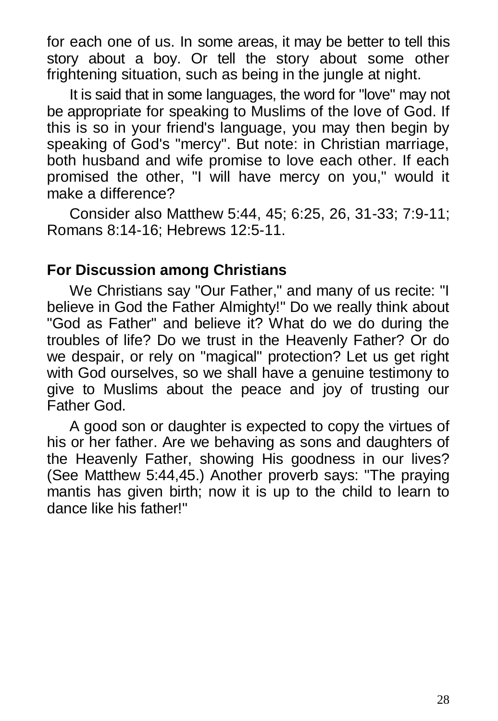for each one of us. In some areas, it may be better to tell this story about a boy. Or tell the story about some other frightening situation, such as being in the jungle at night.

It is said that in some languages, the word for "love" may not be appropriate for speaking to Muslims of the love of God. If this is so in your friend's language, you may then begin by speaking of God's "mercy". But note: in Christian marriage, both husband and wife promise to love each other. If each promised the other, "I will have mercy on you," would it make a difference?

Consider also Matthew 5:44, 45; 6:25, 26, 31-33; 7:9-11; Romans 8:14-16; Hebrews 12:5-11.

## **For Discussion among Christians**

We Christians say "Our Father," and many of us recite: "I believe in God the Father Almighty!" Do we really think about "God as Father" and believe it? What do we do during the troubles of life? Do we trust in the Heavenly Father? Or do we despair, or rely on "magical" protection? Let us get right with God ourselves, so we shall have a genuine testimony to give to Muslims about the peace and joy of trusting our Father God.

A good son or daughter is expected to copy the virtues of his or her father. Are we behaving as sons and daughters of the Heavenly Father, showing His goodness in our lives? (See Matthew 5:44,45.) Another proverb says: "The praying mantis has given birth; now it is up to the child to learn to dance like his father!"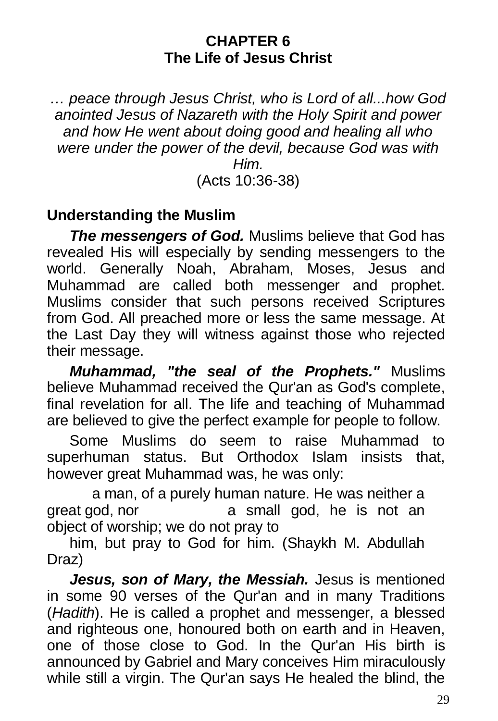#### **CHAPTER 6 The Life of Jesus Christ**

*… peace through Jesus Christ, who is Lord of all...how God anointed Jesus of Nazareth with the Holy Spirit and power and how He went about doing good and healing all who were under the power of the devil, because God was with Him.* (Acts 10:36-38)

## **Understanding the Muslim**

*The messengers of God.* Muslims believe that God has revealed His will especially by sending messengers to the world. Generally Noah, Abraham, Moses, Jesus and Muhammad are called both messenger and prophet. Muslims consider that such persons received Scriptures from God. All preached more or less the same message. At the Last Day they will witness against those who rejected their message.

*Muhammad, "the seal of the Prophets."* Muslims believe Muhammad received the Qur'an as God's complete, final revelation for all. The life and teaching of Muhammad are believed to give the perfect example for people to follow.

Some Muslims do seem to raise Muhammad to superhuman status. But Orthodox Islam insists that, however great Muhammad was, he was only:

a man, of a purely human nature. He was neither a great god, nor a small god, he is not an object of worship; we do not pray to

him, but pray to God for him. (Shaykh M. Abdullah Draz)

*Jesus, son of Mary, the Messiah.* Jesus is mentioned in some 90 verses of the Qur'an and in many Traditions (*Hadith*). He is called a prophet and messenger, a blessed and righteous one, honoured both on earth and in Heaven, one of those close to God. In the Qur'an His birth is announced by Gabriel and Mary conceives Him miraculously while still a virgin. The Qur'an says He healed the blind, the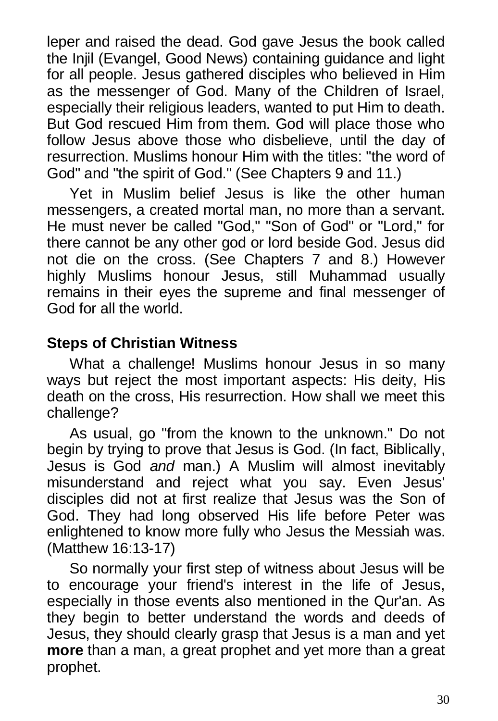leper and raised the dead. God gave Jesus the book called the Injil (Evangel, Good News) containing guidance and light for all people. Jesus gathered disciples who believed in Him as the messenger of God. Many of the Children of Israel, especially their religious leaders, wanted to put Him to death. But God rescued Him from them. God will place those who follow Jesus above those who disbelieve, until the day of resurrection. Muslims honour Him with the titles: "the word of God" and "the spirit of God." (See Chapters 9 and 11.)

Yet in Muslim belief Jesus is like the other human messengers, a created mortal man, no more than a servant. He must never be called "God," "Son of God" or "Lord," for there cannot be any other god or lord beside God. Jesus did not die on the cross. (See Chapters 7 and 8.) However highly Muslims honour Jesus, still Muhammad usually remains in their eyes the supreme and final messenger of God for all the world.

## **Steps of Christian Witness**

What a challenge! Muslims honour Jesus in so many ways but reject the most important aspects: His deity, His death on the cross, His resurrection. How shall we meet this challenge?

As usual, go "from the known to the unknown." Do not begin by trying to prove that Jesus is God. (In fact, Biblically, Jesus is God *and* man.) A Muslim will almost inevitably misunderstand and reject what you say. Even Jesus' disciples did not at first realize that Jesus was the Son of God. They had long observed His life before Peter was enlightened to know more fully who Jesus the Messiah was. (Matthew 16:13-17)

So normally your first step of witness about Jesus will be to encourage your friend's interest in the life of Jesus, especially in those events also mentioned in the Qur'an. As they begin to better understand the words and deeds of Jesus, they should clearly grasp that Jesus is a man and yet **more** than a man, a great prophet and yet more than a great prophet.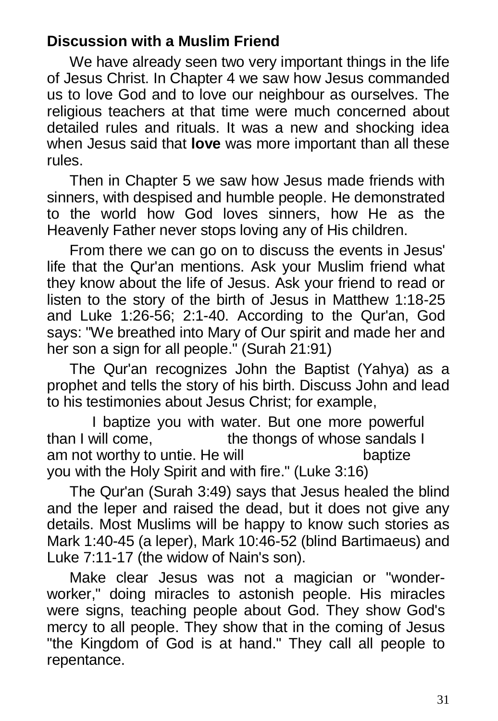## **Discussion with a Muslim Friend**

We have already seen two very important things in the life of Jesus Christ. In Chapter 4 we saw how Jesus commanded us to love God and to love our neighbour as ourselves. The religious teachers at that time were much concerned about detailed rules and rituals. It was a new and shocking idea when Jesus said that **love** was more important than all these rules.

Then in Chapter 5 we saw how Jesus made friends with sinners, with despised and humble people. He demonstrated to the world how God loves sinners, how He as the Heavenly Father never stops loving any of His children.

From there we can go on to discuss the events in Jesus' life that the Qur'an mentions. Ask your Muslim friend what they know about the life of Jesus. Ask your friend to read or listen to the story of the birth of Jesus in Matthew 1:18-25 and Luke 1:26-56; 2:1-40. According to the Qur'an, God says: "We breathed into Mary of Our spirit and made her and her son a sign for all people." (Surah 21:91)

The Qur'an recognizes John the Baptist (Yahya) as a prophet and tells the story of his birth. Discuss John and lead to his testimonies about Jesus Christ; for example,

I baptize you with water. But one more powerful<br>than I will come. the thongs of whose sandals I the thongs of whose sandals I am not worthy to untie. He will baptize you with the Holy Spirit and with fire." (Luke 3:16)

The Qur'an (Surah 3:49) says that Jesus healed the blind and the leper and raised the dead, but it does not give any details. Most Muslims will be happy to know such stories as Mark 1:40-45 (a leper), Mark 10:46-52 (blind Bartimaeus) and Luke 7:11-17 (the widow of Nain's son).

Make clear Jesus was not a magician or "wonderworker," doing miracles to astonish people. His miracles were signs, teaching people about God. They show God's mercy to all people. They show that in the coming of Jesus "the Kingdom of God is at hand." They call all people to repentance.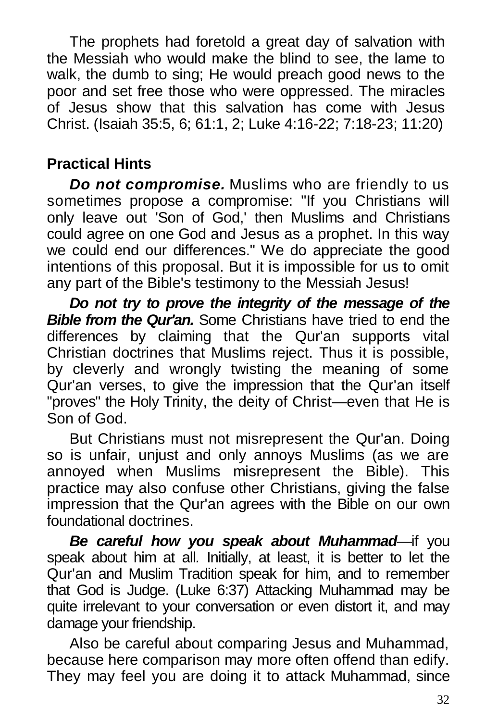The prophets had foretold a great day of salvation with the Messiah who would make the blind to see, the lame to walk, the dumb to sing; He would preach good news to the poor and set free those who were oppressed. The miracles of Jesus show that this salvation has come with Jesus Christ. (Isaiah 35:5, 6; 61:1, 2; Luke 4:16-22; 7:18-23; 11:20)

# **Practical Hints**

*Do not compromise.* Muslims who are friendly to us sometimes propose a compromise: "If you Christians will only leave out 'Son of God,' then Muslims and Christians could agree on one God and Jesus as a prophet. In this way we could end our differences." We do appreciate the good intentions of this proposal. But it is impossible for us to omit any part of the Bible's testimony to the Messiah Jesus!

*Do not try to prove the integrity of the message of the Bible from the Qur'an.* Some Christians have tried to end the differences by claiming that the Qur'an supports vital Christian doctrines that Muslims reject. Thus it is possible, by cleverly and wrongly twisting the meaning of some Qur'an verses, to give the impression that the Qur'an itself "proves" the Holy Trinity, the deity of Christ—even that He is Son of God.

But Christians must not misrepresent the Qur'an. Doing so is unfair, unjust and only annoys Muslims (as we are annoyed when Muslims misrepresent the Bible). This practice may also confuse other Christians, giving the false impression that the Qur'an agrees with the Bible on our own foundational doctrines.

*Be careful how you speak about Muhammad—*if you speak about him at all*.* Initially, at least, it is better to let the Qur'an and Muslim Tradition speak for him, and to remember that God is Judge. (Luke 6:37) Attacking Muhammad may be quite irrelevant to your conversation or even distort it, and may damage your friendship.

Also be careful about comparing Jesus and Muhammad, because here comparison may more often offend than edify. They may feel you are doing it to attack Muhammad, since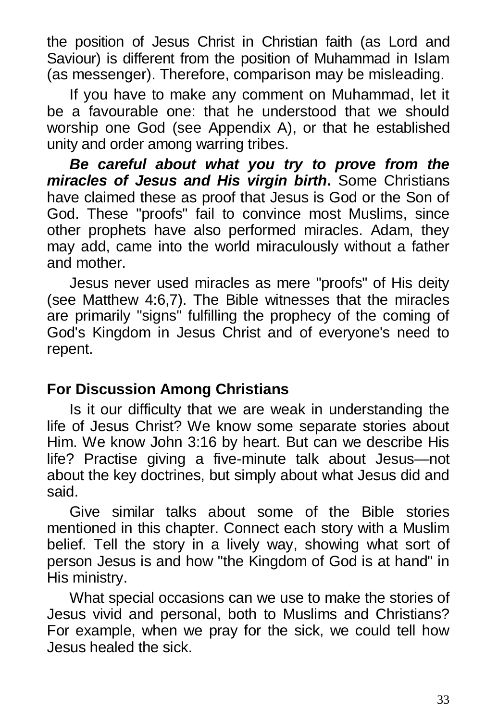the position of Jesus Christ in Christian faith (as Lord and Saviour) is different from the position of Muhammad in Islam (as messenger). Therefore, comparison may be misleading.

If you have to make any comment on Muhammad, let it be a favourable one: that he understood that we should worship one God (see Appendix A), or that he established unity and order among warring tribes.

*Be careful about what you try to prove from the miracles of Jesus and His virgin birth***.** Some Christians have claimed these as proof that Jesus is God or the Son of God. These "proofs" fail to convince most Muslims, since other prophets have also performed miracles. Adam, they may add, came into the world miraculously without a father and mother.

Jesus never used miracles as mere "proofs" of His deity (see Matthew 4:6,7). The Bible witnesses that the miracles are primarily "signs" fulfilling the prophecy of the coming of God's Kingdom in Jesus Christ and of everyone's need to repent.

## **For Discussion Among Christians**

Is it our difficulty that we are weak in understanding the life of Jesus Christ? We know some separate stories about Him. We know John 3:16 by heart. But can we describe His life? Practise giving a five-minute talk about Jesus—not about the key doctrines, but simply about what Jesus did and said.

Give similar talks about some of the Bible stories mentioned in this chapter. Connect each story with a Muslim belief. Tell the story in a lively way, showing what sort of person Jesus is and how "the Kingdom of God is at hand" in His ministry.

What special occasions can we use to make the stories of Jesus vivid and personal, both to Muslims and Christians? For example, when we pray for the sick, we could tell how Jesus healed the sick.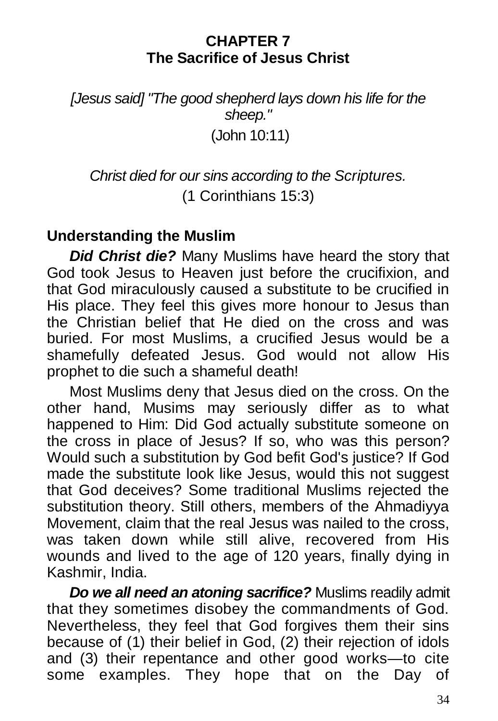#### **CHAPTER 7 The Sacrifice of Jesus Christ**

*[Jesus said] "The good shepherd lays down his life for the sheep."* (John 10:11)

*Christ died for our sins according to the Scriptures.* (1 Corinthians 15:3)

## **Understanding the Muslim**

*Did Christ die?* Many Muslims have heard the story that God took Jesus to Heaven just before the crucifixion, and that God miraculously caused a substitute to be crucified in His place. They feel this gives more honour to Jesus than the Christian belief that He died on the cross and was buried. For most Muslims, a crucified Jesus would be a shamefully defeated Jesus. God would not allow His prophet to die such a shameful death!

Most Muslims deny that Jesus died on the cross. On the other hand, Musims may seriously differ as to what happened to Him: Did God actually substitute someone on the cross in place of Jesus? If so, who was this person? Would such a substitution by God befit God's justice? If God made the substitute look like Jesus, would this not suggest that God deceives? Some traditional Muslims rejected the substitution theory. Still others, members of the Ahmadiyya Movement, claim that the real Jesus was nailed to the cross, was taken down while still alive, recovered from His wounds and lived to the age of 120 years, finally dying in Kashmir, India.

*Do we all need an atoning sacrifice?* Muslims readily admit that they sometimes disobey the commandments of God. Nevertheless, they feel that God forgives them their sins because of (1) their belief in God, (2) their rejection of idols and (3) their repentance and other good works—to cite some examples. They hope that on the Day of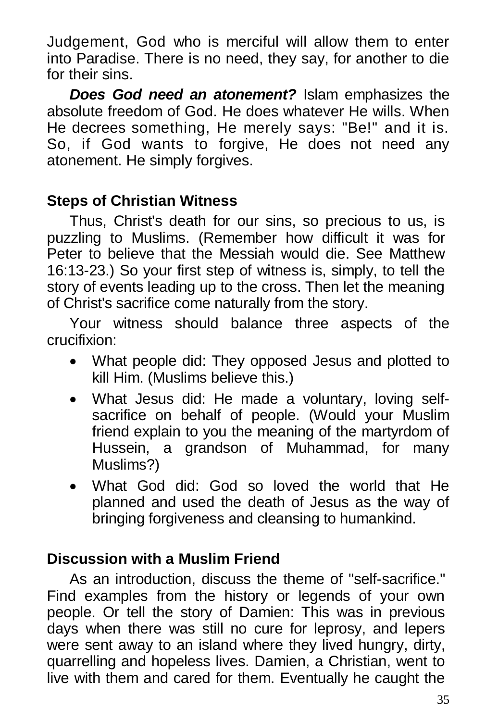Judgement, God who is merciful will allow them to enter into Paradise. There is no need, they say, for another to die for their sins.

*Does God need an atonement?* Islam emphasizes the absolute freedom of God. He does whatever He wills. When He decrees something, He merely says: "Be!" and it is. So, if God wants to forgive, He does not need any atonement. He simply forgives.

## **Steps of Christian Witness**

Thus, Christ's death for our sins, so precious to us, is puzzling to Muslims. (Remember how difficult it was for Peter to believe that the Messiah would die. See Matthew 16:13-23.) So your first step of witness is, simply, to tell the story of events leading up to the cross. Then let the meaning of Christ's sacrifice come naturally from the story.

Your witness should balance three aspects of the crucifixion:

- What people did: They opposed Jesus and plotted to kill Him. (Muslims believe this.)
- What Jesus did: He made a voluntary, loving selfsacrifice on behalf of people. (Would your Muslim friend explain to you the meaning of the martyrdom of Hussein, a grandson of Muhammad, for many Muslims?)
- What God did: God so loved the world that He planned and used the death of Jesus as the way of bringing forgiveness and cleansing to humankind.

## **Discussion with a Muslim Friend**

As an introduction, discuss the theme of "self-sacrifice." Find examples from the history or legends of your own people. Or tell the story of Damien: This was in previous days when there was still no cure for leprosy, and lepers were sent away to an island where they lived hungry, dirty, quarrelling and hopeless lives. Damien, a Christian, went to live with them and cared for them. Eventually he caught the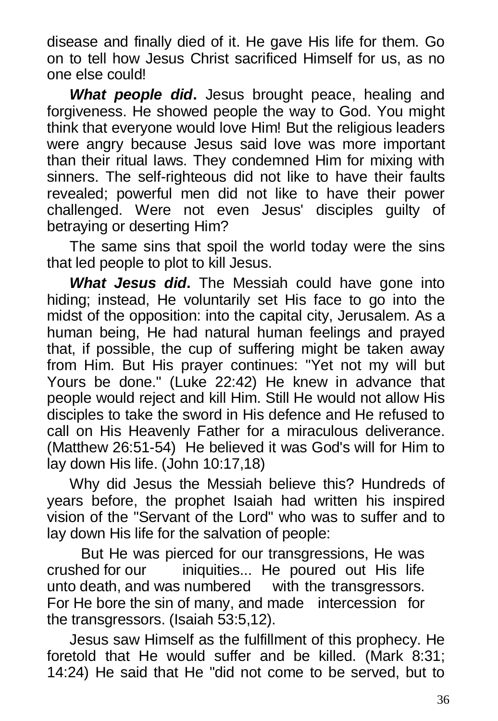disease and finally died of it. He gave His life for them. Go on to tell how Jesus Christ sacrificed Himself for us, as no one else could!

*What people did***.** Jesus brought peace, healing and forgiveness. He showed people the way to God. You might think that everyone would love Him! But the religious leaders were angry because Jesus said love was more important than their ritual laws. They condemned Him for mixing with sinners. The self-righteous did not like to have their faults revealed; powerful men did not like to have their power challenged. Were not even Jesus' disciples guilty of betraying or deserting Him?

The same sins that spoil the world today were the sins that led people to plot to kill Jesus.

*What Jesus did***.** The Messiah could have gone into hiding; instead, He voluntarily set His face to go into the midst of the opposition: into the capital city, Jerusalem. As a human being, He had natural human feelings and prayed that, if possible, the cup of suffering might be taken away from Him. But His prayer continues: "Yet not my will but Yours be done." (Luke 22:42) He knew in advance that people would reject and kill Him. Still He would not allow His disciples to take the sword in His defence and He refused to call on His Heavenly Father for a miraculous deliverance. (Matthew 26:51-54) He believed it was God's will for Him to lay down His life. (John 10:17,18)

Why did Jesus the Messiah believe this? Hundreds of years before, the prophet Isaiah had written his inspired vision of the "Servant of the Lord" who was to suffer and to lay down His life for the salvation of people:

But He was pierced for our transgressions, He was crushed for our iniquities... He poured out His life unto death, and was numbered with the transgressors. For He bore the sin of many, and made intercession for the transgressors. (Isaiah 53:5,12).

Jesus saw Himself as the fulfillment of this prophecy. He foretold that He would suffer and be killed. (Mark 8:31; 14:24) He said that He "did not come to be served, but to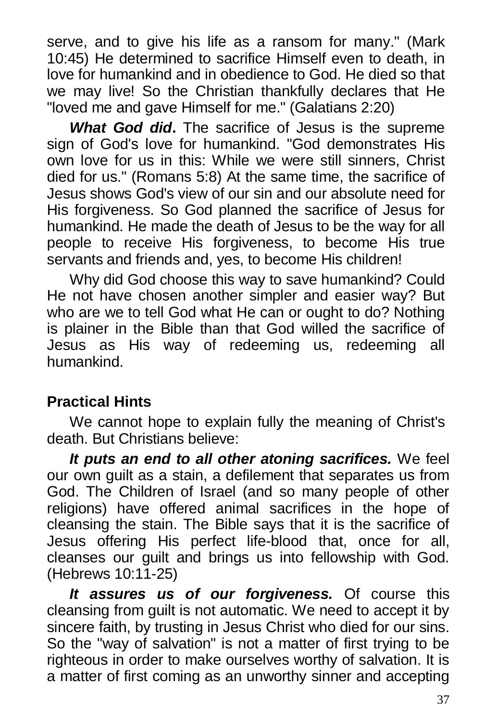serve, and to give his life as a ransom for many." (Mark 10:45) He determined to sacrifice Himself even to death, in love for humankind and in obedience to God. He died so that we may live! So the Christian thankfully declares that He "loved me and gave Himself for me." (Galatians 2:20)

*What God did***.** The sacrifice of Jesus is the supreme sign of God's love for humankind. "God demonstrates His own love for us in this: While we were still sinners, Christ died for us." (Romans 5:8) At the same time, the sacrifice of Jesus shows God's view of our sin and our absolute need for His forgiveness. So God planned the sacrifice of Jesus for humankind. He made the death of Jesus to be the way for all people to receive His forgiveness, to become His true servants and friends and, yes, to become His children!

Why did God choose this way to save humankind? Could He not have chosen another simpler and easier way? But who are we to tell God what He can or ought to do? Nothing is plainer in the Bible than that God willed the sacrifice of Jesus as His way of redeeming us, redeeming all humankind.

# **Practical Hints**

We cannot hope to explain fully the meaning of Christ's death. But Christians believe:

*It puts an end to all other atoning sacrifices.* We feel our own guilt as a stain, a defilement that separates us from God. The Children of Israel (and so many people of other religions) have offered animal sacrifices in the hope of cleansing the stain. The Bible says that it is the sacrifice of Jesus offering His perfect life-blood that, once for all, cleanses our guilt and brings us into fellowship with God. (Hebrews 10:11-25)

*It assures us of our forgiveness.* Of course this cleansing from guilt is not automatic. We need to accept it by sincere faith, by trusting in Jesus Christ who died for our sins. So the "way of salvation" is not a matter of first trying to be righteous in order to make ourselves worthy of salvation. It is a matter of first coming as an unworthy sinner and accepting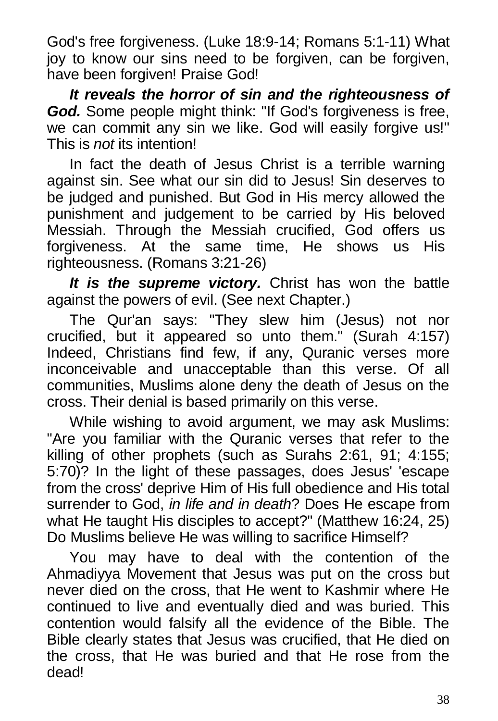God's free forgiveness. (Luke 18:9-14; Romans 5:1-11) What joy to know our sins need to be forgiven, can be forgiven, have been forgiven! Praise God!

*It reveals the horror of sin and the righteousness of God.* Some people might think: "If God's forgiveness is free, we can commit any sin we like. God will easily forgive us!" This is *not* its intention!

In fact the death of Jesus Christ is a terrible warning against sin. See what our sin did to Jesus! Sin deserves to be judged and punished. But God in His mercy allowed the punishment and judgement to be carried by His beloved Messiah. Through the Messiah crucified, God offers us forgiveness. At the same time, He shows us His righteousness. (Romans 3:21-26)

*It is the supreme victory.* Christ has won the battle against the powers of evil. (See next Chapter.)

The Qur'an says: "They slew him (Jesus) not nor crucified, but it appeared so unto them." (Surah 4:157) Indeed, Christians find few, if any, Quranic verses more inconceivable and unacceptable than this verse. Of all communities, Muslims alone deny the death of Jesus on the cross. Their denial is based primarily on this verse.

While wishing to avoid argument, we may ask Muslims: "Are you familiar with the Quranic verses that refer to the killing of other prophets (such as Surahs 2:61, 91; 4:155; 5:70)? In the light of these passages, does Jesus' 'escape from the cross' deprive Him of His full obedience and His total surrender to God, *in life and in death*? Does He escape from what He taught His disciples to accept?" (Matthew 16:24, 25) Do Muslims believe He was willing to sacrifice Himself?

You may have to deal with the contention of the Ahmadiyya Movement that Jesus was put on the cross but never died on the cross, that He went to Kashmir where He continued to live and eventually died and was buried. This contention would falsify all the evidence of the Bible. The Bible clearly states that Jesus was crucified, that He died on the cross, that He was buried and that He rose from the dead!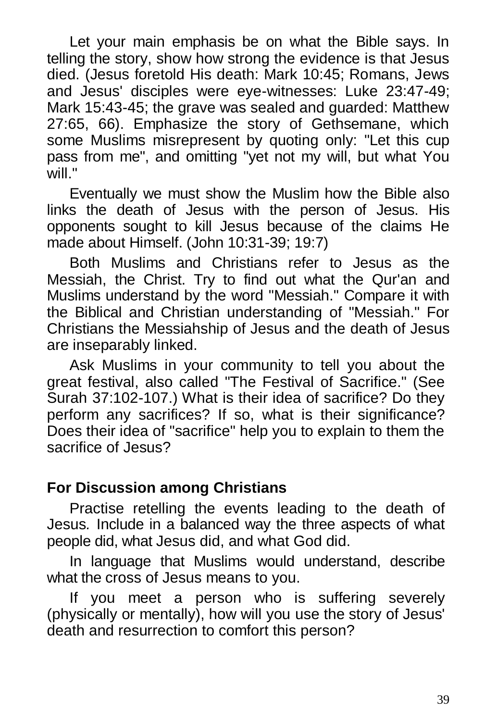Let your main emphasis be on what the Bible says. In telling the story, show how strong the evidence is that Jesus died. (Jesus foretold His death: Mark 10:45; Romans, Jews and Jesus' disciples were eye-witnesses: Luke 23:47-49; Mark 15:43-45; the grave was sealed and guarded: Matthew 27:65, 66). Emphasize the story of Gethsemane, which some Muslims misrepresent by quoting only: "Let this cup pass from me", and omitting "yet not my will, but what You will."

Eventually we must show the Muslim how the Bible also links the death of Jesus with the person of Jesus. His opponents sought to kill Jesus because of the claims He made about Himself. (John 10:31-39; 19:7)

Both Muslims and Christians refer to Jesus as the Messiah, the Christ. Try to find out what the Qur'an and Muslims understand by the word "Messiah." Compare it with the Biblical and Christian understanding of "Messiah." For Christians the Messiahship of Jesus and the death of Jesus are inseparably linked.

Ask Muslims in your community to tell you about the great festival, also called "The Festival of Sacrifice." (See Surah 37:102-107.) What is their idea of sacrifice? Do they perform any sacrifices? If so, what is their significance? Does their idea of "sacrifice" help you to explain to them the sacrifice of Jesus?

### **For Discussion among Christians**

Practise retelling the events leading to the death of Jesus*.* Include in a balanced way the three aspects of what people did, what Jesus did, and what God did.

In language that Muslims would understand, describe what the cross of Jesus means to you.

If you meet a person who is suffering severely (physically or mentally), how will you use the story of Jesus' death and resurrection to comfort this person?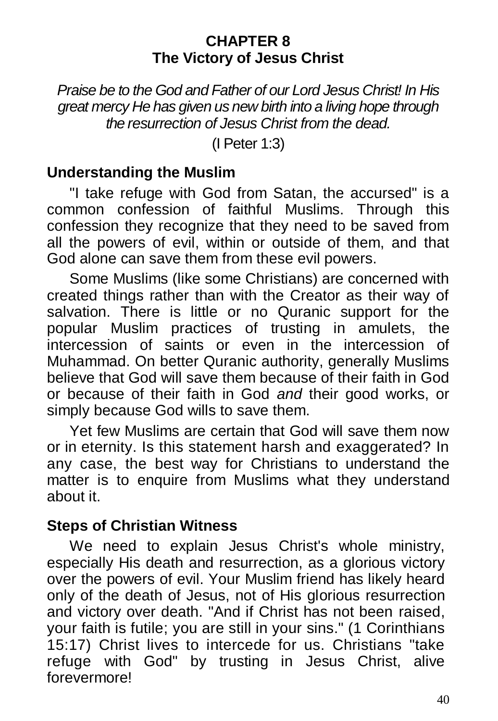#### **CHAPTER 8 The Victory of Jesus Christ**

*Praise be to the God and Father of our Lord Jesus Christ! In His great mercy He has given us new birth into a living hope through the resurrection of Jesus Christ from the dead.*

(I Peter 1:3)

#### **Understanding the Muslim**

"I take refuge with God from Satan, the accursed" is a common confession of faithful Muslims. Through this confession they recognize that they need to be saved from all the powers of evil, within or outside of them, and that God alone can save them from these evil powers.

Some Muslims (like some Christians) are concerned with created things rather than with the Creator as their way of salvation. There is little or no Quranic support for the popular Muslim practices of trusting in amulets, the intercession of saints or even in the intercession of Muhammad. On better Quranic authority, generally Muslims believe that God will save them because of their faith in God or because of their faith in God *and* their good works, or simply because God wills to save them.

Yet few Muslims are certain that God will save them now or in eternity. Is this statement harsh and exaggerated? In any case, the best way for Christians to understand the matter is to enquire from Muslims what they understand about it.

### **Steps of Christian Witness**

We need to explain Jesus Christ's whole ministry, especially His death and resurrection, as a glorious victory over the powers of evil. Your Muslim friend has likely heard only of the death of Jesus, not of His glorious resurrection and victory over death. "And if Christ has not been raised, your faith is futile; you are still in your sins." (1 Corinthians 15:17) Christ lives to intercede for us. Christians "take refuge with God" by trusting in Jesus Christ, alive forevermore!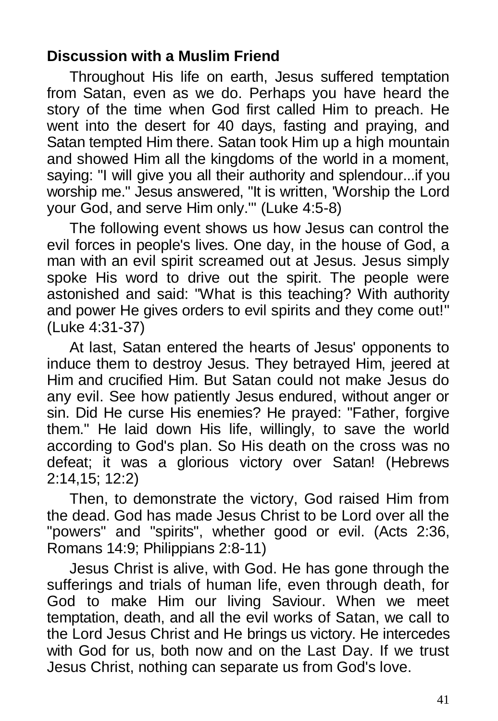## **Discussion with a Muslim Friend**

Throughout His life on earth, Jesus suffered temptation from Satan, even as we do. Perhaps you have heard the story of the time when God first called Him to preach. He went into the desert for 40 days, fasting and praying, and Satan tempted Him there. Satan took Him up a high mountain and showed Him all the kingdoms of the world in a moment, saying: "I will give you all their authority and splendour...if you worship me." Jesus answered, "It is written, 'Worship the Lord your God, and serve Him only.'" (Luke 4:5-8)

The following event shows us how Jesus can control the evil forces in people's lives. One day, in the house of God, a man with an evil spirit screamed out at Jesus. Jesus simply spoke His word to drive out the spirit. The people were astonished and said: "What is this teaching? With authority and power He gives orders to evil spirits and they come out!" (Luke 4:31-37)

At last, Satan entered the hearts of Jesus' opponents to induce them to destroy Jesus. They betrayed Him, jeered at Him and crucified Him. But Satan could not make Jesus do any evil. See how patiently Jesus endured, without anger or sin. Did He curse His enemies? He prayed: "Father, forgive them." He laid down His life, willingly, to save the world according to God's plan. So His death on the cross was no defeat; it was a glorious victory over Satan! (Hebrews 2:14,15; 12:2)

Then, to demonstrate the victory, God raised Him from the dead. God has made Jesus Christ to be Lord over all the "powers" and "spirits", whether good or evil. (Acts 2:36, Romans 14:9; Philippians 2:8-11)

Jesus Christ is alive, with God. He has gone through the sufferings and trials of human life, even through death, for God to make Him our living Saviour. When we meet temptation, death, and all the evil works of Satan, we call to the Lord Jesus Christ and He brings us victory. He intercedes with God for us, both now and on the Last Day. If we trust Jesus Christ, nothing can separate us from God's love.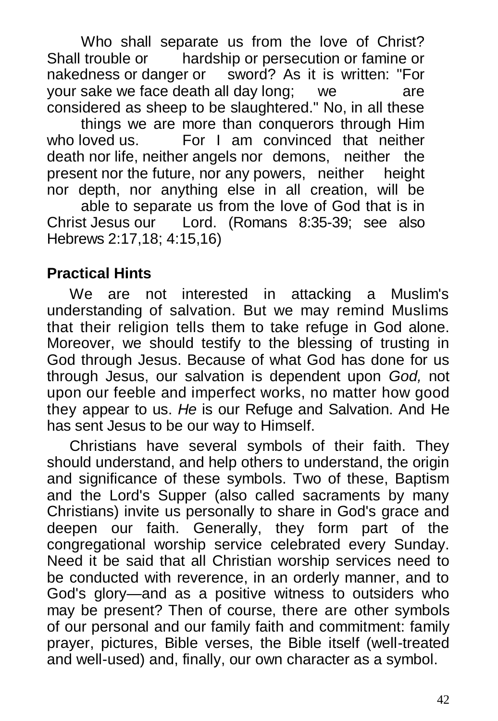Who shall separate us from the love of Christ?<br>Shall trouble or bardship or persecution or famine or hardship or persecution or famine or nakedness or danger or sword? As it is written: "For your sake we face death all day long; we are considered as sheep to be slaughtered." No, in all these

things we are more than conquerors through Him who loved us. For I am convinced that neither death nor life, neither angels nor demons, neither the present nor the future, nor any powers, neither height nor depth, nor anything else in all creation, will be

able to separate us from the love of God that is in Christ Jesus our Lord. (Romans 8:35-39; see also Hebrews 2:17,18; 4:15,16)

## **Practical Hints**

We are not interested in attacking a Muslim's understanding of salvation. But we may remind Muslims that their religion tells them to take refuge in God alone. Moreover, we should testify to the blessing of trusting in God through Jesus. Because of what God has done for us through Jesus, our salvation is dependent upon *God,* not upon our feeble and imperfect works, no matter how good they appear to us. *He* is our Refuge and Salvation. And He has sent Jesus to be our way to Himself.

Christians have several symbols of their faith. They should understand, and help others to understand, the origin and significance of these symbols. Two of these, Baptism and the Lord's Supper (also called sacraments by many Christians) invite us personally to share in God's grace and deepen our faith. Generally, they form part of the congregational worship service celebrated every Sunday. Need it be said that all Christian worship services need to be conducted with reverence, in an orderly manner, and to God's glory—and as a positive witness to outsiders who may be present? Then of course, there are other symbols of our personal and our family faith and commitment: family prayer, pictures, Bible verses, the Bible itself (well-treated and well-used) and, finally, our own character as a symbol.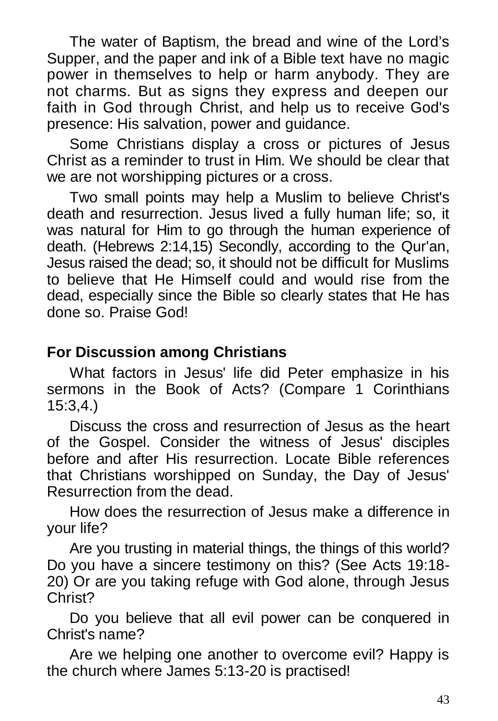The water of Baptism, the bread and wine of the Lord's Supper, and the paper and ink of a Bible text have no magic power in themselves to help or harm anybody. They are not charms. But as signs they express and deepen our faith in God through Christ, and help us to receive God's presence: His salvation, power and guidance.

Some Christians display a cross or pictures of Jesus Christ as a reminder to trust in Him. We should be clear that we are not worshipping pictures or a cross.

Two small points may help a Muslim to believe Christ's death and resurrection. Jesus lived a fully human life; so, it was natural for Him to go through the human experience of death. (Hebrews 2:14,15) Secondly, according to the Qur'an, Jesus raised the dead; so, it should not be difficult for Muslims to believe that He Himself could and would rise from the dead, especially since the Bible so clearly states that He has done so. Praise God!

## **For Discussion among Christians**

What factors in Jesus' life did Peter emphasize in his sermons in the Book of Acts? (Compare 1 Corinthians 15:3,4.)

Discuss the cross and resurrection of Jesus as the heart of the Gospel. Consider the witness of Jesus' disciples before and after His resurrection. Locate Bible references that Christians worshipped on Sunday, the Day of Jesus' Resurrection from the dead.

How does the resurrection of Jesus make a difference in your life?

Are you trusting in material things, the things of this world? Do you have a sincere testimony on this? (See Acts 19:18- 20) Or are you taking refuge with God alone, through Jesus Christ?

Do you believe that all evil power can be conquered in Christ's name?

Are we helping one another to overcome evil? Happy is the church where James 5:13-20 is practised!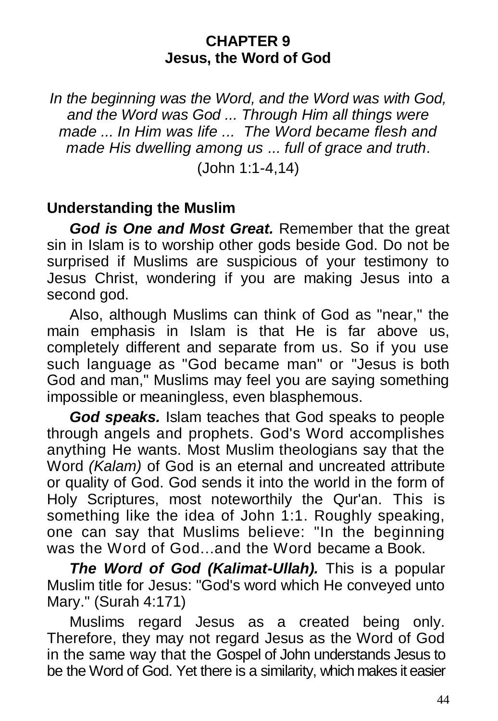#### **CHAPTER 9 Jesus, the Word of God**

*In the beginning was the Word, and the Word was with God, and the Word was God ... Through Him all things were made ... In Him was life ... The Word became flesh and made His dwelling among us ... full of grace and truth*.

(John 1:1-4,14)

## **Understanding the Muslim**

*God is One and Most Great.* Remember that the great sin in Islam is to worship other gods beside God. Do not be surprised if Muslims are suspicious of your testimony to Jesus Christ, wondering if you are making Jesus into a second god.

Also, although Muslims can think of God as "near," the main emphasis in Islam is that He is far above us, completely different and separate from us. So if you use such language as "God became man" or "Jesus is both God and man," Muslims may feel you are saying something impossible or meaningless, even blasphemous.

*God speaks.* Islam teaches that God speaks to people through angels and prophets. God's Word accomplishes anything He wants. Most Muslim theologians say that the Word *(Kalam)* of God is an eternal and uncreated attribute or quality of God. God sends it into the world in the form of Holy Scriptures, most noteworthily the Qur'an. This is something like the idea of John 1:1. Roughly speaking, one can say that Muslims believe: "In the beginning was the Word of God...and the Word became a Book.

*The Word of God (Kalimat-Ullah).* This is a popular Muslim title for Jesus: "God's word which He conveyed unto Mary." (Surah 4:171)

Muslims regard Jesus as a created being only. Therefore, they may not regard Jesus as the Word of God in the same way that the Gospel of John understands Jesus to be the Word of God. Yet there is a similarity, which makes it easier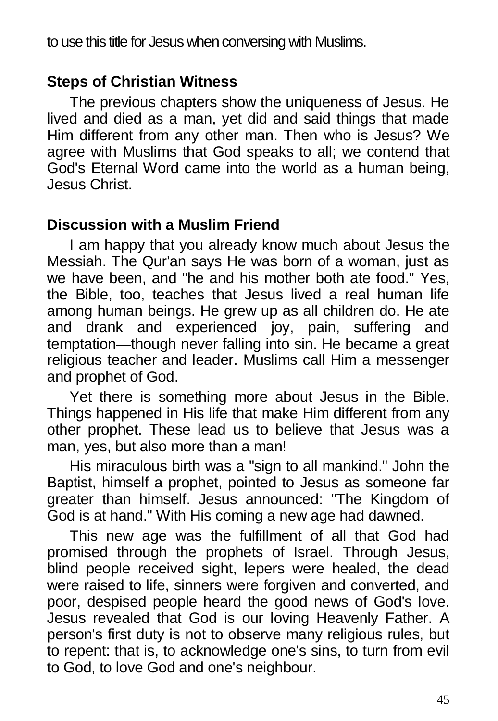to use this title for Jesus when conversing with Muslims.

## **Steps of Christian Witness**

The previous chapters show the uniqueness of Jesus. He lived and died as a man, yet did and said things that made Him different from any other man. Then who is Jesus? We agree with Muslims that God speaks to all; we contend that God's Eternal Word came into the world as a human being, Jesus Christ.

### **Discussion with a Muslim Friend**

I am happy that you already know much about Jesus the Messiah. The Qur'an says He was born of a woman, just as we have been, and "he and his mother both ate food." Yes, the Bible, too, teaches that Jesus lived a real human life among human beings. He grew up as all children do. He ate and drank and experienced joy, pain, suffering and temptation—though never falling into sin. He became a great religious teacher and leader. Muslims call Him a messenger and prophet of God.

Yet there is something more about Jesus in the Bible. Things happened in His life that make Him different from any other prophet. These lead us to believe that Jesus was a man, yes, but also more than a man!

His miraculous birth was a "sign to all mankind." John the Baptist, himself a prophet, pointed to Jesus as someone far greater than himself. Jesus announced: "The Kingdom of God is at hand." With His coming a new age had dawned.

This new age was the fulfillment of all that God had promised through the prophets of Israel. Through Jesus, blind people received sight, lepers were healed, the dead were raised to life, sinners were forgiven and converted, and poor, despised people heard the good news of God's love. Jesus revealed that God is our loving Heavenly Father. A person's first duty is not to observe many religious rules, but to repent: that is, to acknowledge one's sins, to turn from evil to God, to love God and one's neighbour.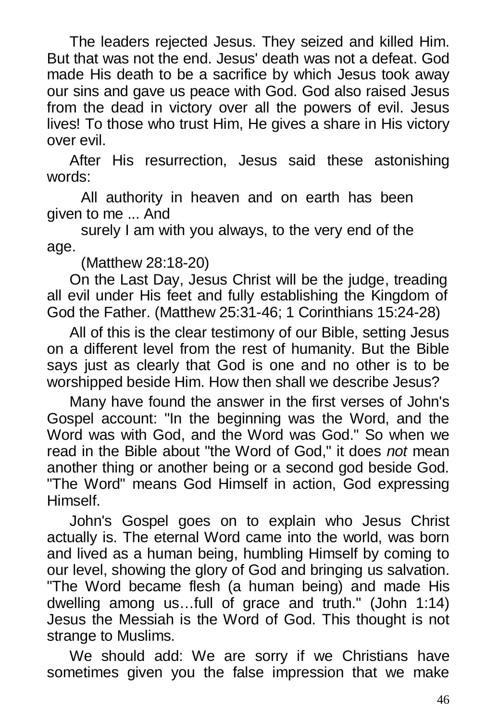The leaders rejected Jesus. They seized and killed Him. But that was not the end. Jesus' death was not a defeat. God made His death to be a sacrifice by which Jesus took away our sins and gave us peace with God. God also raised Jesus from the dead in victory over all the powers of evil. Jesus lives! To those who trust Him, He gives a share in His victory over evil.

After His resurrection, Jesus said these astonishing words:

All authority in heaven and on earth has been given to me ... And

surely I am with you always, to the very end of the age.

(Matthew 28:18-20)

On the Last Day, Jesus Christ will be the judge, treading all evil under His feet and fully establishing the Kingdom of God the Father. (Matthew 25:31-46; 1 Corinthians 15:24-28)

 All of this is the clear testimony of our Bible, setting Jesus on a different level from the rest of humanity. But the Bible says just as clearly that God is one and no other is to be worshipped beside Him. How then shall we describe Jesus?

Many have found the answer in the first verses of John's Gospel account: "In the beginning was the Word, and the Word was with God, and the Word was God." So when we read in the Bible about "the Word of God," it does *not* mean another thing or another being or a second god beside God. "The Word" means God Himself in action, God expressing Himself.

John's Gospel goes on to explain who Jesus Christ actually is. The eternal Word came into the world, was born and lived as a human being, humbling Himself by coming to our level, showing the glory of God and bringing us salvation. "The Word became flesh (a human being) and made His dwelling among us…full of grace and truth." (John 1:14) Jesus the Messiah is the Word of God. This thought is not strange to Muslims.

We should add: We are sorry if we Christians have sometimes given you the false impression that we make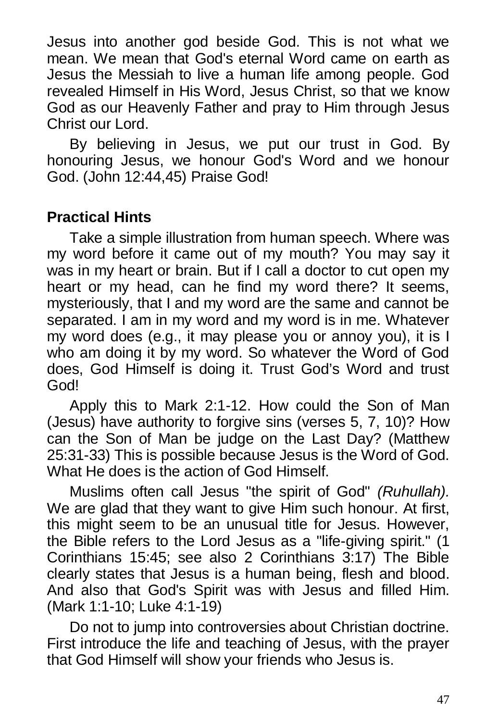Jesus into another god beside God. This is not what we mean. We mean that God's eternal Word came on earth as Jesus the Messiah to live a human life among people. God revealed Himself in His Word, Jesus Christ, so that we know God as our Heavenly Father and pray to Him through Jesus Christ our Lord.

By believing in Jesus, we put our trust in God. By honouring Jesus, we honour God's Word and we honour God. (John 12:44,45) Praise God!

## **Practical Hints**

Take a simple illustration from human speech. Where was my word before it came out of my mouth? You may say it was in my heart or brain. But if I call a doctor to cut open my heart or my head, can he find my word there? It seems, mysteriously, that I and my word are the same and cannot be separated. I am in my word and my word is in me. Whatever my word does (e.g., it may please you or annoy you), it is I who am doing it by my word. So whatever the Word of God does, God Himself is doing it. Trust God's Word and trust God!

Apply this to Mark 2:1-12. How could the Son of Man (Jesus) have authority to forgive sins (verses 5, 7, 10)? How can the Son of Man be judge on the Last Day? (Matthew 25:31-33) This is possible because Jesus is the Word of God. What He does is the action of God Himself.

Muslims often call Jesus "the spirit of God" *(Ruhullah).*  We are glad that they want to give Him such honour. At first, this might seem to be an unusual title for Jesus. However, the Bible refers to the Lord Jesus as a "life-giving spirit." (1 Corinthians 15:45; see also 2 Corinthians 3:17) The Bible clearly states that Jesus is a human being, flesh and blood. And also that God's Spirit was with Jesus and filled Him. (Mark 1:1-10; Luke 4:1-19)

Do not to jump into controversies about Christian doctrine. First introduce the life and teaching of Jesus, with the prayer that God Himself will show your friends who Jesus is.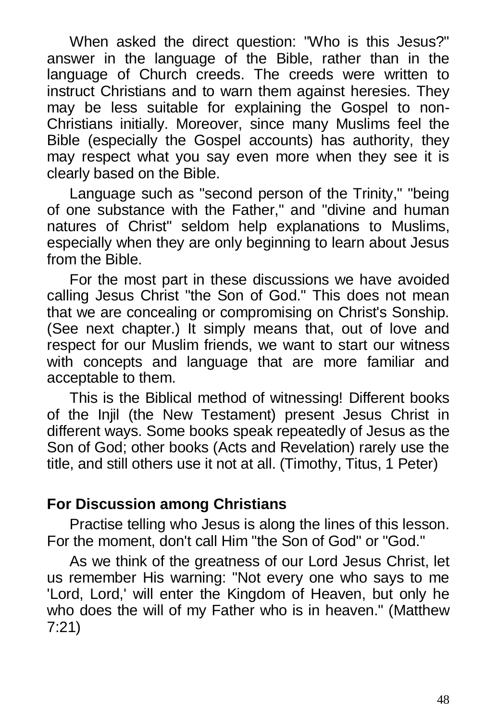When asked the direct question: "Who is this Jesus?" answer in the language of the Bible, rather than in the language of Church creeds. The creeds were written to instruct Christians and to warn them against heresies. They may be less suitable for explaining the Gospel to non-Christians initially. Moreover, since many Muslims feel the Bible (especially the Gospel accounts) has authority, they may respect what you say even more when they see it is clearly based on the Bible.

Language such as "second person of the Trinity," "being of one substance with the Father," and "divine and human natures of Christ" seldom help explanations to Muslims, especially when they are only beginning to learn about Jesus from the Bible.

For the most part in these discussions we have avoided calling Jesus Christ "the Son of God." This does not mean that we are concealing or compromising on Christ's Sonship. (See next chapter.) It simply means that, out of love and respect for our Muslim friends, we want to start our witness with concepts and language that are more familiar and acceptable to them.

This is the Biblical method of witnessing! Different books of the Injil (the New Testament) present Jesus Christ in different ways. Some books speak repeatedly of Jesus as the Son of God; other books (Acts and Revelation) rarely use the title, and still others use it not at all. (Timothy, Titus, 1 Peter)

## **For Discussion among Christians**

Practise telling who Jesus is along the lines of this lesson. For the moment, don't call Him "the Son of God" or "God."

As we think of the greatness of our Lord Jesus Christ, let us remember His warning: "Not every one who says to me 'Lord, Lord,' will enter the Kingdom of Heaven, but only he who does the will of my Father who is in heaven." (Matthew 7:21)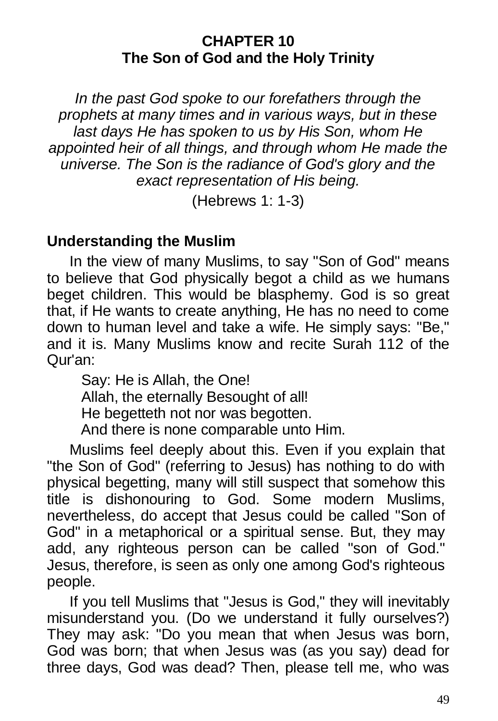#### **CHAPTER 10 The Son of God and the Holy Trinity**

*In the past God spoke to our forefathers through the prophets at many times and in various ways, but in these last days He has spoken to us by His Son, whom He appointed heir of all things, and through whom He made the universe. The Son is the radiance of God's glory and the exact representation of His being.*

(Hebrews 1: 1-3)

### **Understanding the Muslim**

In the view of many Muslims, to say "Son of God" means to believe that God physically begot a child as we humans beget children. This would be blasphemy. God is so great that, if He wants to create anything, He has no need to come down to human level and take a wife. He simply says: "Be," and it is. Many Muslims know and recite Surah 112 of the Qur'an:

Say: He is Allah, the One! Allah, the eternally Besought of all! He begetteth not nor was begotten. And there is none comparable unto Him.

Muslims feel deeply about this. Even if you explain that "the Son of God" (referring to Jesus) has nothing to do with physical begetting, many will still suspect that somehow this title is dishonouring to God. Some modern Muslims, nevertheless, do accept that Jesus could be called "Son of God" in a metaphorical or a spiritual sense. But, they may add, any righteous person can be called "son of God." Jesus, therefore, is seen as only one among God's righteous people.

If you tell Muslims that "Jesus is God," they will inevitably misunderstand you. (Do we understand it fully ourselves?) They may ask: "Do you mean that when Jesus was born, God was born; that when Jesus was (as you say) dead for three days, God was dead? Then, please tell me, who was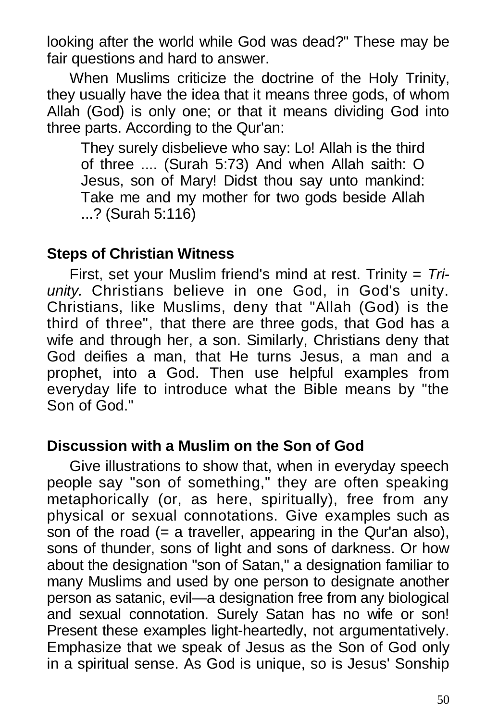looking after the world while God was dead?" These may be fair questions and hard to answer.

When Muslims criticize the doctrine of the Holy Trinity, they usually have the idea that it means three gods, of whom Allah (God) is only one; or that it means dividing God into three parts. According to the Qur'an:

They surely disbelieve who say: Lo! Allah is the third of three .... (Surah 5:73) And when Allah saith: O Jesus, son of Mary! Didst thou say unto mankind: Take me and my mother for two gods beside Allah ...? (Surah 5:116)

### **Steps of Christian Witness**

First, set your Muslim friend's mind at rest. Trinity = *Triunity.* Christians believe in one God, in God's unity. Christians, like Muslims, deny that "Allah (God) is the third of three", that there are three gods, that God has a wife and through her, a son. Similarly, Christians deny that God deifies a man, that He turns Jesus, a man and a prophet, into a God. Then use helpful examples from everyday life to introduce what the Bible means by "the Son of God."

#### **Discussion with a Muslim on the Son of God**

Give illustrations to show that, when in everyday speech people say "son of something," they are often speaking metaphorically (or, as here, spiritually), free from any physical or sexual connotations. Give examples such as son of the road  $(= a$  traveller, appearing in the Qur'an also), sons of thunder, sons of light and sons of darkness. Or how about the designation "son of Satan," a designation familiar to many Muslims and used by one person to designate another person as satanic, evil—a designation free from any biological and sexual connotation. Surely Satan has no wife or son! Present these examples light-heartedly, not argumentatively. Emphasize that we speak of Jesus as the Son of God only in a spiritual sense. As God is unique, so is Jesus' Sonship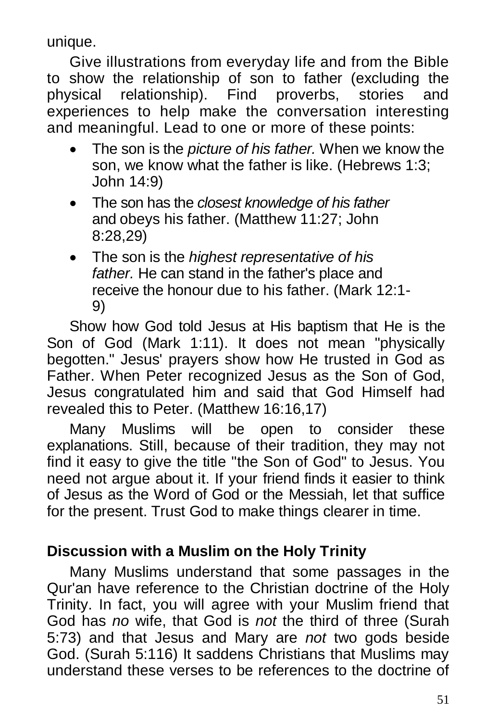unique.

Give illustrations from everyday life and from the Bible to show the relationship of son to father (excluding the physical relationship). Find proverbs, stories and experiences to help make the conversation interesting and meaningful. Lead to one or more of these points:

- The son is the *picture of his father.* When we know the son, we know what the father is like. (Hebrews 1:3; John 14:9)
- The son has the *closest knowledge of his father*  and obeys his father. (Matthew 11:27; John 8:28,29)
- The son is the *highest representative of his father.* He can stand in the father's place and receive the honour due to his father. (Mark 12:1- 9)

Show how God told Jesus at His baptism that He is the Son of God (Mark 1:11). It does not mean "physically begotten." Jesus' prayers show how He trusted in God as Father. When Peter recognized Jesus as the Son of God, Jesus congratulated him and said that God Himself had revealed this to Peter. (Matthew 16:16,17)

Many Muslims will be open to consider these explanations. Still, because of their tradition, they may not find it easy to give the title "the Son of God" to Jesus. You need not argue about it. If your friend finds it easier to think of Jesus as the Word of God or the Messiah, let that suffice for the present. Trust God to make things clearer in time.

## **Discussion with a Muslim on the Holy Trinity**

Many Muslims understand that some passages in the Qur'an have reference to the Christian doctrine of the Holy Trinity. In fact, you will agree with your Muslim friend that God has *no* wife, that God is *not* the third of three (Surah 5:73) and that Jesus and Mary are *not* two gods beside God. (Surah 5:116) It saddens Christians that Muslims may understand these verses to be references to the doctrine of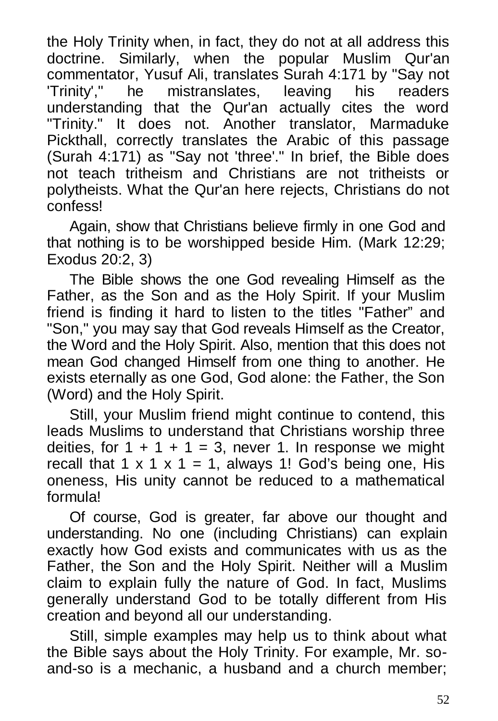the Holy Trinity when, in fact, they do not at all address this doctrine. Similarly, when the popular Muslim Qur'an commentator, Yusuf Ali, translates Surah 4:171 by "Say not 'Trinity'," he mistranslates, leaving his readers understanding that the Qur'an actually cites the word "Trinity." It does not. Another translator, Marmaduke Pickthall, correctly translates the Arabic of this passage (Surah 4:171) as "Say not 'three'." In brief, the Bible does not teach tritheism and Christians are not tritheists or polytheists. What the Qur'an here rejects, Christians do not confess!

Again, show that Christians believe firmly in one God and that nothing is to be worshipped beside Him. (Mark 12:29; Exodus 20:2, 3)

The Bible shows the one God revealing Himself as the Father, as the Son and as the Holy Spirit. If your Muslim friend is finding it hard to listen to the titles "Father" and "Son," you may say that God reveals Himself as the Creator, the Word and the Holy Spirit. Also, mention that this does not mean God changed Himself from one thing to another. He exists eternally as one God, God alone: the Father, the Son (Word) and the Holy Spirit.

Still, your Muslim friend might continue to contend, this leads Muslims to understand that Christians worship three deities, for  $1 + 1 + 1 = 3$ , never 1. In response we might recall that 1 x 1 x 1 = 1, always 1! God's being one, His oneness, His unity cannot be reduced to a mathematical formula!

Of course, God is greater, far above our thought and understanding. No one (including Christians) can explain exactly how God exists and communicates with us as the Father, the Son and the Holy Spirit. Neither will a Muslim claim to explain fully the nature of God. In fact, Muslims generally understand God to be totally different from His creation and beyond all our understanding.

Still, simple examples may help us to think about what the Bible says about the Holy Trinity. For example, Mr. soand-so is a mechanic, a husband and a church member;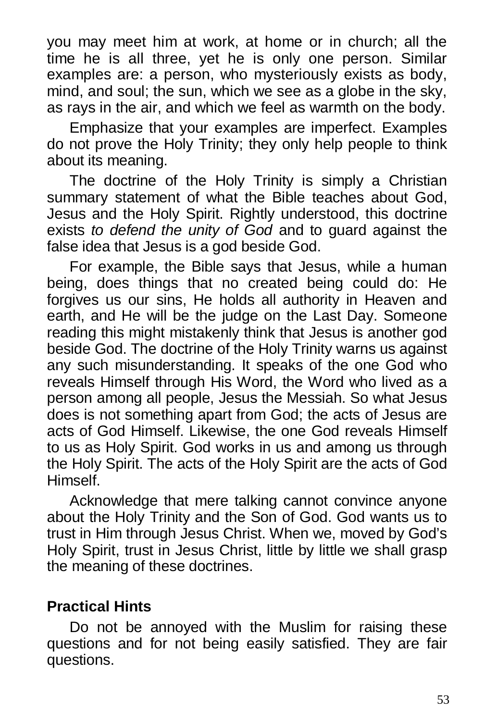you may meet him at work, at home or in church; all the time he is all three, yet he is only one person. Similar examples are: a person, who mysteriously exists as body, mind, and soul; the sun, which we see as a globe in the sky, as rays in the air, and which we feel as warmth on the body.

Emphasize that your examples are imperfect. Examples do not prove the Holy Trinity; they only help people to think about its meaning.

The doctrine of the Holy Trinity is simply a Christian summary statement of what the Bible teaches about God, Jesus and the Holy Spirit. Rightly understood, this doctrine exists *to defend the unity of God* and to guard against the false idea that Jesus is a god beside God.

For example, the Bible says that Jesus, while a human being, does things that no created being could do: He forgives us our sins, He holds all authority in Heaven and earth, and He will be the judge on the Last Day. Someone reading this might mistakenly think that Jesus is another god beside God. The doctrine of the Holy Trinity warns us against any such misunderstanding. It speaks of the one God who reveals Himself through His Word, the Word who lived as a person among all people, Jesus the Messiah. So what Jesus does is not something apart from God; the acts of Jesus are acts of God Himself. Likewise, the one God reveals Himself to us as Holy Spirit. God works in us and among us through the Holy Spirit. The acts of the Holy Spirit are the acts of God Himself.

Acknowledge that mere talking cannot convince anyone about the Holy Trinity and the Son of God. God wants us to trust in Him through Jesus Christ. When we, moved by God's Holy Spirit, trust in Jesus Christ, little by little we shall grasp the meaning of these doctrines.

# **Practical Hints**

Do not be annoyed with the Muslim for raising these questions and for not being easily satisfied. They are fair questions.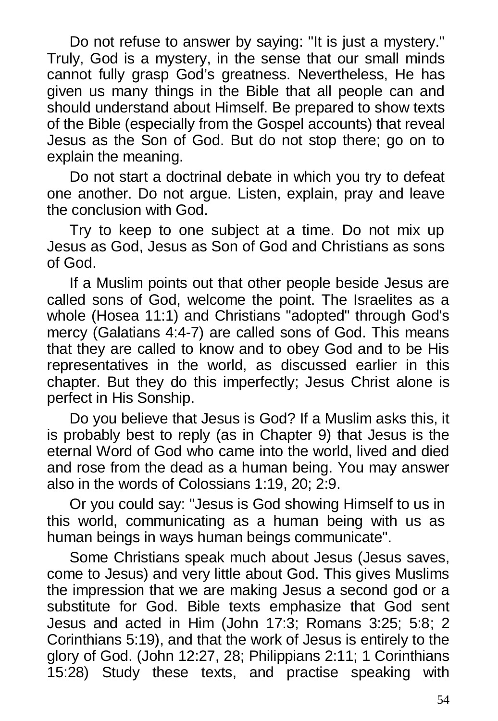Do not refuse to answer by saying: "It is just a mystery." Truly, God is a mystery, in the sense that our small minds cannot fully grasp God's greatness. Nevertheless, He has given us many things in the Bible that all people can and should understand about Himself. Be prepared to show texts of the Bible (especially from the Gospel accounts) that reveal Jesus as the Son of God. But do not stop there; go on to explain the meaning.

Do not start a doctrinal debate in which you try to defeat one another. Do not argue. Listen, explain, pray and leave the conclusion with God.

Try to keep to one subject at a time. Do not mix up Jesus as God, Jesus as Son of God and Christians as sons of God.

If a Muslim points out that other people beside Jesus are called sons of God, welcome the point. The Israelites as a whole (Hosea 11:1) and Christians "adopted" through God's mercy (Galatians 4:4-7) are called sons of God. This means that they are called to know and to obey God and to be His representatives in the world, as discussed earlier in this chapter. But they do this imperfectly; Jesus Christ alone is perfect in His Sonship.

Do you believe that Jesus is God? If a Muslim asks this, it is probably best to reply (as in Chapter 9) that Jesus is the eternal Word of God who came into the world, lived and died and rose from the dead as a human being. You may answer also in the words of Colossians 1:19, 20; 2:9.

Or you could say: "Jesus is God showing Himself to us in this world, communicating as a human being with us as human beings in ways human beings communicate".

Some Christians speak much about Jesus (Jesus saves, come to Jesus) and very little about God. This gives Muslims the impression that we are making Jesus a second god or a substitute for God. Bible texts emphasize that God sent Jesus and acted in Him (John 17:3; Romans 3:25; 5:8; 2 Corinthians 5:19), and that the work of Jesus is entirely to the glory of God. (John 12:27, 28; Philippians 2:11; 1 Corinthians 15:28) Study these texts, and practise speaking with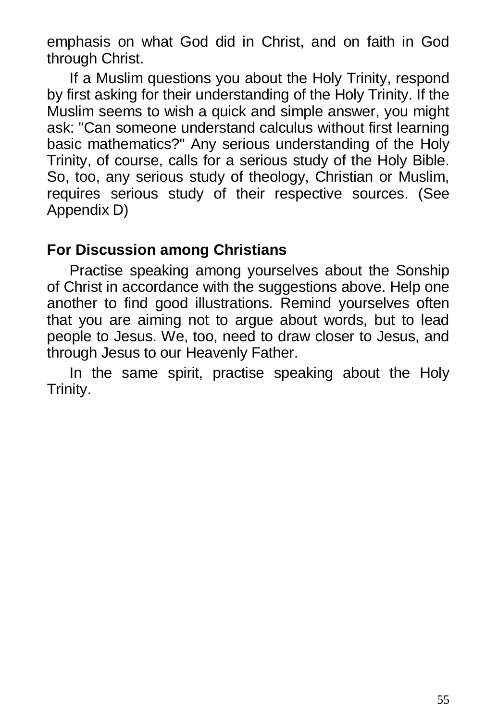emphasis on what God did in Christ, and on faith in God through Christ.

If a Muslim questions you about the Holy Trinity, respond by first asking for their understanding of the Holy Trinity. If the Muslim seems to wish a quick and simple answer, you might ask: "Can someone understand calculus without first learning basic mathematics?" Any serious understanding of the Holy Trinity, of course, calls for a serious study of the Holy Bible. So, too, any serious study of theology, Christian or Muslim, requires serious study of their respective sources. (See Appendix D)

### **For Discussion among Christians**

Practise speaking among yourselves about the Sonship of Christ in accordance with the suggestions above. Help one another to find good illustrations. Remind yourselves often that you are aiming not to argue about words, but to lead people to Jesus. We, too, need to draw closer to Jesus, and through Jesus to our Heavenly Father.

In the same spirit, practise speaking about the Holy Trinity.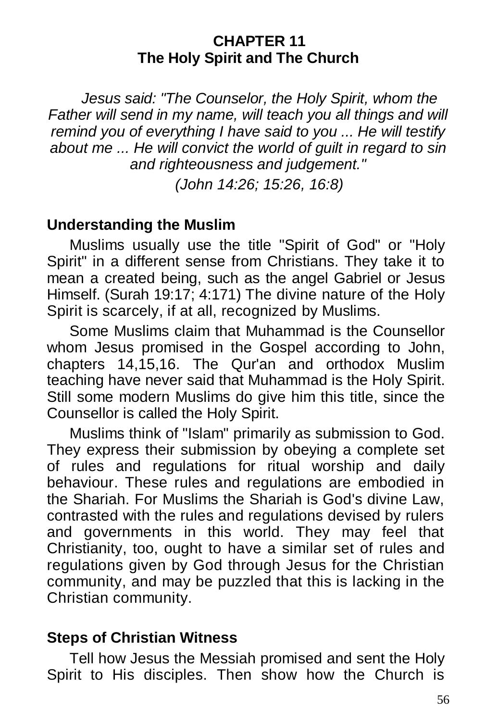#### **CHAPTER 11 The Holy Spirit and The Church**

*Jesus said: "The Counselor, the Holy Spirit, whom the Father will send in my name, will teach you all things and will remind you of everything I have said to you ... He will testify about me ... He will convict the world of guilt in regard to sin and righteousness and judgement."*

*(John 14:26; 15:26, 16:8)*

### **Understanding the Muslim**

Muslims usually use the title "Spirit of God" or "Holy Spirit" in a different sense from Christians. They take it to mean a created being, such as the angel Gabriel or Jesus Himself. (Surah 19:17; 4:171) The divine nature of the Holy Spirit is scarcely, if at all, recognized by Muslims.

Some Muslims claim that Muhammad is the Counsellor whom Jesus promised in the Gospel according to John, chapters 14,15,16. The Qur'an and orthodox Muslim teaching have never said that Muhammad is the Holy Spirit. Still some modern Muslims do give him this title, since the Counsellor is called the Holy Spirit.

Muslims think of "Islam" primarily as submission to God. They express their submission by obeying a complete set of rules and regulations for ritual worship and daily behaviour. These rules and regulations are embodied in the Shariah. For Muslims the Shariah is God's divine Law, contrasted with the rules and regulations devised by rulers and governments in this world. They may feel that Christianity, too, ought to have a similar set of rules and regulations given by God through Jesus for the Christian community, and may be puzzled that this is lacking in the Christian community.

### **Steps of Christian Witness**

Tell how Jesus the Messiah promised and sent the Holy Spirit to His disciples. Then show how the Church is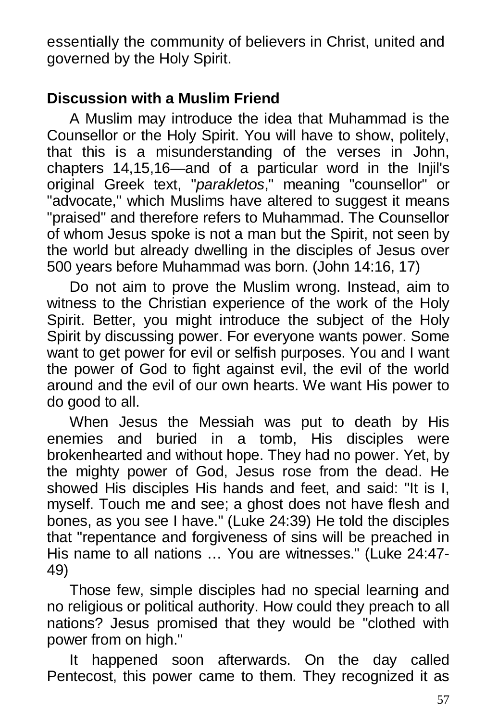essentially the community of believers in Christ, united and governed by the Holy Spirit.

## **Discussion with a Muslim Friend**

A Muslim may introduce the idea that Muhammad is the Counsellor or the Holy Spirit. You will have to show, politely, that this is a misunderstanding of the verses in John, chapters 14,15,16—and of a particular word in the Injil's original Greek text, "*parakletos*," meaning "counsellor" or "advocate," which Muslims have altered to suggest it means "praised" and therefore refers to Muhammad. The Counsellor of whom Jesus spoke is not a man but the Spirit, not seen by the world but already dwelling in the disciples of Jesus over 500 years before Muhammad was born. (John 14:16, 17)

Do not aim to prove the Muslim wrong. Instead, aim to witness to the Christian experience of the work of the Holy Spirit. Better, you might introduce the subject of the Holy Spirit by discussing power. For everyone wants power. Some want to get power for evil or selfish purposes. You and I want the power of God to fight against evil, the evil of the world around and the evil of our own hearts. We want His power to do good to all.

When Jesus the Messiah was put to death by His enemies and buried in a tomb, His disciples were brokenhearted and without hope. They had no power. Yet, by the mighty power of God, Jesus rose from the dead. He showed His disciples His hands and feet, and said: "It is I, myself. Touch me and see; a ghost does not have flesh and bones, as you see I have." (Luke 24:39) He told the disciples that "repentance and forgiveness of sins will be preached in His name to all nations … You are witnesses." (Luke 24:47- 49)

Those few, simple disciples had no special learning and no religious or political authority. How could they preach to all nations? Jesus promised that they would be "clothed with power from on high."

It happened soon afterwards. On the day called Pentecost, this power came to them. They recognized it as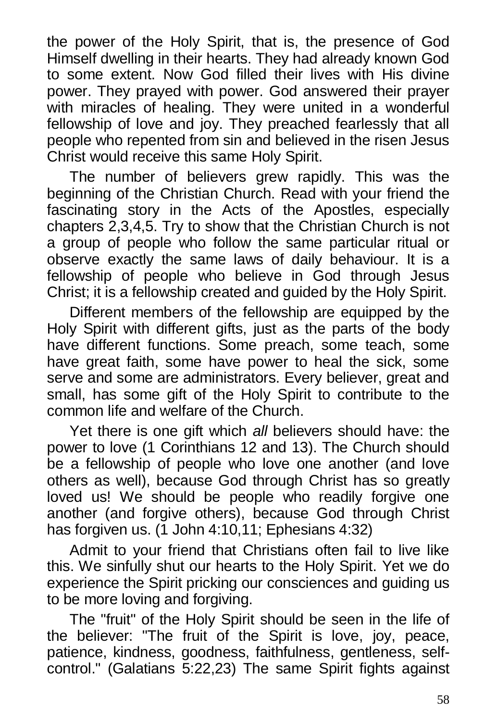the power of the Holy Spirit, that is, the presence of God Himself dwelling in their hearts. They had already known God to some extent. Now God filled their lives with His divine power. They prayed with power. God answered their prayer with miracles of healing. They were united in a wonderful fellowship of love and joy. They preached fearlessly that all people who repented from sin and believed in the risen Jesus Christ would receive this same Holy Spirit.

The number of believers grew rapidly. This was the beginning of the Christian Church. Read with your friend the fascinating story in the Acts of the Apostles, especially chapters 2,3,4,5. Try to show that the Christian Church is not a group of people who follow the same particular ritual or observe exactly the same laws of daily behaviour. It is a fellowship of people who believe in God through Jesus Christ; it is a fellowship created and guided by the Holy Spirit.

Different members of the fellowship are equipped by the Holy Spirit with different gifts, just as the parts of the body have different functions. Some preach, some teach, some have great faith, some have power to heal the sick, some serve and some are administrators. Every believer, great and small, has some gift of the Holy Spirit to contribute to the common life and welfare of the Church.

Yet there is one gift which *all* believers should have: the power to love (1 Corinthians 12 and 13). The Church should be a fellowship of people who love one another (and love others as well), because God through Christ has so greatly loved us! We should be people who readily forgive one another (and forgive others), because God through Christ has forgiven us. (1 John 4:10,11; Ephesians 4:32)

Admit to your friend that Christians often fail to live like this. We sinfully shut our hearts to the Holy Spirit. Yet we do experience the Spirit pricking our consciences and guiding us to be more loving and forgiving.

The "fruit" of the Holy Spirit should be seen in the life of the believer: "The fruit of the Spirit is love, joy, peace, patience, kindness, goodness, faithfulness, gentleness, selfcontrol." (Galatians 5:22,23) The same Spirit fights against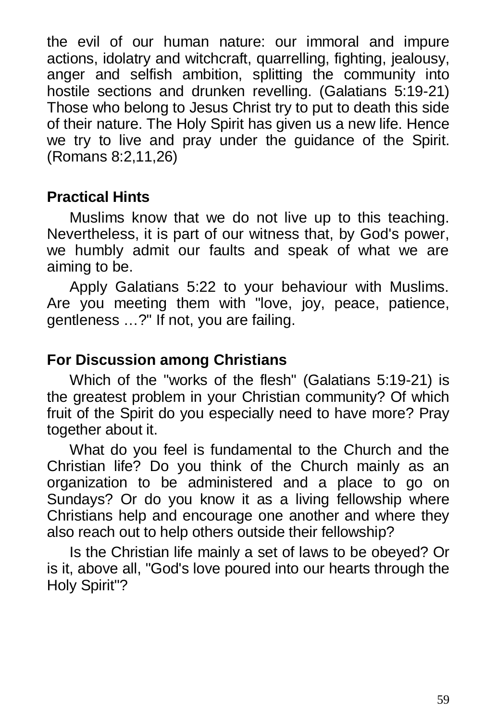the evil of our human nature: our immoral and impure actions, idolatry and witchcraft, quarrelling, fighting, jealousy, anger and selfish ambition, splitting the community into hostile sections and drunken revelling. (Galatians 5:19-21) Those who belong to Jesus Christ try to put to death this side of their nature. The Holy Spirit has given us a new life. Hence we try to live and pray under the guidance of the Spirit. (Romans 8:2,11,26)

### **Practical Hints**

Muslims know that we do not live up to this teaching. Nevertheless, it is part of our witness that, by God's power, we humbly admit our faults and speak of what we are aiming to be.

Apply Galatians 5:22 to your behaviour with Muslims. Are you meeting them with "love, joy, peace, patience, gentleness …?" If not, you are failing.

## **For Discussion among Christians**

Which of the "works of the flesh" (Galatians 5:19-21) is the greatest problem in your Christian community? Of which fruit of the Spirit do you especially need to have more? Pray together about it.

What do you feel is fundamental to the Church and the Christian life? Do you think of the Church mainly as an organization to be administered and a place to go on Sundays? Or do you know it as a living fellowship where Christians help and encourage one another and where they also reach out to help others outside their fellowship?

Is the Christian life mainly a set of laws to be obeyed? Or is it, above all, "God's love poured into our hearts through the Holy Spirit"?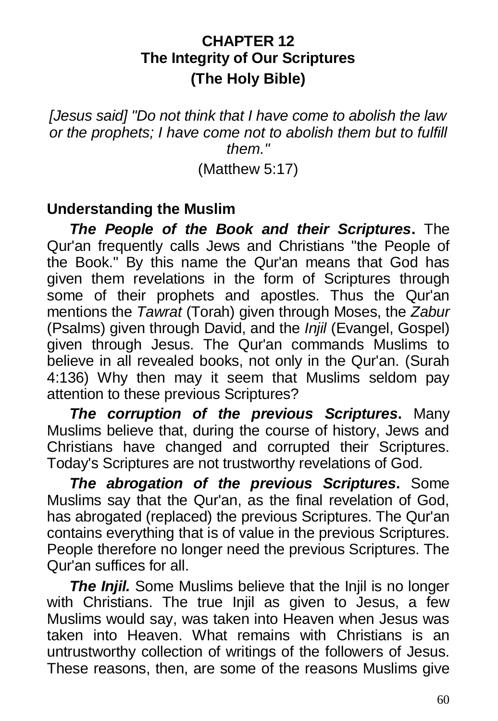## **CHAPTER 12 The Integrity of Our Scriptures (The Holy Bible)**

#### *[Jesus said] "Do not think that I have come to abolish the law or the prophets; I have come not to abolish them but to fulfill them."*

(Matthew 5:17)

### **Understanding the Muslim**

*The People of the Book and their Scriptures***.** The Qur'an frequently calls Jews and Christians "the People of the Book." By this name the Qur'an means that God has given them revelations in the form of Scriptures through some of their prophets and apostles. Thus the Qur'an mentions the *Tawrat* (Torah) given through Moses, the *Zabur* (Psalms) given through David, and the *Injil* (Evangel, Gospel) given through Jesus. The Qur'an commands Muslims to believe in all revealed books, not only in the Qur'an. (Surah 4:136) Why then may it seem that Muslims seldom pay attention to these previous Scriptures?

*The corruption of the previous Scriptures***.** Many Muslims believe that, during the course of history, Jews and Christians have changed and corrupted their Scriptures. Today's Scriptures are not trustworthy revelations of God.

*The abrogation of the previous Scriptures***.** Some Muslims say that the Qur'an, as the final revelation of God, has abrogated (replaced) the previous Scriptures. The Qur'an contains everything that is of value in the previous Scriptures. People therefore no longer need the previous Scriptures. The Qur'an suffices for all.

**The Injil.** Some Muslims believe that the Injil is no longer with Christians. The true Injil as given to Jesus, a few Muslims would say, was taken into Heaven when Jesus was taken into Heaven. What remains with Christians is an untrustworthy collection of writings of the followers of Jesus. These reasons, then, are some of the reasons Muslims give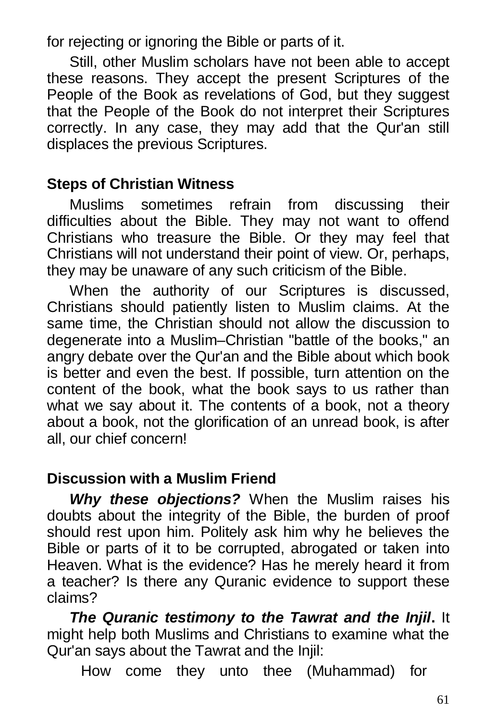for rejecting or ignoring the Bible or parts of it.

Still, other Muslim scholars have not been able to accept these reasons. They accept the present Scriptures of the People of the Book as revelations of God, but they suggest that the People of the Book do not interpret their Scriptures correctly. In any case, they may add that the Qur'an still displaces the previous Scriptures.

## **Steps of Christian Witness**

Muslims sometimes refrain from discussing their difficulties about the Bible. They may not want to offend Christians who treasure the Bible. Or they may feel that Christians will not understand their point of view. Or, perhaps, they may be unaware of any such criticism of the Bible.

When the authority of our Scriptures is discussed, Christians should patiently listen to Muslim claims. At the same time, the Christian should not allow the discussion to degenerate into a Muslim–Christian "battle of the books," an angry debate over the Qur'an and the Bible about which book is better and even the best. If possible, turn attention on the content of the book, what the book says to us rather than what we say about it. The contents of a book, not a theory about a book, not the glorification of an unread book, is after all, our chief concern!

## **Discussion with a Muslim Friend**

*Why these objections?* When the Muslim raises his doubts about the integrity of the Bible, the burden of proof should rest upon him. Politely ask him why he believes the Bible or parts of it to be corrupted, abrogated or taken into Heaven. What is the evidence? Has he merely heard it from a teacher? Is there any Quranic evidence to support these claims?

*The Quranic testimony to the Tawrat and the Injil***.** It might help both Muslims and Christians to examine what the Qur'an says about the Tawrat and the Injil:

How come they unto thee (Muhammad) for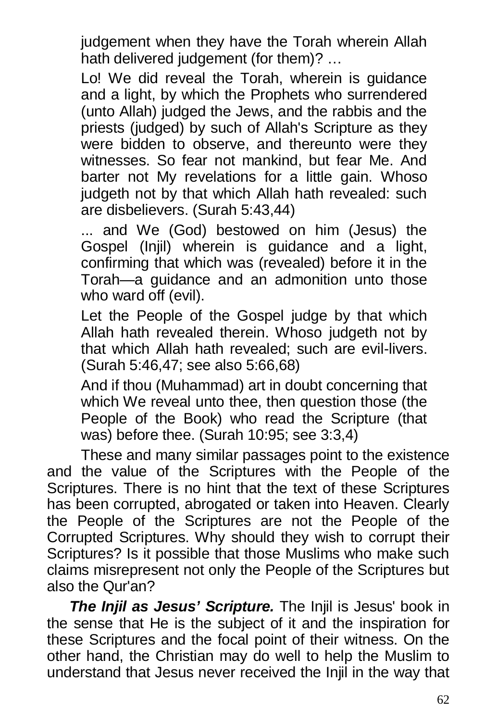judgement when they have the Torah wherein Allah hath delivered judgement (for them)? …

Lo! We did reveal the Torah, wherein is guidance and a light, by which the Prophets who surrendered (unto Allah) judged the Jews, and the rabbis and the priests (judged) by such of Allah's Scripture as they were bidden to observe, and thereunto were they witnesses. So fear not mankind, but fear Me. And barter not My revelations for a little gain. Whoso judgeth not by that which Allah hath revealed: such are disbelievers. (Surah 5:43,44)

... and We (God) bestowed on him (Jesus) the Gospel (Injil) wherein is guidance and a light, confirming that which was (revealed) before it in the Torah—a guidance and an admonition unto those who ward off (evil).

Let the People of the Gospel judge by that which Allah hath revealed therein. Whoso judgeth not by that which Allah hath revealed; such are evil-livers. (Surah 5:46,47; see also 5:66,68)

And if thou (Muhammad) art in doubt concerning that which We reveal unto thee, then question those (the People of the Book) who read the Scripture (that was) before thee. (Surah 10:95; see 3:3,4)

These and many similar passages point to the existence and the value of the Scriptures with the People of the Scriptures. There is no hint that the text of these Scriptures has been corrupted, abrogated or taken into Heaven. Clearly the People of the Scriptures are not the People of the Corrupted Scriptures. Why should they wish to corrupt their Scriptures? Is it possible that those Muslims who make such claims misrepresent not only the People of the Scriptures but also the Qur'an?

*The Injil as Jesus' Scripture.* The Injil is Jesus' book in the sense that He is the subject of it and the inspiration for these Scriptures and the focal point of their witness. On the other hand, the Christian may do well to help the Muslim to understand that Jesus never received the Injil in the way that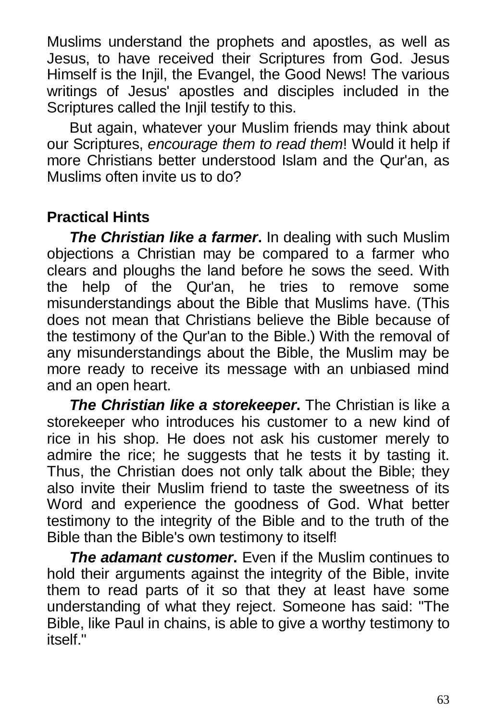Muslims understand the prophets and apostles, as well as Jesus, to have received their Scriptures from God. Jesus Himself is the Injil, the Evangel, the Good News! The various writings of Jesus' apostles and disciples included in the Scriptures called the Injil testify to this.

But again, whatever your Muslim friends may think about our Scriptures, *encourage them to read them*! Would it help if more Christians better understood Islam and the Qur'an, as Muslims often invite us to do?

# **Practical Hints**

*The Christian like a farmer***.** In dealing with such Muslim objections a Christian may be compared to a farmer who clears and ploughs the land before he sows the seed. With the help of the Qur'an, he tries to remove some misunderstandings about the Bible that Muslims have. (This does not mean that Christians believe the Bible because of the testimony of the Qur'an to the Bible.) With the removal of any misunderstandings about the Bible, the Muslim may be more ready to receive its message with an unbiased mind and an open heart.

*The Christian like a storekeeper***.** The Christian is like a storekeeper who introduces his customer to a new kind of rice in his shop. He does not ask his customer merely to admire the rice; he suggests that he tests it by tasting it. Thus, the Christian does not only talk about the Bible; they also invite their Muslim friend to taste the sweetness of its Word and experience the goodness of God. What better testimony to the integrity of the Bible and to the truth of the Bible than the Bible's own testimony to itself!

*The adamant customer.* Even if the Muslim continues to hold their arguments against the integrity of the Bible, invite them to read parts of it so that they at least have some understanding of what they reject. Someone has said: "The Bible, like Paul in chains, is able to give a worthy testimony to itself."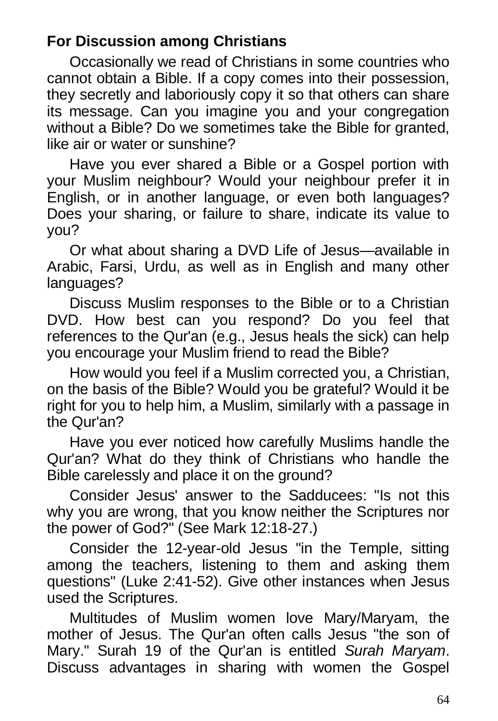# **For Discussion among Christians**

Occasionally we read of Christians in some countries who cannot obtain a Bible. If a copy comes into their possession, they secretly and laboriously copy it so that others can share its message. Can you imagine you and your congregation without a Bible? Do we sometimes take the Bible for granted, like air or water or sunshine?

Have you ever shared a Bible or a Gospel portion with your Muslim neighbour? Would your neighbour prefer it in English, or in another language, or even both languages? Does your sharing, or failure to share, indicate its value to you?

Or what about sharing a DVD Life of Jesus—available in Arabic, Farsi, Urdu, as well as in English and many other languages?

Discuss Muslim responses to the Bible or to a Christian DVD. How best can you respond? Do you feel that references to the Qur'an (e.g., Jesus heals the sick) can help you encourage your Muslim friend to read the Bible?

How would you feel if a Muslim corrected you, a Christian, on the basis of the Bible? Would you be grateful? Would it be right for you to help him, a Muslim, similarly with a passage in the Qur'an?

Have you ever noticed how carefully Muslims handle the Qur'an? What do they think of Christians who handle the Bible carelessly and place it on the ground?

Consider Jesus' answer to the Sadducees: "Is not this why you are wrong, that you know neither the Scriptures nor the power of God?" (See Mark 12:18-27.)

Consider the 12-year-old Jesus "in the Temple, sitting among the teachers, listening to them and asking them questions" (Luke 2:41-52). Give other instances when Jesus used the Scriptures.

Multitudes of Muslim women love Mary/Maryam, the mother of Jesus. The Qur'an often calls Jesus "the son of Mary." Surah 19 of the Qur'an is entitled *Surah Maryam*. Discuss advantages in sharing with women the Gospel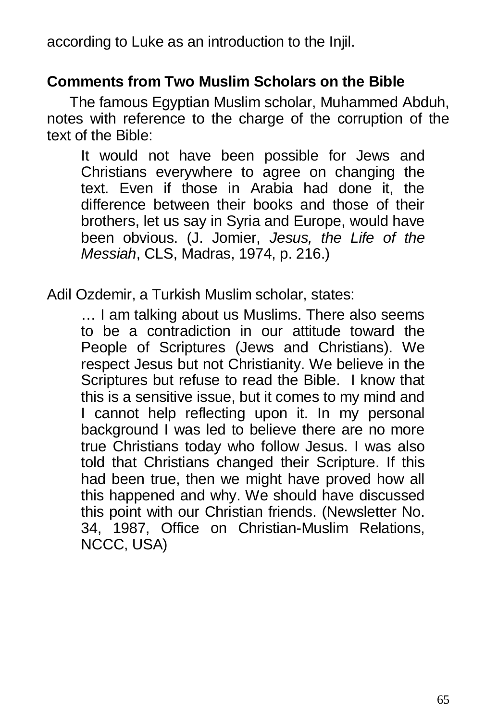according to Luke as an introduction to the Injil.

### **Comments from Two Muslim Scholars on the Bible**

The famous Egyptian Muslim scholar, Muhammed Abduh, notes with reference to the charge of the corruption of the text of the Bible:

It would not have been possible for Jews and Christians everywhere to agree on changing the text. Even if those in Arabia had done it, the difference between their books and those of their brothers, let us say in Syria and Europe, would have been obvious. (J. Jomier, *Jesus, the Life of the Messiah*, CLS, Madras, 1974, p. 216.)

Adil Ozdemir, a Turkish Muslim scholar, states:

… I am talking about us Muslims. There also seems to be a contradiction in our attitude toward the People of Scriptures (Jews and Christians). We respect Jesus but not Christianity. We believe in the Scriptures but refuse to read the Bible. I know that this is a sensitive issue, but it comes to my mind and I cannot help reflecting upon it. In my personal background I was led to believe there are no more true Christians today who follow Jesus. I was also told that Christians changed their Scripture. If this had been true, then we might have proved how all this happened and why. We should have discussed this point with our Christian friends. (Newsletter No. 34, 1987, Office on Christian-Muslim Relations, NCCC, USA)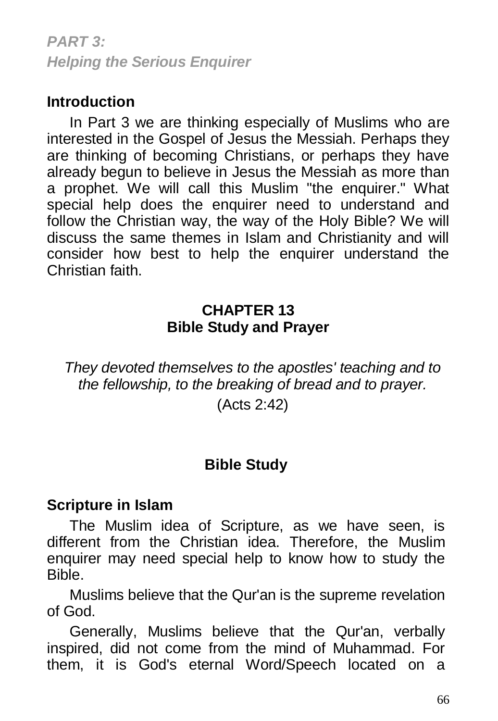*PART 3: Helping the Serious Enquirer*

### **Introduction**

In Part 3 we are thinking especially of Muslims who are interested in the Gospel of Jesus the Messiah. Perhaps they are thinking of becoming Christians, or perhaps they have already begun to believe in Jesus the Messiah as more than a prophet. We will call this Muslim "the enquirer." What special help does the enquirer need to understand and follow the Christian way, the way of the Holy Bible? We will discuss the same themes in Islam and Christianity and will consider how best to help the enquirer understand the Christian faith.

#### **CHAPTER 13 Bible Study and Prayer**

*They devoted themselves to the apostles' teaching and to the fellowship, to the breaking of bread and to prayer.*

(Acts 2:42)

### **Bible Study**

#### **Scripture in Islam**

The Muslim idea of Scripture, as we have seen, is different from the Christian idea. Therefore, the Muslim enquirer may need special help to know how to study the Bible.

Muslims believe that the Qur'an is the supreme revelation of God.

Generally, Muslims believe that the Qur'an, verbally inspired, did not come from the mind of Muhammad. For them, it is God's eternal Word/Speech located on a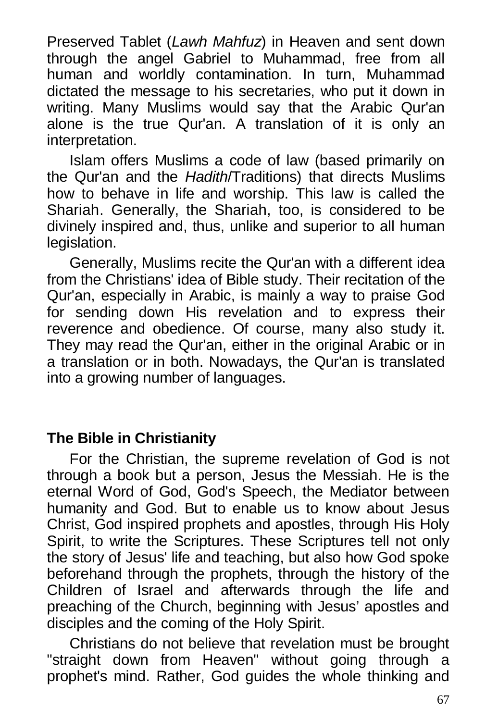Preserved Tablet (*Lawh Mahfuz*) in Heaven and sent down through the angel Gabriel to Muhammad, free from all human and worldly contamination. In turn, Muhammad dictated the message to his secretaries, who put it down in writing. Many Muslims would say that the Arabic Qur'an alone is the true Qur'an. A translation of it is only an interpretation.

Islam offers Muslims a code of law (based primarily on the Qur'an and the *Hadith*/Traditions) that directs Muslims how to behave in life and worship. This law is called the Shariah. Generally, the Shariah, too, is considered to be divinely inspired and, thus, unlike and superior to all human legislation.

Generally, Muslims recite the Qur'an with a different idea from the Christians' idea of Bible study. Their recitation of the Qur'an, especially in Arabic, is mainly a way to praise God for sending down His revelation and to express their reverence and obedience. Of course, many also study it. They may read the Qur'an, either in the original Arabic or in a translation or in both. Nowadays, the Qur'an is translated into a growing number of languages.

#### **The Bible in Christianity**

For the Christian, the supreme revelation of God is not through a book but a person, Jesus the Messiah. He is the eternal Word of God, God's Speech, the Mediator between humanity and God. But to enable us to know about Jesus Christ, God inspired prophets and apostles, through His Holy Spirit, to write the Scriptures. These Scriptures tell not only the story of Jesus' life and teaching, but also how God spoke beforehand through the prophets, through the history of the Children of Israel and afterwards through the life and preaching of the Church, beginning with Jesus' apostles and disciples and the coming of the Holy Spirit.

Christians do not believe that revelation must be brought "straight down from Heaven" without going through a prophet's mind. Rather, God guides the whole thinking and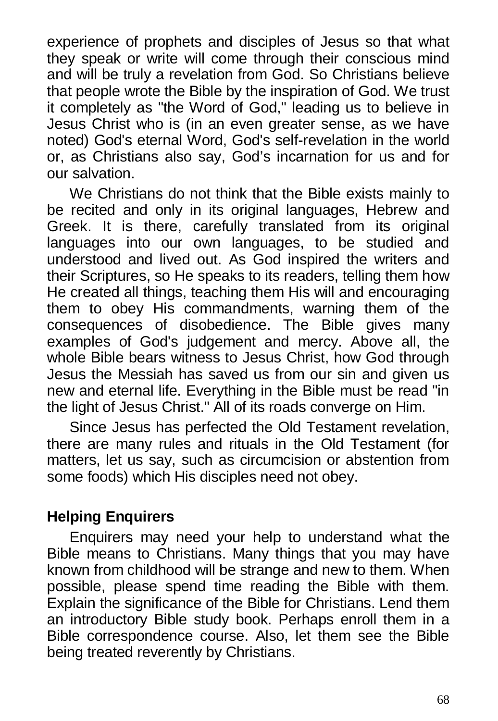experience of prophets and disciples of Jesus so that what they speak or write will come through their conscious mind and will be truly a revelation from God. So Christians believe that people wrote the Bible by the inspiration of God. We trust it completely as "the Word of God," leading us to believe in Jesus Christ who is (in an even greater sense, as we have noted) God's eternal Word, God's self-revelation in the world or, as Christians also say, God's incarnation for us and for our salvation.

We Christians do not think that the Bible exists mainly to be recited and only in its original languages, Hebrew and Greek. It is there, carefully translated from its original languages into our own languages, to be studied and understood and lived out. As God inspired the writers and their Scriptures, so He speaks to its readers, telling them how He created all things, teaching them His will and encouraging them to obey His commandments, warning them of the consequences of disobedience. The Bible gives many examples of God's judgement and mercy. Above all, the whole Bible bears witness to Jesus Christ, how God through Jesus the Messiah has saved us from our sin and given us new and eternal life. Everything in the Bible must be read "in the light of Jesus Christ." All of its roads converge on Him.

Since Jesus has perfected the Old Testament revelation, there are many rules and rituals in the Old Testament (for matters, let us say, such as circumcision or abstention from some foods) which His disciples need not obey.

### **Helping Enquirers**

Enquirers may need your help to understand what the Bible means to Christians. Many things that you may have known from childhood will be strange and new to them. When possible, please spend time reading the Bible with them. Explain the significance of the Bible for Christians. Lend them an introductory Bible study book. Perhaps enroll them in a Bible correspondence course. Also, let them see the Bible being treated reverently by Christians.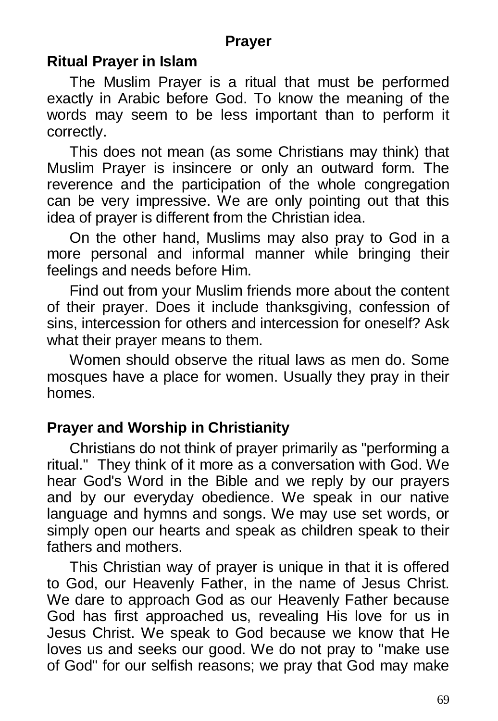### **Prayer**

#### **Ritual Prayer in Islam**

The Muslim Prayer is a ritual that must be performed exactly in Arabic before God. To know the meaning of the words may seem to be less important than to perform it correctly.

This does not mean (as some Christians may think) that Muslim Prayer is insincere or only an outward form. The reverence and the participation of the whole congregation can be very impressive. We are only pointing out that this idea of prayer is different from the Christian idea.

On the other hand, Muslims may also pray to God in a more personal and informal manner while bringing their feelings and needs before Him.

Find out from your Muslim friends more about the content of their prayer. Does it include thanksgiving, confession of sins, intercession for others and intercession for oneself? Ask what their prayer means to them.

Women should observe the ritual laws as men do. Some mosques have a place for women. Usually they pray in their homes.

### **Prayer and Worship in Christianity**

Christians do not think of prayer primarily as "performing a ritual." They think of it more as a conversation with God. We hear God's Word in the Bible and we reply by our prayers and by our everyday obedience. We speak in our native language and hymns and songs. We may use set words, or simply open our hearts and speak as children speak to their fathers and mothers.

This Christian way of prayer is unique in that it is offered to God, our Heavenly Father, in the name of Jesus Christ. We dare to approach God as our Heavenly Father because God has first approached us, revealing His love for us in Jesus Christ. We speak to God because we know that He loves us and seeks our good. We do not pray to "make use of God" for our selfish reasons; we pray that God may make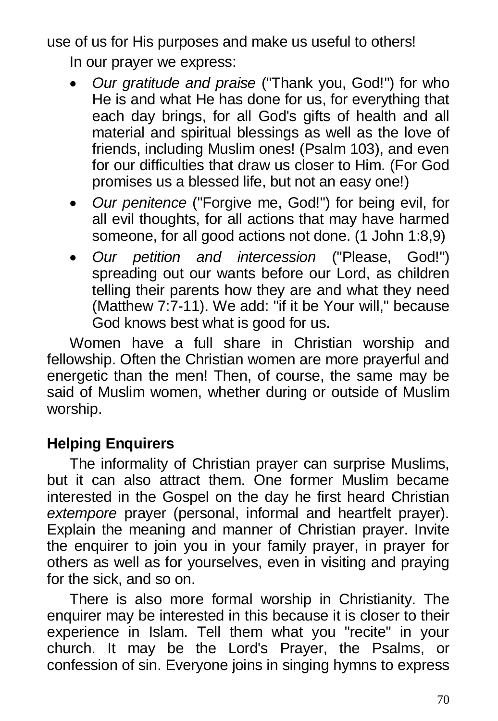use of us for His purposes and make us useful to others! In our prayer we express:

- *Our gratitude and praise* ("Thank you, God!") for who He is and what He has done for us, for everything that each day brings, for all God's gifts of health and all material and spiritual blessings as well as the love of friends, including Muslim ones! (Psalm 103), and even for our difficulties that draw us closer to Him. (For God promises us a blessed life, but not an easy one!)
- *Our penitence* ("Forgive me, God!") for being evil, for all evil thoughts, for all actions that may have harmed someone, for all good actions not done. (1 John 1:8,9)
- *Our petition and intercession* ("Please, God!") spreading out our wants before our Lord, as children telling their parents how they are and what they need (Matthew 7:7-11). We add: "if it be Your will," because God knows best what is good for us.

Women have a full share in Christian worship and fellowship. Often the Christian women are more prayerful and energetic than the men! Then, of course, the same may be said of Muslim women, whether during or outside of Muslim worship.

# **Helping Enquirers**

The informality of Christian prayer can surprise Muslims, but it can also attract them. One former Muslim became interested in the Gospel on the day he first heard Christian *extempore* prayer (personal, informal and heartfelt prayer). Explain the meaning and manner of Christian prayer. Invite the enquirer to join you in your family prayer, in prayer for others as well as for yourselves, even in visiting and praying for the sick, and so on.

There is also more formal worship in Christianity. The enquirer may be interested in this because it is closer to their experience in Islam. Tell them what you "recite" in your church. It may be the Lord's Prayer, the Psalms, or confession of sin. Everyone joins in singing hymns to express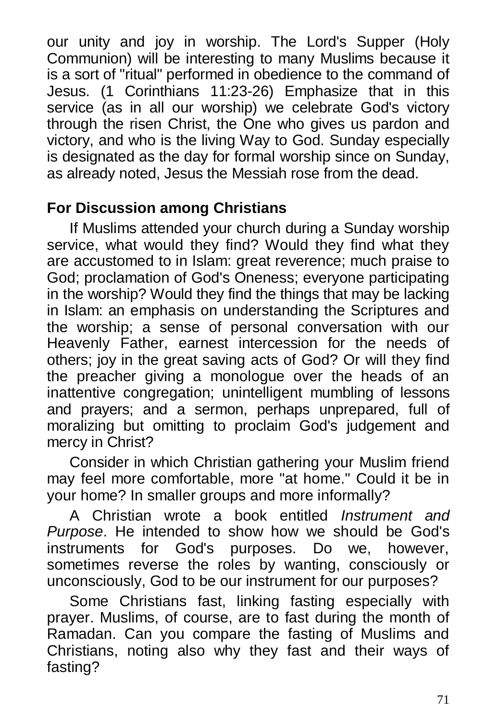our unity and joy in worship. The Lord's Supper (Holy Communion) will be interesting to many Muslims because it is a sort of "ritual" performed in obedience to the command of Jesus. (1 Corinthians 11:23-26) Emphasize that in this service (as in all our worship) we celebrate God's victory through the risen Christ, the One who gives us pardon and victory, and who is the living Way to God. Sunday especially is designated as the day for formal worship since on Sunday, as already noted, Jesus the Messiah rose from the dead.

# **For Discussion among Christians**

If Muslims attended your church during a Sunday worship service, what would they find? Would they find what they are accustomed to in Islam: great reverence; much praise to God; proclamation of God's Oneness; everyone participating in the worship? Would they find the things that may be lacking in Islam: an emphasis on understanding the Scriptures and the worship; a sense of personal conversation with our Heavenly Father, earnest intercession for the needs of others; joy in the great saving acts of God? Or will they find the preacher giving a monologue over the heads of an inattentive congregation; unintelligent mumbling of lessons and prayers; and a sermon, perhaps unprepared, full of moralizing but omitting to proclaim God's judgement and mercy in Christ?

Consider in which Christian gathering your Muslim friend may feel more comfortable, more "at home." Could it be in your home? In smaller groups and more informally?

A Christian wrote a book entitled *Instrument and Purpose*. He intended to show how we should be God's instruments for God's purposes. Do we, however, sometimes reverse the roles by wanting, consciously or unconsciously, God to be our instrument for our purposes?

Some Christians fast, linking fasting especially with prayer. Muslims, of course, are to fast during the month of Ramadan. Can you compare the fasting of Muslims and Christians, noting also why they fast and their ways of fasting?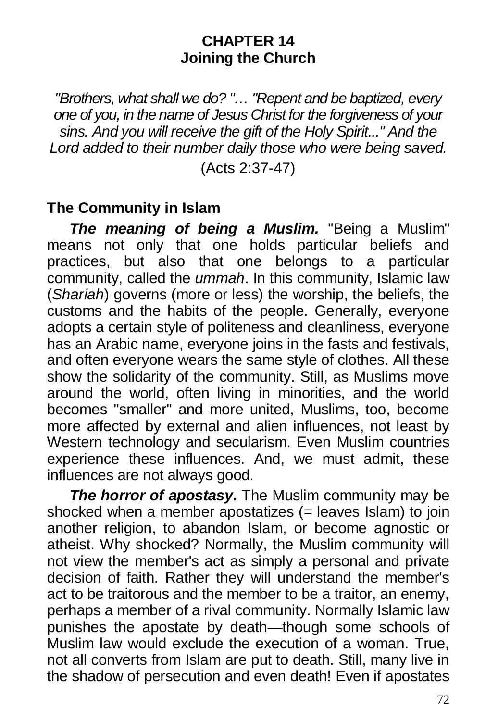#### **CHAPTER 14 Joining the Church**

*"Brothers, what shall we do? "… "Repent and be baptized, every one of you, in the name of Jesus Christ for the forgiveness of your sins. And you will receive the gift of the Holy Spirit..." And the Lord added to their number daily those who were being saved.*

(Acts 2:37-47)

### **The Community in Islam**

*The meaning of being a Muslim.* "Being a Muslim" means not only that one holds particular beliefs and practices, but also that one belongs to a particular community, called the *ummah*. In this community, Islamic law (*Shariah*) governs (more or less) the worship, the beliefs, the customs and the habits of the people. Generally, everyone adopts a certain style of politeness and cleanliness, everyone has an Arabic name, everyone joins in the fasts and festivals, and often everyone wears the same style of clothes. All these show the solidarity of the community. Still, as Muslims move around the world, often living in minorities, and the world becomes "smaller" and more united, Muslims, too, become more affected by external and alien influences, not least by Western technology and secularism. Even Muslim countries experience these influences. And, we must admit, these influences are not always good.

*The horror of apostasy***.** The Muslim community may be shocked when a member apostatizes (= leaves Islam) to join another religion, to abandon Islam, or become agnostic or atheist. Why shocked? Normally, the Muslim community will not view the member's act as simply a personal and private decision of faith. Rather they will understand the member's act to be traitorous and the member to be a traitor, an enemy, perhaps a member of a rival community. Normally Islamic law punishes the apostate by death—though some schools of Muslim law would exclude the execution of a woman. True, not all converts from Islam are put to death. Still, many live in the shadow of persecution and even death! Even if apostates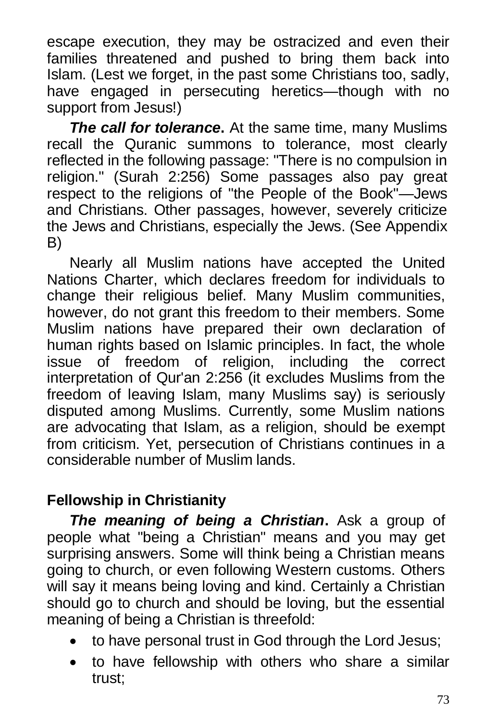escape execution, they may be ostracized and even their families threatened and pushed to bring them back into Islam. (Lest we forget, in the past some Christians too, sadly, have engaged in persecuting heretics—though with no support from Jesus!)

*The call for tolerance***.** At the same time, many Muslims recall the Quranic summons to tolerance, most clearly reflected in the following passage: "There is no compulsion in religion." (Surah 2:256) Some passages also pay great respect to the religions of "the People of the Book"—Jews and Christians. Other passages, however, severely criticize the Jews and Christians, especially the Jews. (See Appendix B)

Nearly all Muslim nations have accepted the United Nations Charter, which declares freedom for individuals to change their religious belief. Many Muslim communities, however, do not grant this freedom to their members. Some Muslim nations have prepared their own declaration of human rights based on Islamic principles. In fact, the whole issue of freedom of religion, including the correct interpretation of Qur'an 2:256 (it excludes Muslims from the freedom of leaving Islam, many Muslims say) is seriously disputed among Muslims. Currently, some Muslim nations are advocating that Islam, as a religion, should be exempt from criticism. Yet, persecution of Christians continues in a considerable number of Muslim lands.

# **Fellowship in Christianity**

*The meaning of being a Christian***.** Ask a group of people what "being a Christian" means and you may get surprising answers. Some will think being a Christian means going to church, or even following Western customs. Others will say it means being loving and kind. Certainly a Christian should go to church and should be loving, but the essential meaning of being a Christian is threefold:

- to have personal trust in God through the Lord Jesus;
- to have fellowship with others who share a similar trust;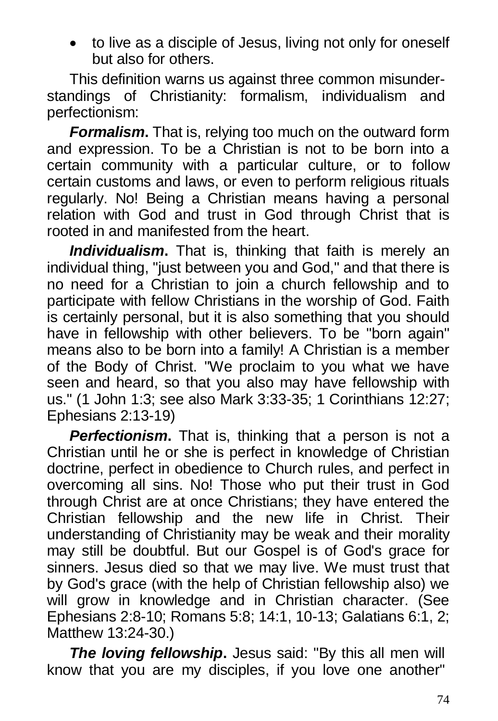to live as a disciple of Jesus, living not only for oneself but also for others.

This definition warns us against three common misunderstandings of Christianity: formalism, individualism and perfectionism:

*Formalism***.** That is, relying too much on the outward form and expression. To be a Christian is not to be born into a certain community with a particular culture, or to follow certain customs and laws, or even to perform religious rituals regularly. No! Being a Christian means having a personal relation with God and trust in God through Christ that is rooted in and manifested from the heart.

*Individualism***.** That is, thinking that faith is merely an individual thing, "just between you and God," and that there is no need for a Christian to join a church fellowship and to participate with fellow Christians in the worship of God. Faith is certainly personal, but it is also something that you should have in fellowship with other believers. To be "born again" means also to be born into a family! A Christian is a member of the Body of Christ. "We proclaim to you what we have seen and heard, so that you also may have fellowship with us." (1 John 1:3; see also Mark 3:33-35; 1 Corinthians 12:27; Ephesians 2:13-19)

*Perfectionism***.** That is, thinking that a person is not a Christian until he or she is perfect in knowledge of Christian doctrine, perfect in obedience to Church rules, and perfect in overcoming all sins. No! Those who put their trust in God through Christ are at once Christians; they have entered the Christian fellowship and the new life in Christ. Their understanding of Christianity may be weak and their morality may still be doubtful. But our Gospel is of God's grace for sinners. Jesus died so that we may live. We must trust that by God's grace (with the help of Christian fellowship also) we will grow in knowledge and in Christian character. (See Ephesians 2:8-10; Romans 5:8; 14:1, 10-13; Galatians 6:1, 2; Matthew 13:24-30.)

*The loving fellowship***.** Jesus said: "By this all men will know that you are my disciples, if you love one another"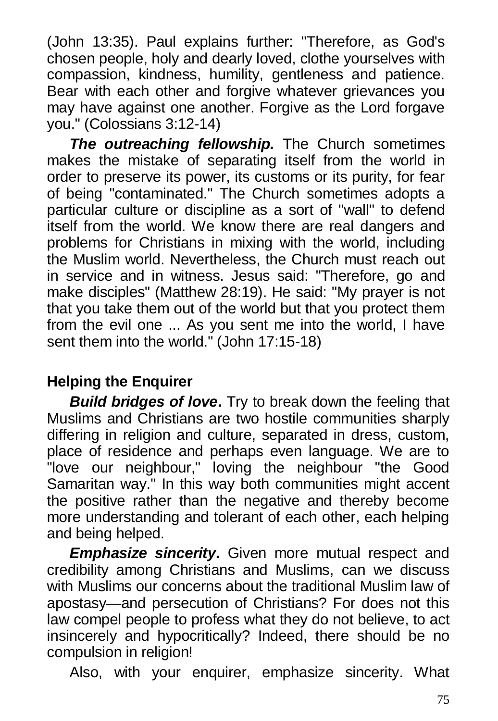(John 13:35). Paul explains further: "Therefore, as God's chosen people, holy and dearly loved, clothe yourselves with compassion, kindness, humility, gentleness and patience. Bear with each other and forgive whatever grievances you may have against one another. Forgive as the Lord forgave you." (Colossians 3:12-14)

*The outreaching fellowship.* The Church sometimes makes the mistake of separating itself from the world in order to preserve its power, its customs or its purity, for fear of being "contaminated." The Church sometimes adopts a particular culture or discipline as a sort of "wall" to defend itself from the world. We know there are real dangers and problems for Christians in mixing with the world, including the Muslim world. Nevertheless, the Church must reach out in service and in witness. Jesus said: "Therefore, go and make disciples" (Matthew 28:19). He said: "My prayer is not that you take them out of the world but that you protect them from the evil one ... As you sent me into the world, I have sent them into the world." (John 17:15-18)

### **Helping the Enquirer**

*Build bridges of love***.** Try to break down the feeling that Muslims and Christians are two hostile communities sharply differing in religion and culture, separated in dress, custom, place of residence and perhaps even language. We are to "love our neighbour," loving the neighbour "the Good Samaritan way." In this way both communities might accent the positive rather than the negative and thereby become more understanding and tolerant of each other, each helping and being helped.

*Emphasize sincerity***.** Given more mutual respect and credibility among Christians and Muslims, can we discuss with Muslims our concerns about the traditional Muslim law of apostasy—and persecution of Christians? For does not this law compel people to profess what they do not believe, to act insincerely and hypocritically? Indeed, there should be no compulsion in religion!

Also, with your enquirer, emphasize sincerity. What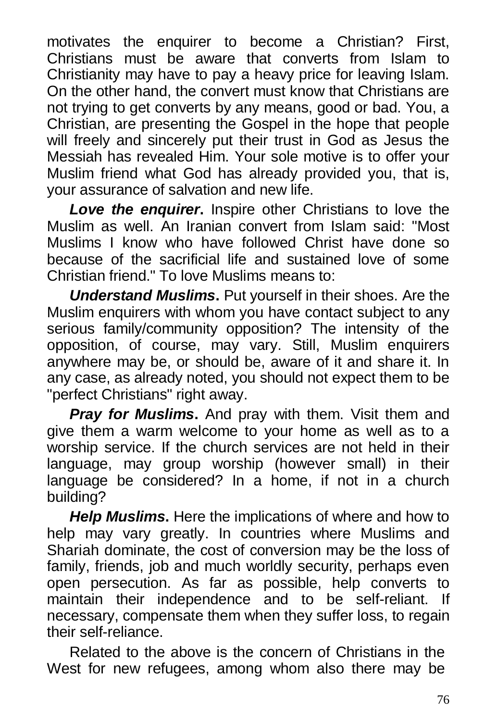motivates the enquirer to become a Christian? First, Christians must be aware that converts from Islam to Christianity may have to pay a heavy price for leaving Islam. On the other hand, the convert must know that Christians are not trying to get converts by any means, good or bad. You, a Christian, are presenting the Gospel in the hope that people will freely and sincerely put their trust in God as Jesus the Messiah has revealed Him. Your sole motive is to offer your Muslim friend what God has already provided you, that is, your assurance of salvation and new life.

*Love the enquirer***.** Inspire other Christians to love the Muslim as well. An Iranian convert from Islam said: "Most Muslims I know who have followed Christ have done so because of the sacrificial life and sustained love of some Christian friend." To love Muslims means to:

*Understand Muslims***.** Put yourself in their shoes. Are the Muslim enquirers with whom you have contact subject to any serious family/community opposition? The intensity of the opposition, of course, may vary. Still, Muslim enquirers anywhere may be, or should be, aware of it and share it. In any case, as already noted, you should not expect them to be "perfect Christians" right away.

*Pray for Muslims***.** And pray with them. Visit them and give them a warm welcome to your home as well as to a worship service. If the church services are not held in their language, may group worship (however small) in their language be considered? In a home, if not in a church building?

*Help Muslims***.** Here the implications of where and how to help may vary greatly. In countries where Muslims and Shariah dominate, the cost of conversion may be the loss of family, friends, job and much worldly security, perhaps even open persecution. As far as possible, help converts to maintain their independence and to be self-reliant. If necessary, compensate them when they suffer loss, to regain their self-reliance.

Related to the above is the concern of Christians in the West for new refugees, among whom also there may be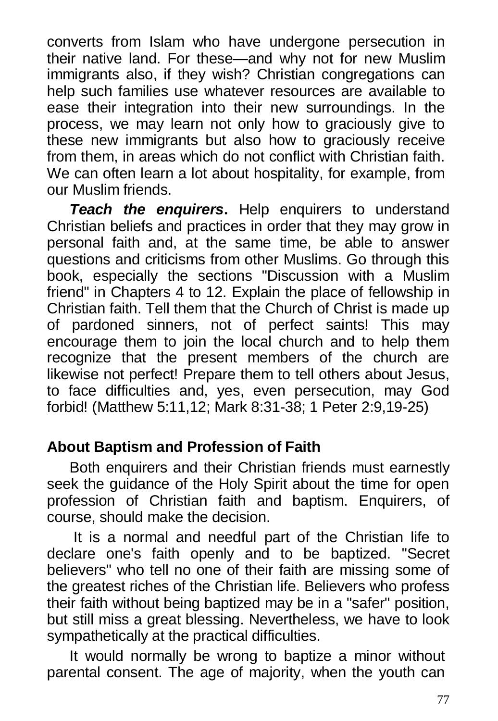converts from Islam who have undergone persecution in their native land. For these—and why not for new Muslim immigrants also, if they wish? Christian congregations can help such families use whatever resources are available to ease their integration into their new surroundings. In the process, we may learn not only how to graciously give to these new immigrants but also how to graciously receive from them, in areas which do not conflict with Christian faith. We can often learn a lot about hospitality, for example, from our Muslim friends.

*Teach the enquirers***.** Help enquirers to understand Christian beliefs and practices in order that they may grow in personal faith and, at the same time, be able to answer questions and criticisms from other Muslims. Go through this book, especially the sections "Discussion with a Muslim friend" in Chapters 4 to 12. Explain the place of fellowship in Christian faith. Tell them that the Church of Christ is made up of pardoned sinners, not of perfect saints! This may encourage them to join the local church and to help them recognize that the present members of the church are likewise not perfect! Prepare them to tell others about Jesus, to face difficulties and, yes, even persecution, may God forbid! (Matthew 5:11,12; Mark 8:31-38; 1 Peter 2:9,19-25)

### **About Baptism and Profession of Faith**

Both enquirers and their Christian friends must earnestly seek the guidance of the Holy Spirit about the time for open profession of Christian faith and baptism. Enquirers, of course, should make the decision.

 It is a normal and needful part of the Christian life to declare one's faith openly and to be baptized. "Secret believers" who tell no one of their faith are missing some of the greatest riches of the Christian life. Believers who profess their faith without being baptized may be in a "safer" position, but still miss a great blessing. Nevertheless, we have to look sympathetically at the practical difficulties.

It would normally be wrong to baptize a minor without parental consent. The age of majority, when the youth can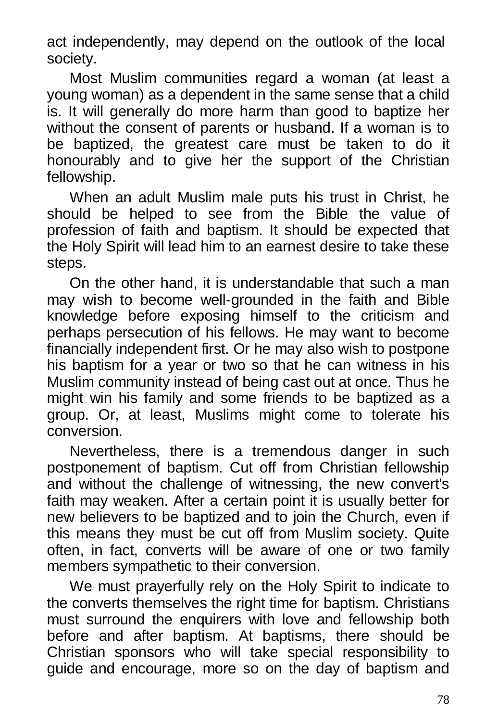act independently, may depend on the outlook of the local society.

Most Muslim communities regard a woman (at least a young woman) as a dependent in the same sense that a child is. It will generally do more harm than good to baptize her without the consent of parents or husband. If a woman is to be baptized, the greatest care must be taken to do it honourably and to give her the support of the Christian fellowship.

When an adult Muslim male puts his trust in Christ, he should be helped to see from the Bible the value of profession of faith and baptism. It should be expected that the Holy Spirit will lead him to an earnest desire to take these steps.

On the other hand, it is understandable that such a man may wish to become well-grounded in the faith and Bible knowledge before exposing himself to the criticism and perhaps persecution of his fellows. He may want to become financially independent first. Or he may also wish to postpone his baptism for a year or two so that he can witness in his Muslim community instead of being cast out at once. Thus he might win his family and some friends to be baptized as a group. Or, at least, Muslims might come to tolerate his conversion.

Nevertheless, there is a tremendous danger in such postponement of baptism. Cut off from Christian fellowship and without the challenge of witnessing, the new convert's faith may weaken. After a certain point it is usually better for new believers to be baptized and to join the Church, even if this means they must be cut off from Muslim society. Quite often, in fact, converts will be aware of one or two family members sympathetic to their conversion.

We must prayerfully rely on the Holy Spirit to indicate to the converts themselves the right time for baptism. Christians must surround the enquirers with love and fellowship both before and after baptism. At baptisms, there should be Christian sponsors who will take special responsibility to guide and encourage, more so on the day of baptism and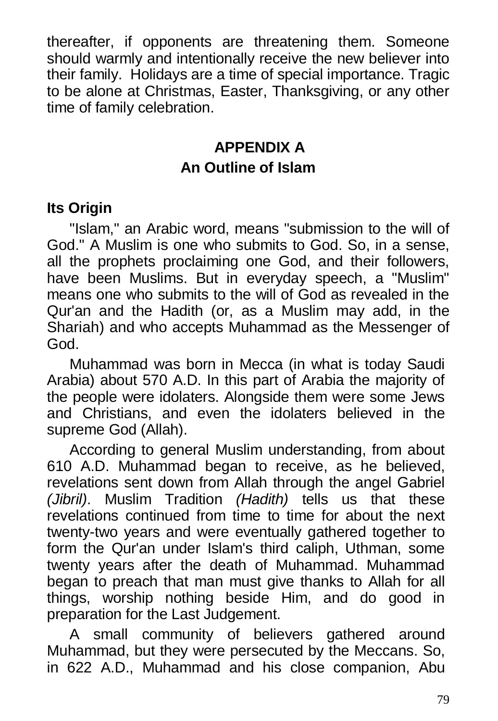thereafter, if opponents are threatening them. Someone should warmly and intentionally receive the new believer into their family. Holidays are a time of special importance. Tragic to be alone at Christmas, Easter, Thanksgiving, or any other time of family celebration.

### **APPENDIX A An Outline of Islam**

#### **Its Origin**

"Islam," an Arabic word, means "submission to the will of God." A Muslim is one who submits to God. So, in a sense, all the prophets proclaiming one God, and their followers, have been Muslims. But in everyday speech, a "Muslim" means one who submits to the will of God as revealed in the Qur'an and the Hadith (or, as a Muslim may add, in the Shariah) and who accepts Muhammad as the Messenger of God.

Muhammad was born in Mecca (in what is today Saudi Arabia) about 570 A.D. In this part of Arabia the majority of the people were idolaters. Alongside them were some Jews and Christians, and even the idolaters believed in the supreme God (Allah).

According to general Muslim understanding, from about 610 A.D. Muhammad began to receive, as he believed, revelations sent down from Allah through the angel Gabriel *(Jibril)*. Muslim Tradition *(Hadith)* tells us that these revelations continued from time to time for about the next twenty-two years and were eventually gathered together to form the Qur'an under Islam's third caliph, Uthman, some twenty years after the death of Muhammad. Muhammad began to preach that man must give thanks to Allah for all things, worship nothing beside Him, and do good in preparation for the Last Judgement.

A small community of believers gathered around Muhammad, but they were persecuted by the Meccans. So, in 622 A.D., Muhammad and his close companion, Abu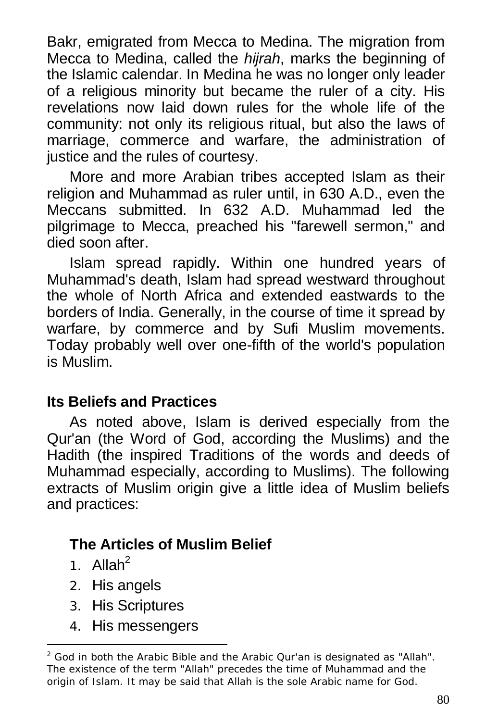Bakr, emigrated from Mecca to Medina. The migration from Mecca to Medina, called the *hijrah*, marks the beginning of the Islamic calendar. In Medina he was no longer only leader of a religious minority but became the ruler of a city. His revelations now laid down rules for the whole life of the community: not only its religious ritual, but also the laws of marriage, commerce and warfare, the administration of justice and the rules of courtesy.

More and more Arabian tribes accepted Islam as their religion and Muhammad as ruler until, in 630 A.D., even the Meccans submitted. In 632 A.D. Muhammad led the pilgrimage to Mecca, preached his "farewell sermon," and died soon after.

Islam spread rapidly. Within one hundred years of Muhammad's death, Islam had spread westward throughout the whole of North Africa and extended eastwards to the borders of India. Generally, in the course of time it spread by warfare, by commerce and by Sufi Muslim movements. Today probably well over one-fifth of the world's population is Muslim.

#### **Its Beliefs and Practices**

As noted above, Islam is derived especially from the Qur'an (the Word of God, according the Muslims) and the Hadith (the inspired Traditions of the words and deeds of Muhammad especially, according to Muslims). The following extracts of Muslim origin give a little idea of Muslim beliefs and practices:

### **The Articles of Muslim Belief**

1. Allah $^2$ 

-

- 2. His angels
- 3. His Scriptures
- 4. His messengers

 $2$  God in both the Arabic Bible and the Arabic Qur'an is designated as "Allah". The existence of the term "Allah" precedes the time of Muhammad and the origin of Islam. It may be said that Allah is the sole Arabic name for God.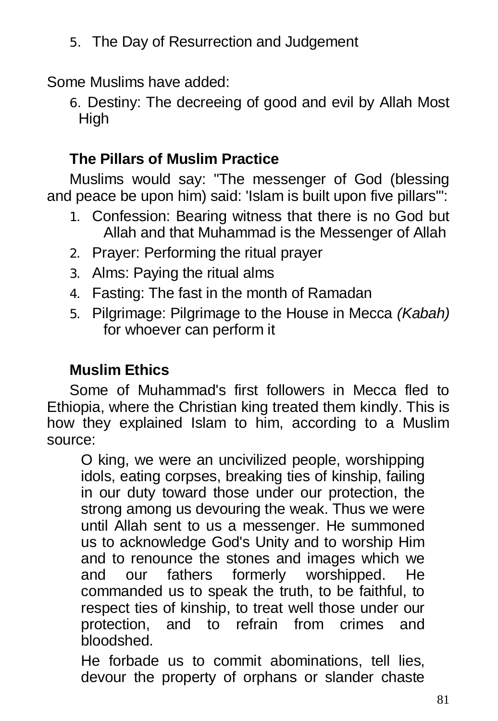5. The Day of Resurrection and Judgement

Some Muslims have added:

6. Destiny: The decreeing of good and evil by Allah Most High

### **The Pillars of Muslim Practice**

Muslims would say: "The messenger of God (blessing and peace be upon him) said: 'Islam is built upon five pillars'":

- 1. Confession: Bearing witness that there is no God but Allah and that Muhammad is the Messenger of Allah
- 2. Prayer: Performing the ritual prayer
- 3. Alms: Paying the ritual alms
- 4. Fasting: The fast in the month of Ramadan
- 5. Pilgrimage: Pilgrimage to the House in Mecca *(Kabah)* for whoever can perform it

### **Muslim Ethics**

Some of Muhammad's first followers in Mecca fled to Ethiopia, where the Christian king treated them kindly. This is how they explained Islam to him, according to a Muslim source:

O king, we were an uncivilized people, worshipping idols, eating corpses, breaking ties of kinship, failing in our duty toward those under our protection, the strong among us devouring the weak. Thus we were until Allah sent to us a messenger. He summoned us to acknowledge God's Unity and to worship Him and to renounce the stones and images which we and our fathers formerly worshipped. He commanded us to speak the truth, to be faithful, to respect ties of kinship, to treat well those under our protection, and to refrain from crimes and bloodshed.

He forbade us to commit abominations, tell lies, devour the property of orphans or slander chaste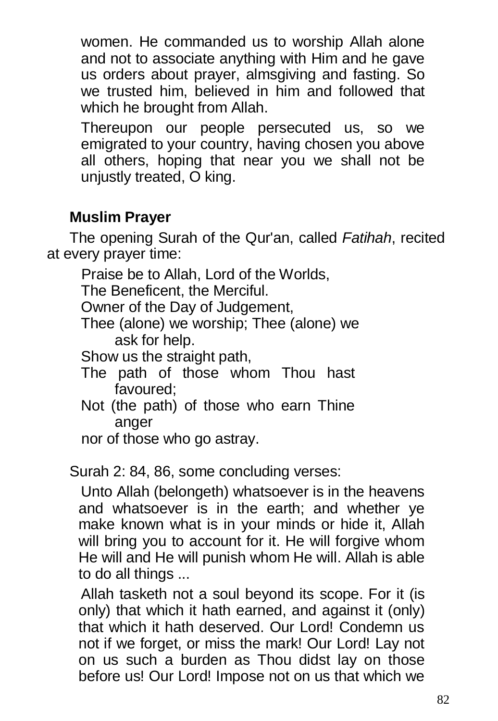women. He commanded us to worship Allah alone and not to associate anything with Him and he gave us orders about prayer, almsgiving and fasting. So we trusted him, believed in him and followed that which he brought from Allah.

Thereupon our people persecuted us, so we emigrated to your country, having chosen you above all others, hoping that near you we shall not be unjustly treated, O king.

## **Muslim Prayer**

The opening Surah of the Qur'an, called *Fatihah*, recited at every prayer time:

Praise be to Allah, Lord of the Worlds,

The Beneficent, the Merciful.

Owner of the Day of Judgement,

Thee (alone) we worship; Thee (alone) we ask for help.

Show us the straight path,

- The path of those whom Thou hast favoured;
- Not (the path) of those who earn Thine anger

nor of those who go astray.

Surah 2: 84, 86, some concluding verses:

Unto Allah (belongeth) whatsoever is in the heavens and whatsoever is in the earth; and whether ye make known what is in your minds or hide it, Allah will bring you to account for it. He will forgive whom He will and He will punish whom He will. Allah is able to do all things ...

Allah tasketh not a soul beyond its scope. For it (is only) that which it hath earned, and against it (only) that which it hath deserved. Our Lord! Condemn us not if we forget, or miss the mark! Our Lord! Lay not on us such a burden as Thou didst lay on those before us! Our Lord! Impose not on us that which we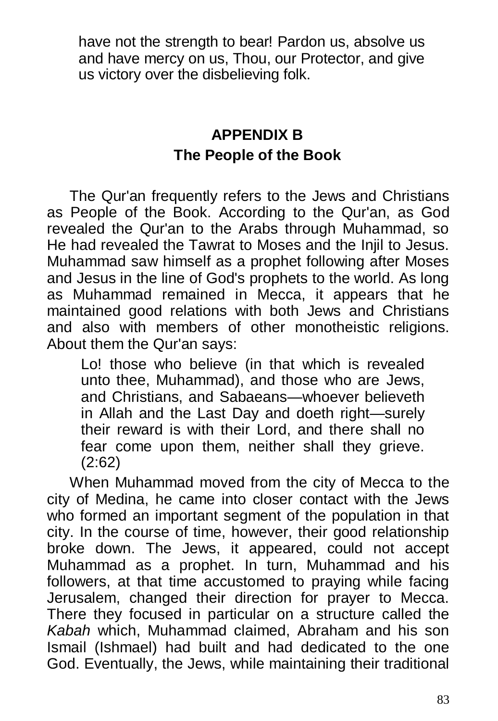have not the strength to bear! Pardon us, absolve us and have mercy on us, Thou, our Protector, and give us victory over the disbelieving folk.

### **APPENDIX B The People of the Book**

The Qur'an frequently refers to the Jews and Christians as People of the Book. According to the Qur'an, as God revealed the Qur'an to the Arabs through Muhammad, so He had revealed the Tawrat to Moses and the Injil to Jesus. Muhammad saw himself as a prophet following after Moses and Jesus in the line of God's prophets to the world. As long as Muhammad remained in Mecca, it appears that he maintained good relations with both Jews and Christians and also with members of other monotheistic religions. About them the Qur'an says:

Lo! those who believe (in that which is revealed unto thee, Muhammad), and those who are Jews, and Christians, and Sabaeans—whoever believeth in Allah and the Last Day and doeth right—surely their reward is with their Lord, and there shall no fear come upon them, neither shall they grieve. (2:62)

When Muhammad moved from the city of Mecca to the city of Medina, he came into closer contact with the Jews who formed an important segment of the population in that city. In the course of time, however, their good relationship broke down. The Jews, it appeared, could not accept Muhammad as a prophet. In turn, Muhammad and his followers, at that time accustomed to praying while facing Jerusalem, changed their direction for prayer to Mecca. There they focused in particular on a structure called the *Kabah* which, Muhammad claimed, Abraham and his son Ismail (Ishmael) had built and had dedicated to the one God. Eventually, the Jews, while maintaining their traditional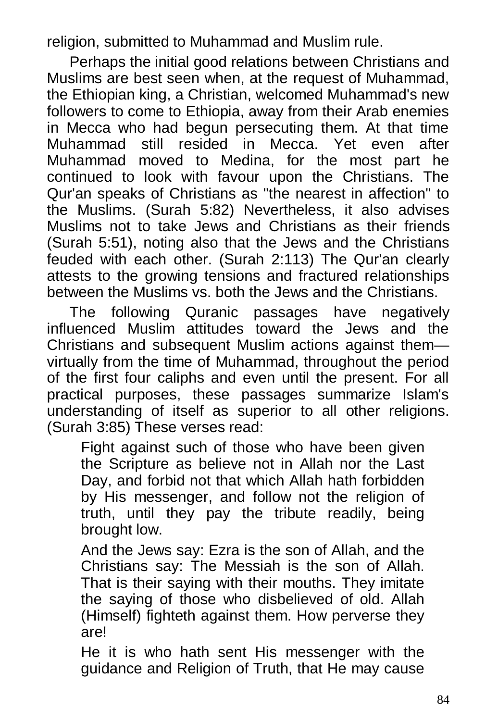religion, submitted to Muhammad and Muslim rule.

Perhaps the initial good relations between Christians and Muslims are best seen when, at the request of Muhammad, the Ethiopian king, a Christian, welcomed Muhammad's new followers to come to Ethiopia, away from their Arab enemies in Mecca who had begun persecuting them. At that time Muhammad still resided in Mecca. Yet even after Muhammad moved to Medina, for the most part he continued to look with favour upon the Christians. The Qur'an speaks of Christians as "the nearest in affection" to the Muslims. (Surah 5:82) Nevertheless, it also advises Muslims not to take Jews and Christians as their friends (Surah 5:51), noting also that the Jews and the Christians feuded with each other. (Surah 2:113) The Qur'an clearly attests to the growing tensions and fractured relationships between the Muslims vs. both the Jews and the Christians.

The following Quranic passages have negatively influenced Muslim attitudes toward the Jews and the Christians and subsequent Muslim actions against them virtually from the time of Muhammad, throughout the period of the first four caliphs and even until the present. For all practical purposes, these passages summarize Islam's understanding of itself as superior to all other religions. (Surah 3:85) These verses read:

Fight against such of those who have been given the Scripture as believe not in Allah nor the Last Day, and forbid not that which Allah hath forbidden by His messenger, and follow not the religion of truth, until they pay the tribute readily, being brought low.

And the Jews say: Ezra is the son of Allah, and the Christians say: The Messiah is the son of Allah. That is their saying with their mouths. They imitate the saying of those who disbelieved of old. Allah (Himself) fighteth against them. How perverse they are!

He it is who hath sent His messenger with the guidance and Religion of Truth, that He may cause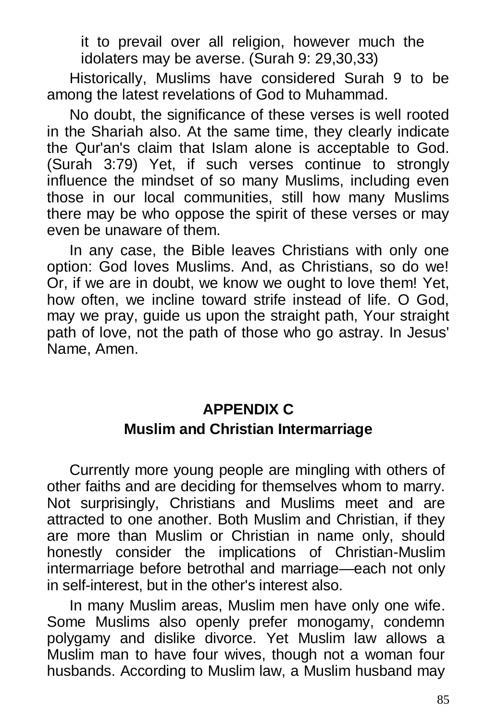it to prevail over all religion, however much the idolaters may be averse. (Surah 9: 29,30,33)

Historically, Muslims have considered Surah 9 to be among the latest revelations of God to Muhammad.

No doubt, the significance of these verses is well rooted in the Shariah also. At the same time, they clearly indicate the Qur'an's claim that Islam alone is acceptable to God. (Surah 3:79) Yet, if such verses continue to strongly influence the mindset of so many Muslims, including even those in our local communities, still how many Muslims there may be who oppose the spirit of these verses or may even be unaware of them.

In any case, the Bible leaves Christians with only one option: God loves Muslims. And, as Christians, so do we! Or, if we are in doubt, we know we ought to love them! Yet, how often, we incline toward strife instead of life. O God, may we pray, guide us upon the straight path, Your straight path of love, not the path of those who go astray. In Jesus' Name, Amen.

### **APPENDIX C Muslim and Christian Intermarriage**

Currently more young people are mingling with others of other faiths and are deciding for themselves whom to marry. Not surprisingly, Christians and Muslims meet and are attracted to one another. Both Muslim and Christian, if they are more than Muslim or Christian in name only, should honestly consider the implications of Christian-Muslim intermarriage before betrothal and marriage—each not only in self-interest, but in the other's interest also.

In many Muslim areas, Muslim men have only one wife. Some Muslims also openly prefer monogamy, condemn polygamy and dislike divorce. Yet Muslim law allows a Muslim man to have four wives, though not a woman four husbands. According to Muslim law, a Muslim husband may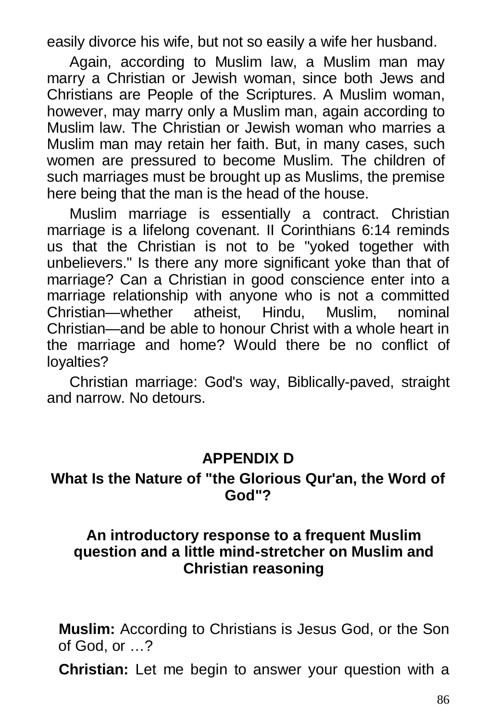easily divorce his wife, but not so easily a wife her husband.

Again, according to Muslim law, a Muslim man may marry a Christian or Jewish woman, since both Jews and Christians are People of the Scriptures. A Muslim woman, however, may marry only a Muslim man, again according to Muslim law. The Christian or Jewish woman who marries a Muslim man may retain her faith. But, in many cases, such women are pressured to become Muslim. The children of such marriages must be brought up as Muslims, the premise here being that the man is the head of the house.

Muslim marriage is essentially a contract. Christian marriage is a lifelong covenant. II Corinthians 6:14 reminds us that the Christian is not to be "yoked together with unbelievers." Is there any more significant yoke than that of marriage? Can a Christian in good conscience enter into a marriage relationship with anyone who is not a committed Christian—whether atheist, Hindu, Muslim, nominal Christian—and be able to honour Christ with a whole heart in the marriage and home? Would there be no conflict of loyalties?

Christian marriage: God's way, Biblically-paved, straight and narrow. No detours.

#### **APPENDIX D**

#### **What Is the Nature of "the Glorious Qur'an, the Word of God"?**

#### **An introductory response to a frequent Muslim question and a little mind-stretcher on Muslim and Christian reasoning**

**Muslim:** According to Christians is Jesus God, or the Son of God, or …?

**Christian:** Let me begin to answer your question with a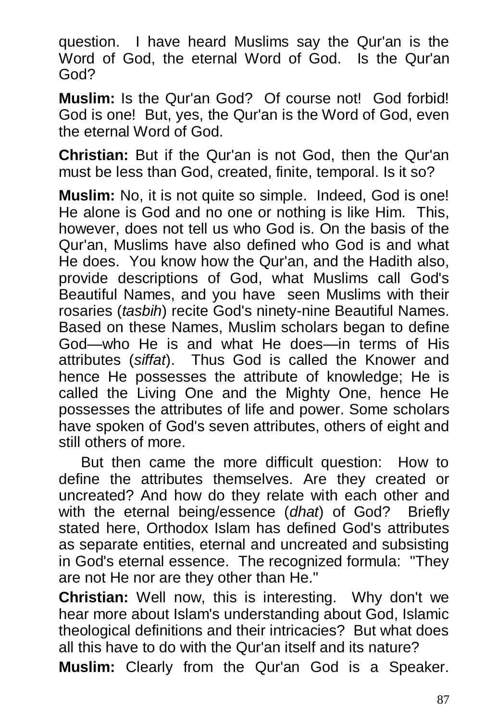question. I have heard Muslims say the Qur'an is the Word of God, the eternal Word of God. Is the Qur'an God?

**Muslim:** Is the Qur'an God? Of course not! God forbid! God is one! But, yes, the Qur'an is the Word of God, even the eternal Word of God.

**Christian:** But if the Qur'an is not God, then the Qur'an must be less than God, created, finite, temporal. Is it so?

**Muslim:** No, it is not quite so simple. Indeed, God is one! He alone is God and no one or nothing is like Him. This, however, does not tell us who God is. On the basis of the Qur'an, Muslims have also defined who God is and what He does. You know how the Qur'an, and the Hadith also, provide descriptions of God, what Muslims call God's Beautiful Names, and you have seen Muslims with their rosaries (*tasbih*) recite God's ninety-nine Beautiful Names. Based on these Names, Muslim scholars began to define God—who He is and what He does—in terms of His attributes (*siffat*). Thus God is called the Knower and hence He possesses the attribute of knowledge; He is called the Living One and the Mighty One, hence He possesses the attributes of life and power. Some scholars have spoken of God's seven attributes, others of eight and still others of more.

But then came the more difficult question: How to define the attributes themselves. Are they created or uncreated? And how do they relate with each other and with the eternal being/essence (*dhat*) of God? Briefly stated here, Orthodox Islam has defined God's attributes as separate entities, eternal and uncreated and subsisting in God's eternal essence. The recognized formula: "They are not He nor are they other than He."

**Christian:** Well now, this is interesting. Why don't we hear more about Islam's understanding about God, Islamic theological definitions and their intricacies? But what does all this have to do with the Qur'an itself and its nature?

**Muslim:** Clearly from the Qur'an God is a Speaker.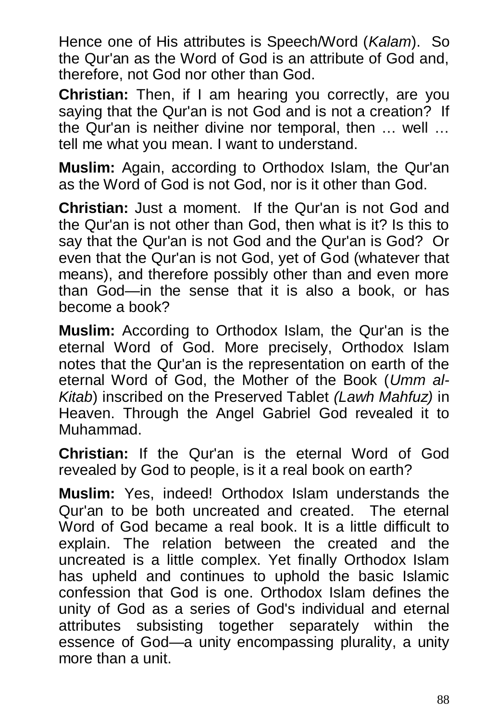Hence one of His attributes is Speech/Word (*Kalam*). So the Qur'an as the Word of God is an attribute of God and, therefore, not God nor other than God.

**Christian:** Then, if I am hearing you correctly, are you saying that the Qur'an is not God and is not a creation? If the Qur'an is neither divine nor temporal, then … well … tell me what you mean. I want to understand.

**Muslim:** Again, according to Orthodox Islam, the Qur'an as the Word of God is not God, nor is it other than God.

**Christian:** Just a moment. If the Qur'an is not God and the Qur'an is not other than God, then what is it? Is this to say that the Qur'an is not God and the Qur'an is God? Or even that the Qur'an is not God, yet of God (whatever that means), and therefore possibly other than and even more than God—in the sense that it is also a book, or has become a book?

**Muslim:** According to Orthodox Islam, the Qur'an is the eternal Word of God. More precisely, Orthodox Islam notes that the Qur'an is the representation on earth of the eternal Word of God, the Mother of the Book (*Umm al-Kitab*) inscribed on the Preserved Tablet *(Lawh Mahfuz)* in Heaven. Through the Angel Gabriel God revealed it to Muhammad.

**Christian:** If the Qur'an is the eternal Word of God revealed by God to people, is it a real book on earth?

**Muslim:** Yes, indeed! Orthodox Islam understands the Qur'an to be both uncreated and created. The eternal Word of God became a real book. It is a little difficult to explain. The relation between the created and the uncreated is a little complex. Yet finally Orthodox Islam has upheld and continues to uphold the basic Islamic confession that God is one. Orthodox Islam defines the unity of God as a series of God's individual and eternal attributes subsisting together separately within the essence of God—a unity encompassing plurality, a unity more than a unit.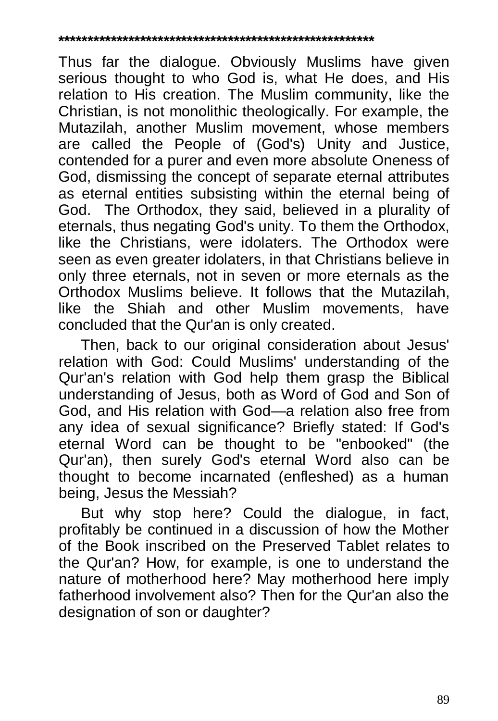#### **\*\*\*\*\*\*\*\*\*\*\*\*\*\*\*\*\*\*\*\*\*\*\*\*\*\*\*\*\*\*\*\*\*\*\*\*\*\*\*\*\*\*\*\*\*\*\*\*\*\*\*\*\*\***

Thus far the dialogue. Obviously Muslims have given serious thought to who God is, what He does, and His relation to His creation. The Muslim community, like the Christian, is not monolithic theologically. For example, the Mutazilah, another Muslim movement, whose members are called the People of (God's) Unity and Justice, contended for a purer and even more absolute Oneness of God, dismissing the concept of separate eternal attributes as eternal entities subsisting within the eternal being of God. The Orthodox, they said, believed in a plurality of eternals, thus negating God's unity. To them the Orthodox, like the Christians, were idolaters. The Orthodox were seen as even greater idolaters, in that Christians believe in only three eternals, not in seven or more eternals as the Orthodox Muslims believe. It follows that the Mutazilah, like the Shiah and other Muslim movements, have concluded that the Qur'an is only created.

Then, back to our original consideration about Jesus' relation with God: Could Muslims' understanding of the Qur'an's relation with God help them grasp the Biblical understanding of Jesus, both as Word of God and Son of God, and His relation with God—a relation also free from any idea of sexual significance? Briefly stated: If God's eternal Word can be thought to be "enbooked" (the Qur'an), then surely God's eternal Word also can be thought to become incarnated (enfleshed) as a human being, Jesus the Messiah?

But why stop here? Could the dialogue, in fact, profitably be continued in a discussion of how the Mother of the Book inscribed on the Preserved Tablet relates to the Qur'an? How, for example, is one to understand the nature of motherhood here? May motherhood here imply fatherhood involvement also? Then for the Qur'an also the designation of son or daughter?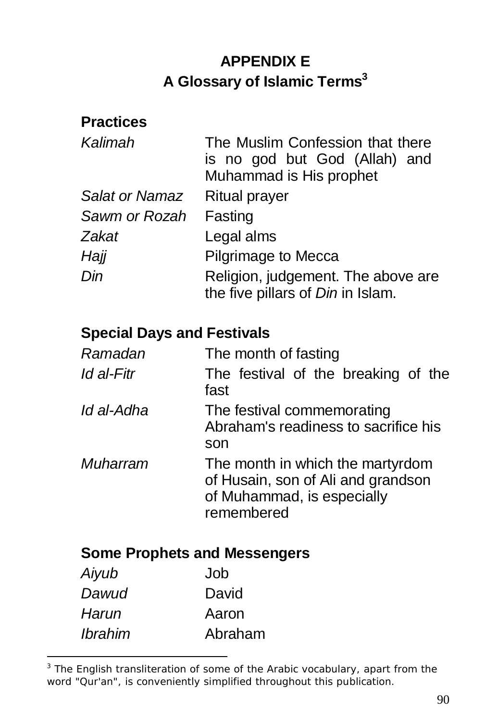### **APPENDIX E A Glossary of Islamic Terms<sup>3</sup>**

#### **Practices**

| Kalimah        | The Muslim Confession that there<br>is no god but God (Allah) and<br>Muhammad is His prophet |
|----------------|----------------------------------------------------------------------------------------------|
| Salat or Namaz | <b>Ritual prayer</b>                                                                         |
| Sawm or Rozah  | Fasting                                                                                      |
| Zakat          | Legal alms                                                                                   |
| Hajj           | Pilgrimage to Mecca                                                                          |
| Din            | Religion, judgement. The above are<br>the five pillars of Din in Islam.                      |

#### **Special Days and Festivals**

| Ramadan         | The month of fasting                                                                                               |
|-----------------|--------------------------------------------------------------------------------------------------------------------|
| Id al-Fitr      | The festival of the breaking of the<br>fast                                                                        |
| Id al-Adha      | The festival commemorating<br>Abraham's readiness to sacrifice his<br>son                                          |
| <b>Muharram</b> | The month in which the martyrdom<br>of Husain, son of Ali and grandson<br>of Muhammad, is especially<br>remembered |

#### **Some Prophets and Messengers**

| Aiyub          | Job     |
|----------------|---------|
| Dawud          | David   |
| Harun          | Aaron   |
| <i>Ibrahim</i> | Abraham |

-

<sup>&</sup>lt;sup>3</sup> The English transliteration of some of the Arabic vocabulary, apart from the word "Qur'an", is conveniently simplified throughout this publication.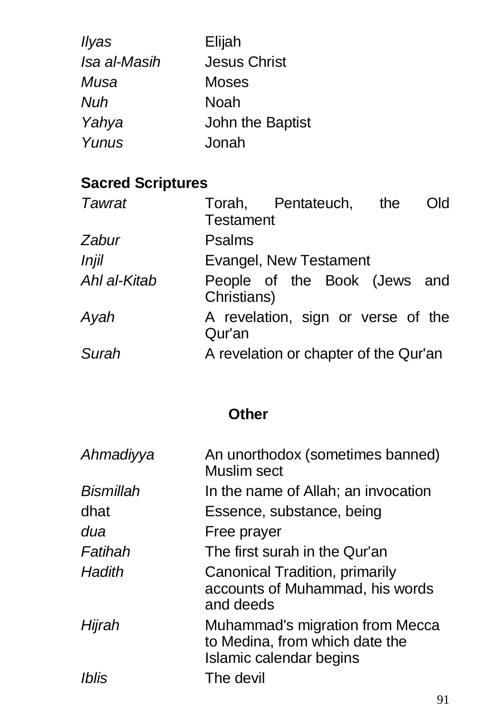| llyas        | Elijah              |
|--------------|---------------------|
| Isa al-Masih | <b>Jesus Christ</b> |
| Musa         | <b>Moses</b>        |
| Nuh          | Noah                |
| Yahya        | John the Baptist    |
| Yunus        | Jonah               |

# **Sacred Scriptures**

| <b>Tawrat</b> | <b>Testament</b> | Torah, Pentateuch, the                | Old |
|---------------|------------------|---------------------------------------|-----|
| Zabur         | <b>Psalms</b>    |                                       |     |
| Injil         |                  | Evangel, New Testament                |     |
| Ahl al-Kitab  | Christians)      | People of the Book (Jews and          |     |
| Ayah          | Qur'an           | A revelation, sign or verse of the    |     |
| Surah         |                  | A revelation or chapter of the Qur'an |     |

## **Other**

| An unorthodox (sometimes banned)<br>Muslim sect                                              |
|----------------------------------------------------------------------------------------------|
| In the name of Allah; an invocation                                                          |
| Essence, substance, being                                                                    |
| Free prayer                                                                                  |
| The first surah in the Qur'an                                                                |
| Canonical Tradition, primarily<br>accounts of Muhammad, his words<br>and deeds               |
| Muhammad's migration from Mecca<br>to Medina, from which date the<br>Islamic calendar begins |
| The devil                                                                                    |
|                                                                                              |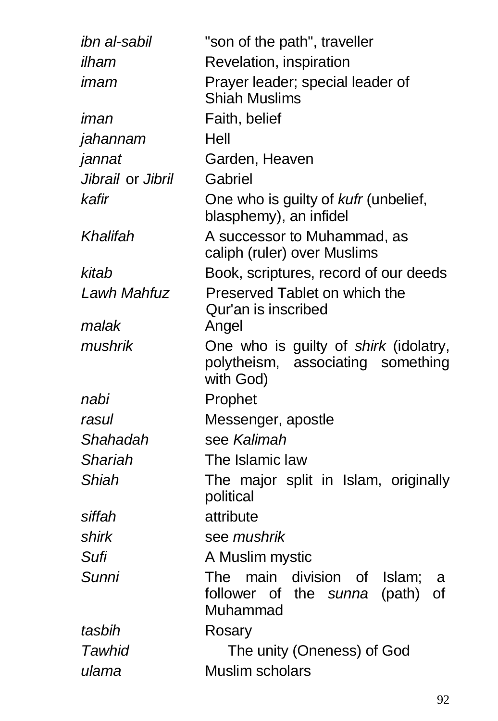| ibn al-sabil      | "son of the path", traveller                                                                   |
|-------------------|------------------------------------------------------------------------------------------------|
| ilham             | Revelation, inspiration                                                                        |
| imam              | Prayer leader; special leader of<br><b>Shiah Muslims</b>                                       |
| iman              | Faith, belief                                                                                  |
| jahannam          | Hell                                                                                           |
| jannat            | Garden, Heaven                                                                                 |
| Jibrail or Jibril | Gabriel                                                                                        |
| kafir             | One who is guilty of kufr (unbelief,<br>blasphemy), an infidel                                 |
| Khalifah          | A successor to Muhammad, as<br>caliph (ruler) over Muslims                                     |
| kitab             | Book, scriptures, record of our deeds                                                          |
| Lawh Mahfuz       | Preserved Tablet on which the<br>Qur'an is inscribed                                           |
| malak             | Angel                                                                                          |
| mushrik           | One who is guilty of shirk (idolatry,<br>polytheism, associating something<br>with God)        |
| nabi              | Prophet                                                                                        |
| rasul             | Messenger, apostle                                                                             |
| Shahadah          | see Kalimah                                                                                    |
| <b>Shariah</b>    | The Islamic law                                                                                |
| Shiah             | The major split in Islam, originally<br>political                                              |
| siffah            | attribute                                                                                      |
| shirk             | see mushrik                                                                                    |
| Sufi              | A Muslim mystic                                                                                |
| Sunni             | The main<br>division of<br>Islam;<br>a<br>follower of<br>the sunna<br>(path)<br>0f<br>Muhammad |
| tasbih            | Rosary                                                                                         |
| Tawhid            | The unity (Oneness) of God                                                                     |
| ulama             | Muslim scholars                                                                                |